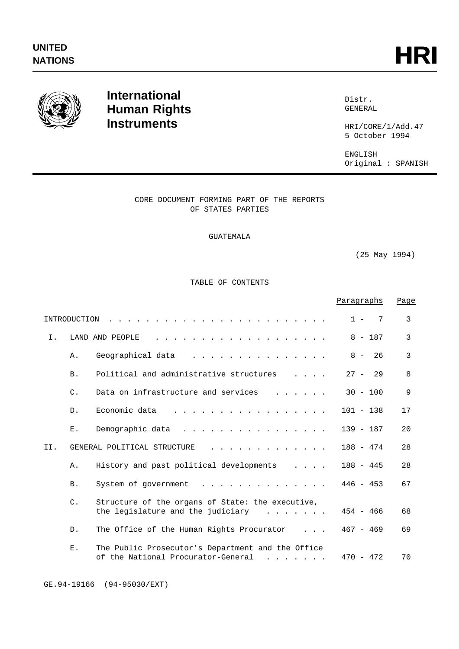

# **International Human Rights Instruments**

Distr. GENERAL

HRI/CORE/1/Add.47 5 October 1994

ENGLISH Original : SPANISH

# CORE DOCUMENT FORMING PART OF THE REPORTS OF STATES PARTIES

# GUATEMALA

(25 May 1994)

TABLE OF CONTENTS

|                                                                                                                                                                                  |                 |                                                                                                                                                                    | Paragraphs   | Page |
|----------------------------------------------------------------------------------------------------------------------------------------------------------------------------------|-----------------|--------------------------------------------------------------------------------------------------------------------------------------------------------------------|--------------|------|
| 3<br>$1 -$<br>7<br>INTRODUCTION<br>$\frac{1}{2}$ . $\frac{1}{2}$ . $\frac{1}{2}$ . $\frac{1}{2}$ . $\frac{1}{2}$ . $\frac{1}{2}$ . $\frac{1}{2}$ . $\frac{1}{2}$ . $\frac{1}{2}$ |                 |                                                                                                                                                                    |              |      |
| Ι.                                                                                                                                                                               |                 | LAND AND PEOPLE                                                                                                                                                    | $8 - 187$    | 3    |
|                                                                                                                                                                                  | Α.              | Geographical data<br>$\frac{1}{2}$ . $\frac{1}{2}$ . $\frac{1}{2}$ . $\frac{1}{2}$ . $\frac{1}{2}$ . $\frac{1}{2}$ . $\frac{1}{2}$ . $\frac{1}{2}$ . $\frac{1}{2}$ | $8 -$<br>26  | 3    |
|                                                                                                                                                                                  | <b>B</b> .      | Political and administrative structures<br>$\mathbf{1}$ $\mathbf{1}$ $\mathbf{1}$ $\mathbf{1}$ $\mathbf{1}$                                                        | $27 -$<br>29 | 8    |
|                                                                                                                                                                                  | $\mathsf{C}$ .  | Data on infrastructure and services                                                                                                                                | $30 - 100$   | 9    |
|                                                                                                                                                                                  | $D$ .           | Economic data<br>.                                                                                                                                                 | $101 - 138$  | 17   |
|                                                                                                                                                                                  | Ε.              | Demographic data<br>.                                                                                                                                              | $139 - 187$  | 20   |
| II.                                                                                                                                                                              |                 | GENERAL POLITICAL STRUCTURE                                                                                                                                        | $188 - 474$  | 28   |
|                                                                                                                                                                                  | Α.              | History and past political developments<br>$\mathbf{1}$ and $\mathbf{1}$ and $\mathbf{1}$                                                                          | $188 - 445$  | 28   |
|                                                                                                                                                                                  | <b>B</b> .      | System of government<br>.                                                                                                                                          | $446 - 453$  | 67   |
|                                                                                                                                                                                  | $\mathcal{C}$ . | Structure of the organs of State: the executive,<br>the legislature and the judiciary<br>$\cdot$ $\cdot$ $\cdot$ $\cdot$ $\cdot$ $\cdot$ $\cdot$                   | $454 - 466$  | 68   |
|                                                                                                                                                                                  | $D$ .           | The Office of the Human Rights Procurator                                                                                                                          | $467 - 469$  | 69   |
|                                                                                                                                                                                  | Ε.              | The Public Prosecutor's Department and the Office<br>of the National Procurator-General                                                                            | $470 - 472$  | 70   |

GE.94-19166 (94-95030/EXT)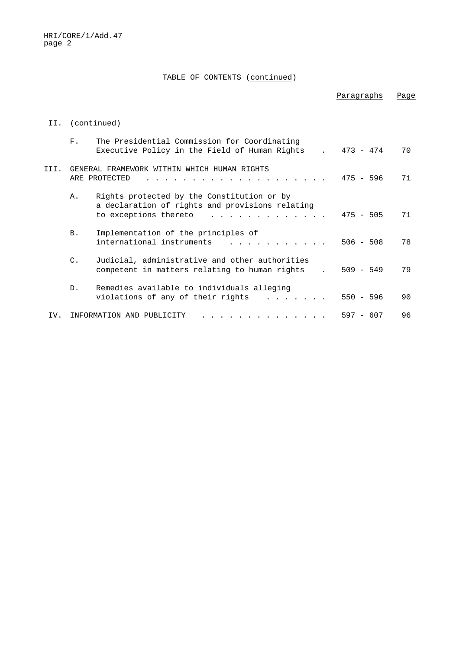# TABLE OF CONTENTS (continued)

|      |                 |                                                                                                                                                                                                                                                  | Paragraphs  | Page |
|------|-----------------|--------------------------------------------------------------------------------------------------------------------------------------------------------------------------------------------------------------------------------------------------|-------------|------|
| II.  |                 | (continued)                                                                                                                                                                                                                                      |             |      |
|      | $F$ .           | The Presidential Commission for Coordinating<br>Executive Policy in the Field of Human Rights                                                                                                                                                    | $473 - 474$ | 70   |
| III. |                 | GENERAL FRAMEWORK WITHIN WHICH HUMAN RIGHTS<br>ARE PROTECTED                                                                                                                                                                                     | $475 - 596$ | 71   |
|      | Α.              | Rights protected by the Constitution or by<br>a declaration of rights and provisions relating<br>to exceptions thereto<br><u>a serie de la carra de la carra de la carra de la carra de la carra de la carra de la carra de la carra de la c</u> | $475 - 505$ | 71   |
|      | B.              | Implementation of the principles of<br>international instruments                                                                                                                                                                                 | $506 - 508$ | 78   |
|      | $\mathcal{C}$ . | Judicial, administrative and other authorities<br>competent in matters relating to human rights                                                                                                                                                  | $509 - 549$ | 79   |
|      | D <sub>1</sub>  | Remedies available to individuals alleging<br>violations of any of their rights                                                                                                                                                                  | $550 - 596$ | 90   |
| TV.  |                 | INFORMATION AND PUBLICITY                                                                                                                                                                                                                        | $597 - 607$ | 96   |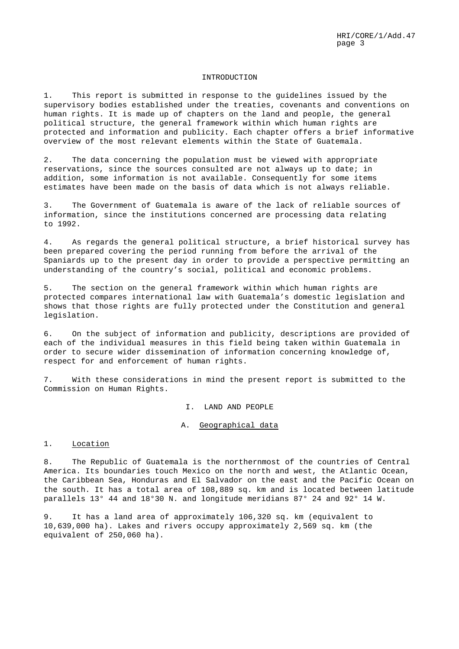#### INTRODUCTION

1. This report is submitted in response to the guidelines issued by the supervisory bodies established under the treaties, covenants and conventions on human rights. It is made up of chapters on the land and people, the general political structure, the general framework within which human rights are protected and information and publicity. Each chapter offers a brief informative overview of the most relevant elements within the State of Guatemala.

2. The data concerning the population must be viewed with appropriate reservations, since the sources consulted are not always up to date; in addition, some information is not available. Consequently for some items estimates have been made on the basis of data which is not always reliable.

3. The Government of Guatemala is aware of the lack of reliable sources of information, since the institutions concerned are processing data relating to 1992.

4. As regards the general political structure, a brief historical survey has been prepared covering the period running from before the arrival of the Spaniards up to the present day in order to provide a perspective permitting an understanding of the country's social, political and economic problems.

5. The section on the general framework within which human rights are protected compares international law with Guatemala's domestic legislation and shows that those rights are fully protected under the Constitution and general legislation.

6. On the subject of information and publicity, descriptions are provided of each of the individual measures in this field being taken within Guatemala in order to secure wider dissemination of information concerning knowledge of, respect for and enforcement of human rights.

7. With these considerations in mind the present report is submitted to the Commission on Human Rights.

I. LAND AND PEOPLE

# A. Geographical data

### 1. Location

8. The Republic of Guatemala is the northernmost of the countries of Central America. Its boundaries touch Mexico on the north and west, the Atlantic Ocean, the Caribbean Sea, Honduras and El Salvador on the east and the Pacific Ocean on the south. It has a total area of 108,889 sq. km and is located between latitude parallels 13° 44 and 18°30 N. and longitude meridians 87° 24 and 92° 14 W.

9. It has a land area of approximately 106,320 sq. km (equivalent to 10,639,000 ha). Lakes and rivers occupy approximately 2,569 sq. km (the equivalent of 250,060 ha).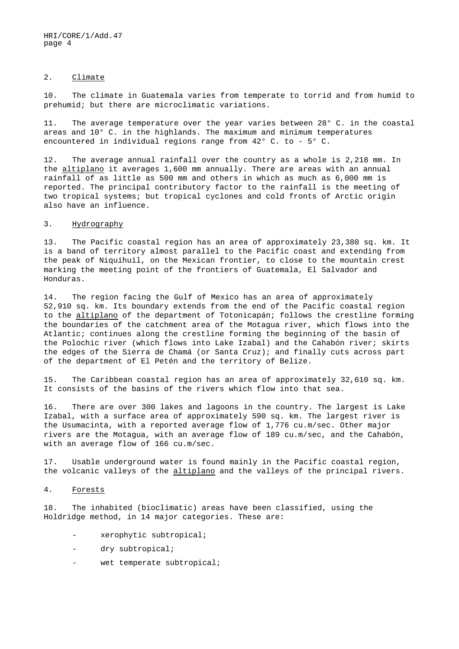#### 2. Climate

10. The climate in Guatemala varies from temperate to torrid and from humid to prehumid; but there are microclimatic variations.

11. The average temperature over the year varies between 28° C. in the coastal areas and 10° C. in the highlands. The maximum and minimum temperatures encountered in individual regions range from 42° C. to - 5° C.

12. The average annual rainfall over the country as a whole is 2,218 mm. In the altiplano it averages 1,600 mm annually. There are areas with an annual rainfall of as little as 500 mm and others in which as much as 6,000 mm is reported. The principal contributory factor to the rainfall is the meeting of two tropical systems; but tropical cyclones and cold fronts of Arctic origin also have an influence.

## 3. Hydrography

13. The Pacific coastal region has an area of approximately 23,380 sq. km. It is a band of territory almost parallel to the Pacific coast and extending from the peak of Niquihuil, on the Mexican frontier, to close to the mountain crest marking the meeting point of the frontiers of Guatemala, El Salvador and Honduras.

14. The region facing the Gulf of Mexico has an area of approximately 52,910 sq. km. Its boundary extends from the end of the Pacific coastal region to the altiplano of the department of Totonicapán; follows the crestline forming the boundaries of the catchment area of the Motagua river, which flows into the Atlantic; continues along the crestline forming the beginning of the basin of the Polochic river (which flows into Lake Izabal) and the Cahabón river; skirts the edges of the Sierra de Chamá (or Santa Cruz); and finally cuts across part of the department of El Petén and the territory of Belize.

15. The Caribbean coastal region has an area of approximately 32,610 sq. km. It consists of the basins of the rivers which flow into that sea.

16. There are over 300 lakes and lagoons in the country. The largest is Lake Izabal, with a surface area of approximately 590 sq. km. The largest river is the Usumacinta, with a reported average flow of 1,776 cu.m/sec. Other major rivers are the Motagua, with an average flow of 189 cu.m/sec, and the Cahabón, with an average flow of 166 cu.m/sec.

17. Usable underground water is found mainly in the Pacific coastal region, the volcanic valleys of the altiplano and the valleys of the principal rivers.

## 4. Forests

18. The inhabited (bioclimatic) areas have been classified, using the Holdridge method, in 14 major categories. These are:

- xerophytic subtropical;
- dry subtropical;
- wet temperate subtropical;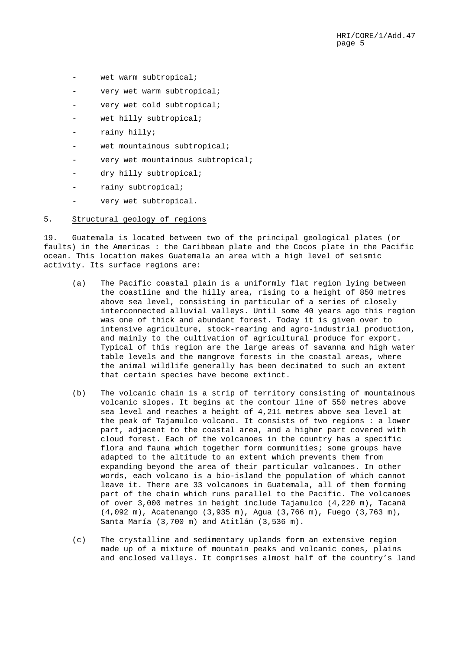- wet warm subtropical;
- very wet warm subtropical;
- very wet cold subtropical;
- wet hilly subtropical;
- rainy hilly;
- wet mountainous subtropical;
- very wet mountainous subtropical;
- dry hilly subtropical;
- rainy subtropical;
- very wet subtropical.

## 5. Structural geology of regions

19. Guatemala is located between two of the principal geological plates (or faults) in the Americas : the Caribbean plate and the Cocos plate in the Pacific ocean. This location makes Guatemala an area with a high level of seismic activity. Its surface regions are:

- (a) The Pacific coastal plain is a uniformly flat region lying between the coastline and the hilly area, rising to a height of 850 metres above sea level, consisting in particular of a series of closely interconnected alluvial valleys. Until some 40 years ago this region was one of thick and abundant forest. Today it is given over to intensive agriculture, stock-rearing and agro-industrial production, and mainly to the cultivation of agricultural produce for export. Typical of this region are the large areas of savanna and high water table levels and the mangrove forests in the coastal areas, where the animal wildlife generally has been decimated to such an extent that certain species have become extinct.
- (b) The volcanic chain is a strip of territory consisting of mountainous volcanic slopes. It begins at the contour line of 550 metres above sea level and reaches a height of 4,211 metres above sea level at the peak of Tajamulco volcano. It consists of two regions : a lower part, adjacent to the coastal area, and a higher part covered with cloud forest. Each of the volcanoes in the country has a specific flora and fauna which together form communities; some groups have adapted to the altitude to an extent which prevents them from expanding beyond the area of their particular volcanoes. In other words, each volcano is a bio-island the population of which cannot leave it. There are 33 volcanoes in Guatemala, all of them forming part of the chain which runs parallel to the Pacific. The volcanoes of over 3,000 metres in height include Tajamulco (4,220 m), Tacaná (4,092 m), Acatenango (3,935 m), Agua (3,766 m), Fuego (3,763 m), Santa María (3,700 m) and Atitlán (3,536 m).
- (c) The crystalline and sedimentary uplands form an extensive region made up of a mixture of mountain peaks and volcanic cones, plains and enclosed valleys. It comprises almost half of the country's land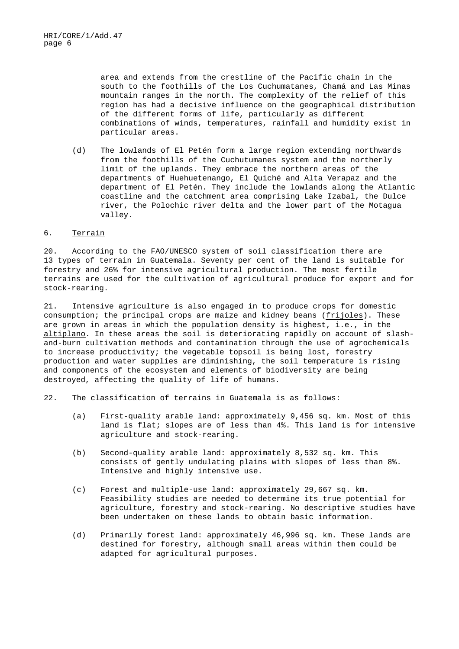area and extends from the crestline of the Pacific chain in the south to the foothills of the Los Cuchumatanes, Chamá and Las Minas mountain ranges in the north. The complexity of the relief of this region has had a decisive influence on the geographical distribution of the different forms of life, particularly as different combinations of winds, temperatures, rainfall and humidity exist in particular areas.

(d) The lowlands of El Petén form a large region extending northwards from the foothills of the Cuchutumanes system and the northerly limit of the uplands. They embrace the northern areas of the departments of Huehuetenango, El Quiché and Alta Verapaz and the department of El Petén. They include the lowlands along the Atlantic coastline and the catchment area comprising Lake Izabal, the Dulce river, the Polochic river delta and the lower part of the Motagua valley.

# 6. Terrain

20. According to the FAO/UNESCO system of soil classification there are 13 types of terrain in Guatemala. Seventy per cent of the land is suitable for forestry and 26% for intensive agricultural production. The most fertile terrains are used for the cultivation of agricultural produce for export and for stock-rearing.

21. Intensive agriculture is also engaged in to produce crops for domestic consumption; the principal crops are maize and kidney beans (frijoles). These are grown in areas in which the population density is highest, i.e., in the altiplano. In these areas the soil is deteriorating rapidly on account of slashand-burn cultivation methods and contamination through the use of agrochemicals to increase productivity; the vegetable topsoil is being lost, forestry production and water supplies are diminishing, the soil temperature is rising and components of the ecosystem and elements of biodiversity are being destroyed, affecting the quality of life of humans.

22. The classification of terrains in Guatemala is as follows:

- (a) First-quality arable land: approximately 9,456 sq. km. Most of this land is flat; slopes are of less than 4%. This land is for intensive agriculture and stock-rearing.
- (b) Second-quality arable land: approximately 8,532 sq. km. This consists of gently undulating plains with slopes of less than 8%. Intensive and highly intensive use.
- (c) Forest and multiple-use land: approximately 29,667 sq. km. Feasibility studies are needed to determine its true potential for agriculture, forestry and stock-rearing. No descriptive studies have been undertaken on these lands to obtain basic information.
- (d) Primarily forest land: approximately 46,996 sq. km. These lands are destined for forestry, although small areas within them could be adapted for agricultural purposes.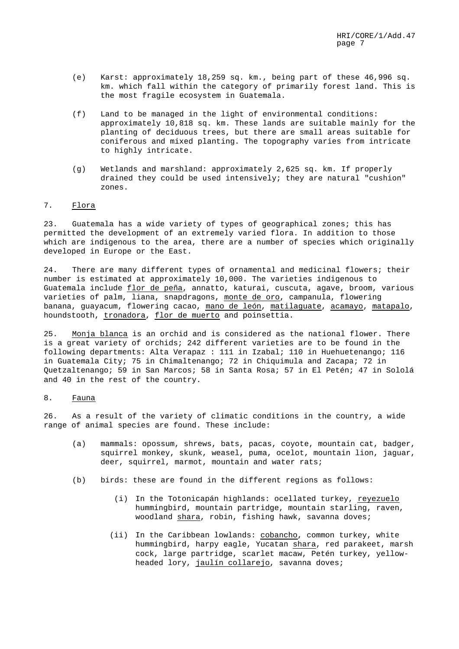- (e) Karst: approximately 18,259 sq. km., being part of these 46,996 sq. km. which fall within the category of primarily forest land. This is the most fragile ecosystem in Guatemala.
- (f) Land to be managed in the light of environmental conditions: approximately 10,818 sq. km. These lands are suitable mainly for the planting of deciduous trees, but there are small areas suitable for coniferous and mixed planting. The topography varies from intricate to highly intricate.
- (g) Wetlands and marshland: approximately 2,625 sq. km. If properly drained they could be used intensively; they are natural "cushion" zones.

## 7. Flora

23. Guatemala has a wide variety of types of geographical zones; this has permitted the development of an extremely varied flora. In addition to those which are indigenous to the area, there are a number of species which originally developed in Europe or the East.

24. There are many different types of ornamental and medicinal flowers; their number is estimated at approximately 10,000. The varieties indigenous to Guatemala include *flor de peña*, annatto, katurai, cuscuta, agave, broom, various varieties of palm, liana, snapdragons, monte de oro, campanula, flowering banana, guayacum, flowering cacao, mano de león, matilaguate, acamayo, matapalo, houndstooth, tronadora, flor de muerto and poinsettia.

25. Monja blanca is an orchid and is considered as the national flower. There is a great variety of orchids; 242 different varieties are to be found in the following departments: Alta Verapaz : 111 in Izabal; 110 in Huehuetenango; 116 in Guatemala City; 75 in Chimaltenango; 72 in Chiquimula and Zacapa; 72 in Quetzaltenango; 59 in San Marcos; 58 in Santa Rosa; 57 in El Petén; 47 in Sololá and 40 in the rest of the country.

#### 8. Fauna

26. As a result of the variety of climatic conditions in the country, a wide range of animal species are found. These include:

- (a) mammals: opossum, shrews, bats, pacas, coyote, mountain cat, badger, squirrel monkey, skunk, weasel, puma, ocelot, mountain lion, jaguar, deer, squirrel, marmot, mountain and water rats;
- (b) birds: these are found in the different regions as follows:
	- (i) In the Totonicapán highlands: ocellated turkey, reyezuelo hummingbird, mountain partridge, mountain starling, raven, woodland shara, robin, fishing hawk, savanna doves;
	- (ii) In the Caribbean lowlands: cobancho, common turkey, white hummingbird, harpy eagle, Yucatan shara, red parakeet, marsh cock, large partridge, scarlet macaw, Petén turkey, yellowheaded lory, jaulín collarejo, savanna doves;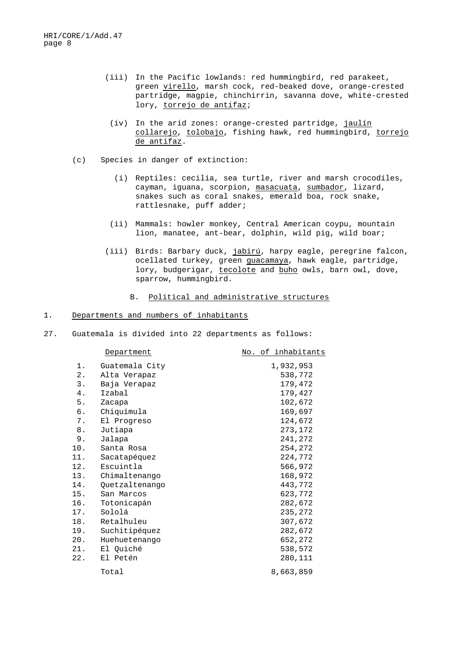- (iii) In the Pacific lowlands: red hummingbird, red parakeet, green virello, marsh cock, red-beaked dove, orange-crested partridge, magpie, chinchirrin, savanna dove, white-crested lory, torrejo de antifaz;
- (iv) In the arid zones: orange-crested partridge, jaulín collarejo, tolobajo, fishing hawk, red hummingbird, torrejo de antifaz.
- (c) Species in danger of extinction:
	- (i) Reptiles: cecilia, sea turtle, river and marsh crocodiles, cayman, iguana, scorpion, masacuata, sumbador, lizard, snakes such as coral snakes, emerald boa, rock snake, rattlesnake, puff adder;
	- (ii) Mammals: howler monkey, Central American coypu, mountain lion, manatee, ant-bear, dolphin, wild pig, wild boar;
	- (iii) Birds: Barbary duck, jabirú, harpy eagle, peregrine falcon, ocellated turkey, green guacamaya, hawk eagle, partridge, lory, budgerigar, tecolote and buho owls, barn owl, dove, sparrow, hummingbird.
		- B. Political and administrative structures

# 1. Departments and numbers of inhabitants

27. Guatemala is divided into 22 departments as follows:

|     | Department     | No. of inhabitants |
|-----|----------------|--------------------|
| 1.  | Guatemala City | 1,932,953          |
| 2.  | Alta Verapaz   | 538,772            |
| 3.  | Baja Verapaz   | 179,472            |
| 4.  | Izabal         | 179,427            |
| 5.  | Zacapa         | 102,672            |
| б.  | Chiquimula     | 169,697            |
| 7.  | El Progreso    | 124,672            |
| 8.  | Jutiapa        | 273,172            |
| 9.  | Jalapa         | 241,272            |
| 10. | Santa Rosa     | 254,272            |
| 11. | Sacatapéquez   | 224,772            |
| 12. | Escuintla      | 566,972            |
| 13. | Chimaltenango  | 168,972            |
| 14. | Quetzaltenango | 443,772            |
| 15. | San Marcos     | 623,772            |
| 16. | Totonicapán    | 282,672            |
| 17. | Sololá         | 235,272            |
| 18. | Retalhuleu     | 307,672            |
| 19. | Suchitipéquez  | 282,672            |
| 20. | Huehuetenango  | 652,272            |
| 21. | El Quiché      | 538,572            |
| 22. | El Petén       | 280,111            |
|     | Total          | 8,663,859          |
|     |                |                    |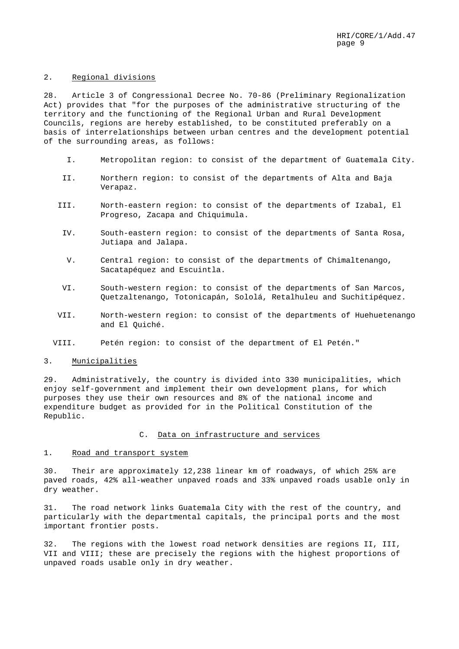## 2. Regional divisions

28. Article 3 of Congressional Decree No. 70-86 (Preliminary Regionalization Act) provides that "for the purposes of the administrative structuring of the territory and the functioning of the Regional Urban and Rural Development Councils, regions are hereby established, to be constituted preferably on a basis of interrelationships between urban centres and the development potential of the surrounding areas, as follows:

- I. Metropolitan region: to consist of the department of Guatemala City.
- II. Northern region: to consist of the departments of Alta and Baja Verapaz.
- III. North-eastern region: to consist of the departments of Izabal, El Progreso, Zacapa and Chiquimula.
	- IV. South-eastern region: to consist of the departments of Santa Rosa, Jutiapa and Jalapa.
	- V. Central region: to consist of the departments of Chimaltenango, Sacatapéquez and Escuintla.
- VI. South-western region: to consist of the departments of San Marcos, Quetzaltenango, Totonicapán, Sololá, Retalhuleu and Suchitipéquez.
- VII. North-western region: to consist of the departments of Huehuetenango and El Quiché.
- VIII. Petén region: to consist of the department of El Petén."

## 3. Municipalities

29. Administratively, the country is divided into 330 municipalities, which enjoy self-government and implement their own development plans, for which purposes they use their own resources and 8% of the national income and expenditure budget as provided for in the Political Constitution of the Republic.

## C. Data on infrastructure and services

# 1. Road and transport system

30. Their are approximately 12,238 linear km of roadways, of which 25% are paved roads, 42% all-weather unpaved roads and 33% unpaved roads usable only in dry weather.

31. The road network links Guatemala City with the rest of the country, and particularly with the departmental capitals, the principal ports and the most important frontier posts.

32. The regions with the lowest road network densities are regions II, III, VII and VIII; these are precisely the regions with the highest proportions of unpaved roads usable only in dry weather.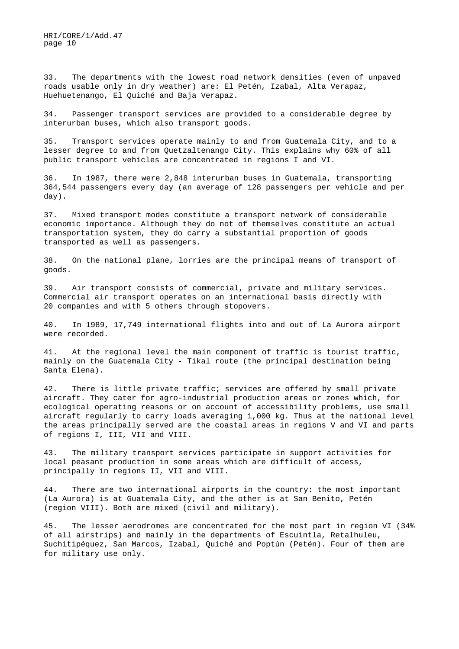33. The departments with the lowest road network densities (even of unpaved roads usable only in dry weather) are: El Petén, Izabal, Alta Verapaz, Huehuetenango, El Quiché and Baja Verapaz.

34. Passenger transport services are provided to a considerable degree by interurban buses, which also transport goods.

35. Transport services operate mainly to and from Guatemala City, and to a lesser degree to and from Quetzaltenango City. This explains why 60% of all public transport vehicles are concentrated in regions I and VI.

36. In 1987, there were 2,848 interurban buses in Guatemala, transporting 364,544 passengers every day (an average of 128 passengers per vehicle and per day).

37. Mixed transport modes constitute a transport network of considerable economic importance. Although they do not of themselves constitute an actual transportation system, they do carry a substantial proportion of goods transported as well as passengers.

38. On the national plane, lorries are the principal means of transport of goods.

39. Air transport consists of commercial, private and military services. Commercial air transport operates on an international basis directly with 20 companies and with 5 others through stopovers.

40. In 1989, 17,749 international flights into and out of La Aurora airport were recorded.

41. At the regional level the main component of traffic is tourist traffic, mainly on the Guatemala City - Tikal route (the principal destination being Santa Elena).

42. There is little private traffic; services are offered by small private aircraft. They cater for agro-industrial production areas or zones which, for ecological operating reasons or on account of accessibility problems, use small aircraft regularly to carry loads averaging 1,000 kg. Thus at the national level the areas principally served are the coastal areas in regions V and VI and parts of regions I, III, VII and VIII.

43. The military transport services participate in support activities for local peasant production in some areas which are difficult of access, principally in regions II, VII and VIII.

44. There are two international airports in the country: the most important (La Aurora) is at Guatemala City, and the other is at San Benito, Petén (region VIII). Both are mixed (civil and military).

45. The lesser aerodromes are concentrated for the most part in region VI (34% of all airstrips) and mainly in the departments of Escuintla, Retalhuleu, Suchitipéquez, San Marcos, Izabal, Quiché and Poptún (Petén). Four of them are for military use only.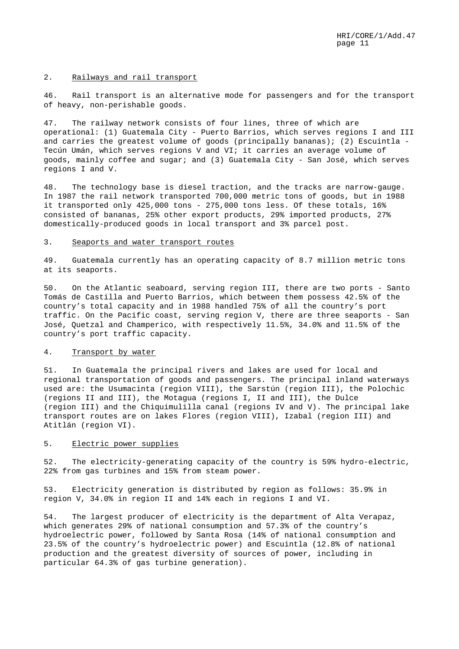#### 2. Railways and rail transport

46. Rail transport is an alternative mode for passengers and for the transport of heavy, non-perishable goods.

47. The railway network consists of four lines, three of which are operational: (1) Guatemala City - Puerto Barrios, which serves regions I and III and carries the greatest volume of goods (principally bananas); (2) Escuintla - Tecún Umán, which serves regions V and VI; it carries an average volume of goods, mainly coffee and sugar; and (3) Guatemala City - San José, which serves regions I and V.

48. The technology base is diesel traction, and the tracks are narrow-gauge. In 1987 the rail network transported 700,000 metric tons of goods, but in 1988 it transported only 425,000 tons - 275,000 tons less. Of these totals, 16% consisted of bananas, 25% other export products, 29% imported products, 27% domestically-produced goods in local transport and 3% parcel post.

## 3. Seaports and water transport routes

49. Guatemala currently has an operating capacity of 8.7 million metric tons at its seaports.

50. On the Atlantic seaboard, serving region III, there are two ports - Santo Tomás de Castilla and Puerto Barrios, which between them possess 42.5% of the country's total capacity and in 1988 handled 75% of all the country's port traffic. On the Pacific coast, serving region V, there are three seaports - San José, Quetzal and Champerico, with respectively 11.5%, 34.0% and 11.5% of the country's port traffic capacity.

# 4. Transport by water

51. In Guatemala the principal rivers and lakes are used for local and regional transportation of goods and passengers. The principal inland waterways used are: the Usumacinta (region VIII), the Sarstún (region III), the Polochic (regions II and III), the Motagua (regions I, II and III), the Dulce (region III) and the Chiquimulilla canal (regions IV and V). The principal lake transport routes are on lakes Flores (region VIII), Izabal (region III) and Atitlán (region VI).

## 5. Electric power supplies

52. The electricity-generating capacity of the country is 59% hydro-electric, 22% from gas turbines and 15% from steam power.

53. Electricity generation is distributed by region as follows: 35.9% in region V, 34.0% in region II and 14% each in regions I and VI.

54. The largest producer of electricity is the department of Alta Verapaz, which generates 29% of national consumption and 57.3% of the country's hydroelectric power, followed by Santa Rosa (14% of national consumption and 23.5% of the country's hydroelectric power) and Escuintla (12.8% of national production and the greatest diversity of sources of power, including in particular 64.3% of gas turbine generation).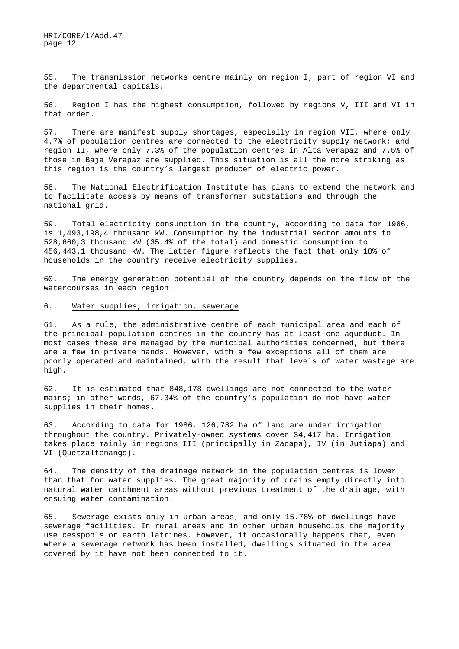55. The transmission networks centre mainly on region I, part of region VI and the departmental capitals.

56. Region I has the highest consumption, followed by regions V, III and VI in that order.

57. There are manifest supply shortages, especially in region VII, where only 4.7% of population centres are connected to the electricity supply network; and region II, where only 7.3% of the population centres in Alta Verapaz and 7.5% of those in Baja Verapaz are supplied. This situation is all the more striking as this region is the country's largest producer of electric power.

58. The National Electrification Institute has plans to extend the network and to facilitate access by means of transformer substations and through the national grid.

59. Total electricity consumption in the country, according to data for 1986, is 1,493,198,4 thousand kW. Consumption by the industrial sector amounts to 528,660,3 thousand kW (35.4% of the total) and domestic consumption to 456,443.1 thousand kW. The latter figure reflects the fact that only 18% of households in the country receive electricity supplies.

60. The energy generation potential of the country depends on the flow of the watercourses in each region.

#### 6. Water supplies, irrigation, sewerage

61. As a rule, the administrative centre of each municipal area and each of the principal population centres in the country has at least one aqueduct. In most cases these are managed by the municipal authorities concerned, but there are a few in private hands. However, with a few exceptions all of them are poorly operated and maintained, with the result that levels of water wastage are high.

62. It is estimated that 848,178 dwellings are not connected to the water mains; in other words, 67.34% of the country's population do not have water supplies in their homes.

63. According to data for 1986, 126,782 ha of land are under irrigation throughout the country. Privately-owned systems cover 34,417 ha. Irrigation takes place mainly in regions III (principally in Zacapa), IV (in Jutiapa) and VI (Quetzaltenango).

64. The density of the drainage network in the population centres is lower than that for water supplies. The great majority of drains empty directly into natural water catchment areas without previous treatment of the drainage, with ensuing water contamination.

65. Sewerage exists only in urban areas, and only 15.78% of dwellings have sewerage facilities. In rural areas and in other urban households the majority use cesspools or earth latrines. However, it occasionally happens that, even where a sewerage network has been installed, dwellings situated in the area covered by it have not been connected to it.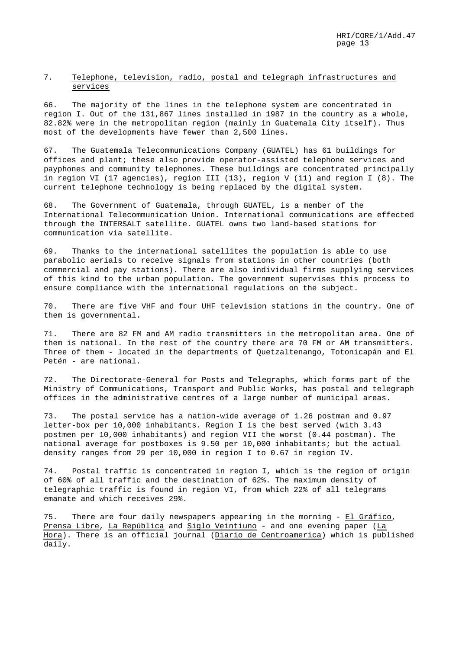# 7. Telephone, television, radio, postal and telegraph infrastructures and services

66. The majority of the lines in the telephone system are concentrated in region I. Out of the 131,867 lines installed in 1987 in the country as a whole, 82.82% were in the metropolitan region (mainly in Guatemala City itself). Thus most of the developments have fewer than 2,500 lines.

67. The Guatemala Telecommunications Company (GUATEL) has 61 buildings for offices and plant; these also provide operator-assisted telephone services and payphones and community telephones. These buildings are concentrated principally in region VI (17 agencies), region III (13), region V (11) and region I (8). The current telephone technology is being replaced by the digital system.

68. The Government of Guatemala, through GUATEL, is a member of the International Telecommunication Union. International communications are effected through the INTERSALT satellite. GUATEL owns two land-based stations for communication via satellite.

69. Thanks to the international satellites the population is able to use parabolic aerials to receive signals from stations in other countries (both commercial and pay stations). There are also individual firms supplying services of this kind to the urban population. The government supervises this process to ensure compliance with the international regulations on the subject.

70. There are five VHF and four UHF television stations in the country. One of them is governmental.

71. There are 82 FM and AM radio transmitters in the metropolitan area. One of them is national. In the rest of the country there are 70 FM or AM transmitters. Three of them - located in the departments of Quetzaltenango, Totonicapán and El Petén - are national.

72. The Directorate-General for Posts and Telegraphs, which forms part of the Ministry of Communications, Transport and Public Works, has postal and telegraph offices in the administrative centres of a large number of municipal areas.

73. The postal service has a nation-wide average of 1.26 postman and 0.97 letter-box per 10,000 inhabitants. Region I is the best served (with 3.43 postmen per 10,000 inhabitants) and region VII the worst (0.44 postman). The national average for postboxes is 9.50 per 10,000 inhabitants; but the actual density ranges from 29 per 10,000 in region I to 0.67 in region IV.

74. Postal traffic is concentrated in region I, which is the region of origin of 60% of all traffic and the destination of 62%. The maximum density of telegraphic traffic is found in region VI, from which 22% of all telegrams emanate and which receives 29%.

75. There are four daily newspapers appearing in the morning - El Gráfico, Prensa Libre, La República and Siglo Veintiuno - and one evening paper (La Hora). There is an official journal (Diario de Centroamerica) which is published daily.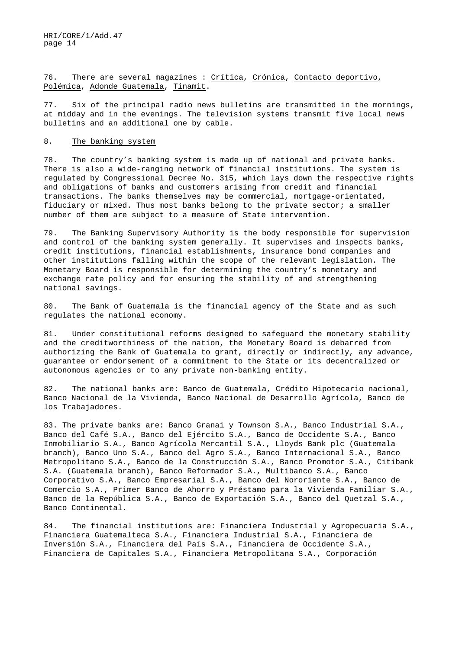76. There are several magazines : Crítica, Crónica, Contacto deportivo, Polémica, Adonde Guatemala, Tinamit.

77. Six of the principal radio news bulletins are transmitted in the mornings, at midday and in the evenings. The television systems transmit five local news bulletins and an additional one by cable.

### 8. The banking system

78. The country's banking system is made up of national and private banks. There is also a wide-ranging network of financial institutions. The system is regulated by Congressional Decree No. 315, which lays down the respective rights and obligations of banks and customers arising from credit and financial transactions. The banks themselves may be commercial, mortgage-orientated, fiduciary or mixed. Thus most banks belong to the private sector; a smaller number of them are subject to a measure of State intervention.

79. The Banking Supervisory Authority is the body responsible for supervision and control of the banking system generally. It supervises and inspects banks, credit institutions, financial establishments, insurance bond companies and other institutions falling within the scope of the relevant legislation. The Monetary Board is responsible for determining the country's monetary and exchange rate policy and for ensuring the stability of and strengthening national savings.

80. The Bank of Guatemala is the financial agency of the State and as such regulates the national economy.

81. Under constitutional reforms designed to safeguard the monetary stability and the creditworthiness of the nation, the Monetary Board is debarred from authorizing the Bank of Guatemala to grant, directly or indirectly, any advance, guarantee or endorsement of a commitment to the State or its decentralized or autonomous agencies or to any private non-banking entity.

82. The national banks are: Banco de Guatemala, Crédito Hipotecario nacional, Banco Nacional de la Vivienda, Banco Nacional de Desarrollo Agrícola, Banco de los Trabajadores.

83. The private banks are: Banco Granai y Townson S.A., Banco Industrial S.A., Banco del Café S.A., Banco del Ejército S.A., Banco de Occidente S.A., Banco Inmobiliario S.A., Banco Agrícola Mercantil S.A., Lloyds Bank plc (Guatemala branch), Banco Uno S.A., Banco del Agro S.A., Banco Internacional S.A., Banco Metropolitano S.A., Banco de la Construcción S.A., Banco Promotor S.A., Citibank S.A. (Guatemala branch), Banco Reformador S.A., Multibanco S.A., Banco Corporativo S.A., Banco Empresarial S.A., Banco del Nororiente S.A., Banco de Comercio S.A., Primer Banco de Ahorro y Préstamo para la Vivienda Familiar S.A., Banco de la República S.A., Banco de Exportación S.A., Banco del Quetzal S.A., Banco Continental.

84. The financial institutions are: Financiera Industrial y Agropecuaria S.A., Financiera Guatemalteca S.A., Financiera Industrial S.A., Financiera de Inversión S.A., Financiera del País S.A., Financiera de Occidente S.A., Financiera de Capitales S.A., Financiera Metropolitana S.A., Corporación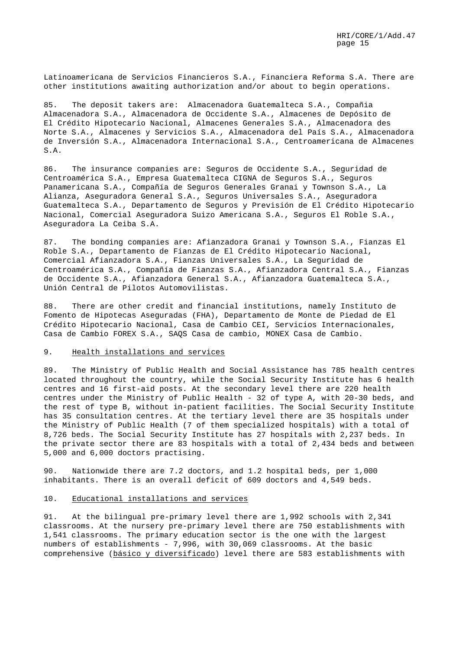Latinoamericana de Servicios Financieros S.A., Financiera Reforma S.A. There are other institutions awaiting authorization and/or about to begin operations.

85. The deposit takers are: Almacenadora Guatemalteca S.A., Compañia Almacenadora S.A., Almacenadora de Occidente S.A., Almacenes de Depósito de El Crédito Hipotecario Nacional, Almacenes Generales S.A., Almacenadora des Norte S.A., Almacenes y Servicios S.A., Almacenadora del País S.A., Almacenadora de Inversión S.A., Almacenadora Internacional S.A., Centroamericana de Almacenes S.A.

86. The insurance companies are: Seguros de Occidente S.A., Seguridad de Centroamérica S.A., Empresa Guatemalteca CIGNA de Seguros S.A., Seguros Panamericana S.A., Compañía de Seguros Generales Granai y Townson S.A., La Alianza, Aseguradora General S.A., Seguros Universales S.A., Aseguradora Guatemalteca S.A., Departamento de Seguros y Previsión de El Crédito Hipotecario Nacional, Comercial Aseguradora Suizo Americana S.A., Seguros El Roble S.A., Aseguradora La Ceiba S.A.

87. The bonding companies are: Afianzadora Granai y Townson S.A., Fianzas El Roble S.A., Departamento de Fianzas de El Crédito Hipotecario Nacional, Comercial Afianzadora S.A., Fianzas Universales S.A., La Seguridad de Centroamérica S.A., Compañía de Fianzas S.A., Afianzadora Central S.A., Fianzas de Occidente S.A., Afianzadora General S.A., Afianzadora Guatemalteca S.A., Unión Central de Pilotos Automovilistas.

88. There are other credit and financial institutions, namely Instituto de Fomento de Hipotecas Aseguradas (FHA), Departamento de Monte de Piedad de El Crédito Hipotecario Nacional, Casa de Cambio CEI, Servicios Internacionales, Casa de Cambio FOREX S.A., SAQS Casa de cambio, MONEX Casa de Cambio.

# 9. Health installations and services

89. The Ministry of Public Health and Social Assistance has 785 health centres located throughout the country, while the Social Security Institute has 6 health centres and 16 first-aid posts. At the secondary level there are 220 health centres under the Ministry of Public Health - 32 of type A, with 20-30 beds, and the rest of type B, without in-patient facilities. The Social Security Institute has 35 consultation centres. At the tertiary level there are 35 hospitals under the Ministry of Public Health (7 of them specialized hospitals) with a total of 8,726 beds. The Social Security Institute has 27 hospitals with 2,237 beds. In the private sector there are 83 hospitals with a total of 2,434 beds and between 5,000 and 6,000 doctors practising.

90. Nationwide there are 7.2 doctors, and 1.2 hospital beds, per 1,000 inhabitants. There is an overall deficit of 609 doctors and 4,549 beds.

#### 10. Educational installations and services

91. At the bilingual pre-primary level there are 1,992 schools with 2,341 classrooms. At the nursery pre-primary level there are 750 establishments with 1,541 classrooms. The primary education sector is the one with the largest numbers of establishments - 7,996, with 30,069 classrooms. At the basic comprehensive (básico y diversificado) level there are 583 establishments with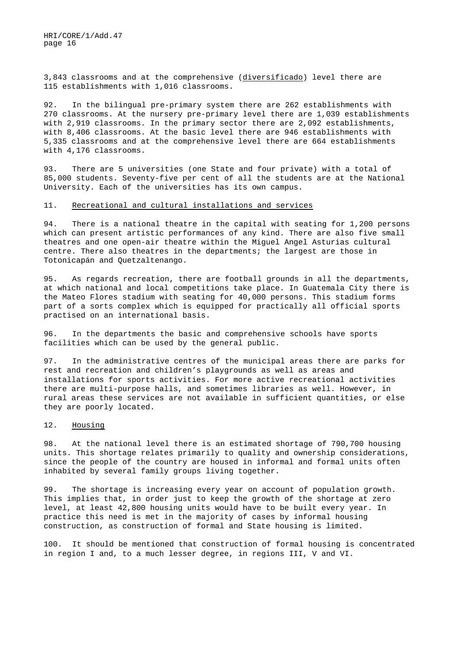3,843 classrooms and at the comprehensive (diversificado) level there are 115 establishments with 1,016 classrooms.

92. In the bilingual pre-primary system there are 262 establishments with 270 classrooms. At the nursery pre-primary level there are 1,039 establishments with 2,919 classrooms. In the primary sector there are 2,092 establishments, with 8,406 classrooms. At the basic level there are 946 establishments with 5,335 classrooms and at the comprehensive level there are 664 establishments with 4,176 classrooms.

93. There are 5 universities (one State and four private) with a total of 85,000 students. Seventy-five per cent of all the students are at the National University. Each of the universities has its own campus.

## 11. Recreational and cultural installations and services

94. There is a national theatre in the capital with seating for 1,200 persons which can present artistic performances of any kind. There are also five small theatres and one open-air theatre within the Miguel Angel Asturias cultural centre. There also theatres in the departments; the largest are those in Totonicapán and Quetzaltenango.

95. As regards recreation, there are football grounds in all the departments, at which national and local competitions take place. In Guatemala City there is the Mateo Flores stadium with seating for 40,000 persons. This stadium forms part of a sorts complex which is equipped for practically all official sports practised on an international basis.

96. In the departments the basic and comprehensive schools have sports facilities which can be used by the general public.

97. In the administrative centres of the municipal areas there are parks for rest and recreation and children's playgrounds as well as areas and installations for sports activities. For more active recreational activities there are multi-purpose halls, and sometimes libraries as well. However, in rural areas these services are not available in sufficient quantities, or else they are poorly located.

#### 12. Housing

98. At the national level there is an estimated shortage of 790,700 housing units. This shortage relates primarily to quality and ownership considerations, since the people of the country are housed in informal and formal units often inhabited by several family groups living together.

99. The shortage is increasing every year on account of population growth. This implies that, in order just to keep the growth of the shortage at zero level, at least 42,800 housing units would have to be built every year. In practice this need is met in the majority of cases by informal housing construction, as construction of formal and State housing is limited.

100. It should be mentioned that construction of formal housing is concentrated in region I and, to a much lesser degree, in regions III, V and VI.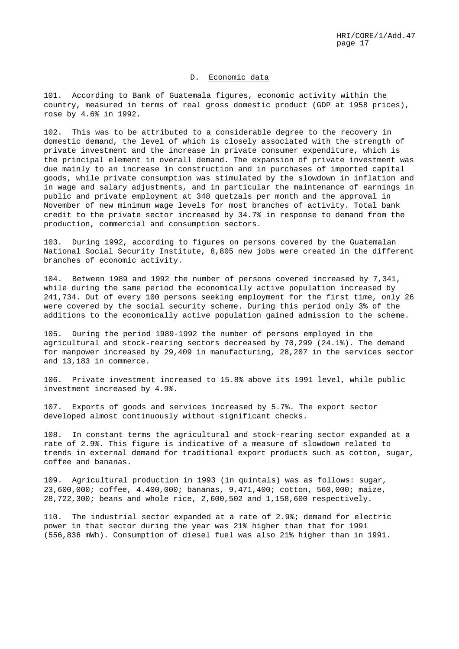# D. Economic data

101. According to Bank of Guatemala figures, economic activity within the country, measured in terms of real gross domestic product (GDP at 1958 prices), rose by 4.6% in 1992.

102. This was to be attributed to a considerable degree to the recovery in domestic demand, the level of which is closely associated with the strength of private investment and the increase in private consumer expenditure, which is the principal element in overall demand. The expansion of private investment was due mainly to an increase in construction and in purchases of imported capital goods, while private consumption was stimulated by the slowdown in inflation and in wage and salary adjustments, and in particular the maintenance of earnings in public and private employment at 348 quetzals per month and the approval in November of new minimum wage levels for most branches of activity. Total bank credit to the private sector increased by 34.7% in response to demand from the production, commercial and consumption sectors.

103. During 1992, according to figures on persons covered by the Guatemalan National Social Security Institute, 8,805 new jobs were created in the different branches of economic activity.

104. Between 1989 and 1992 the number of persons covered increased by 7,341, while during the same period the economically active population increased by 241,734. Out of every 100 persons seeking employment for the first time, only 26 were covered by the social security scheme. During this period only 3% of the additions to the economically active population gained admission to the scheme.

105. During the period 1989-1992 the number of persons employed in the agricultural and stock-rearing sectors decreased by 70,299 (24.1%). The demand for manpower increased by 29,409 in manufacturing, 28,207 in the services sector and 13,183 in commerce.

106. Private investment increased to 15.8% above its 1991 level, while public investment increased by 4.9%.

107. Exports of goods and services increased by 5.7%. The export sector developed almost continuously without significant checks.

108. In constant terms the agricultural and stock-rearing sector expanded at a rate of 2.9%. This figure is indicative of a measure of slowdown related to trends in external demand for traditional export products such as cotton, sugar, coffee and bananas.

109. Agricultural production in 1993 (in quintals) was as follows: sugar, 23,600,000; coffee, 4.400,000; bananas, 9,471,400; cotton, 560,000; maize, 28,722,300; beans and whole rice, 2,600,502 and 1,158,600 respectively.

110. The industrial sector expanded at a rate of 2.9%; demand for electric power in that sector during the year was 21% higher than that for 1991 (556,836 mWh). Consumption of diesel fuel was also 21% higher than in 1991.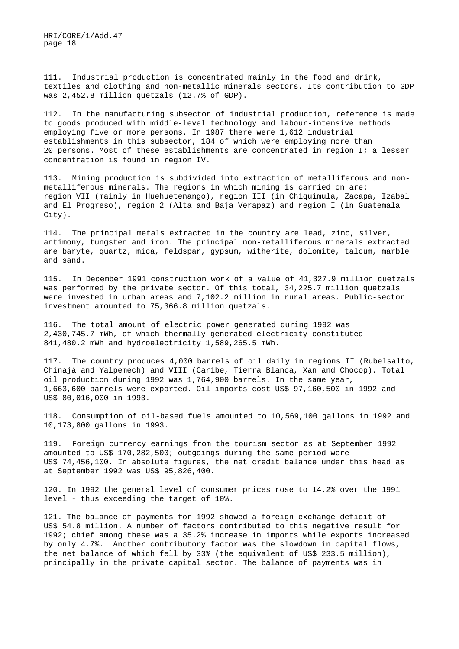111. Industrial production is concentrated mainly in the food and drink, textiles and clothing and non-metallic minerals sectors. Its contribution to GDP was 2,452.8 million quetzals (12.7% of GDP).

112. In the manufacturing subsector of industrial production, reference is made to goods produced with middle-level technology and labour-intensive methods employing five or more persons. In 1987 there were 1,612 industrial establishments in this subsector, 184 of which were employing more than 20 persons. Most of these establishments are concentrated in region I; a lesser concentration is found in region IV.

113. Mining production is subdivided into extraction of metalliferous and nonmetalliferous minerals. The regions in which mining is carried on are: region VII (mainly in Huehuetenango), region III (in Chiquimula, Zacapa, Izabal and El Progreso), region 2 (Alta and Baja Verapaz) and region I (in Guatemala City).

114. The principal metals extracted in the country are lead, zinc, silver, antimony, tungsten and iron. The principal non-metalliferous minerals extracted are baryte, quartz, mica, feldspar, gypsum, witherite, dolomite, talcum, marble and sand.

115. In December 1991 construction work of a value of 41,327.9 million quetzals was performed by the private sector. Of this total, 34,225.7 million quetzals were invested in urban areas and 7,102.2 million in rural areas. Public-sector investment amounted to 75,366.8 million quetzals.

116. The total amount of electric power generated during 1992 was 2,430,745.7 mWh, of which thermally generated electricity constituted 841,480.2 mWh and hydroelectricity 1,589,265.5 mWh.

117. The country produces 4,000 barrels of oil daily in regions II (Rubelsalto, Chinajá and Yalpemech) and VIII (Caribe, Tierra Blanca, Xan and Chocop). Total oil production during 1992 was 1,764,900 barrels. In the same year, 1,663,600 barrels were exported. Oil imports cost US\$ 97,160,500 in 1992 and US\$ 80,016,000 in 1993.

118. Consumption of oil-based fuels amounted to 10,569,100 gallons in 1992 and 10,173,800 gallons in 1993.

119. Foreign currency earnings from the tourism sector as at September 1992 amounted to US\$ 170,282,500; outgoings during the same period were US\$ 74,456,100. In absolute figures, the net credit balance under this head as at September 1992 was US\$ 95,826,400.

120. In 1992 the general level of consumer prices rose to 14.2% over the 1991 level - thus exceeding the target of 10%.

121. The balance of payments for 1992 showed a foreign exchange deficit of US\$ 54.8 million. A number of factors contributed to this negative result for 1992; chief among these was a 35.2% increase in imports while exports increased by only 4.7%. Another contributory factor was the slowdown in capital flows, the net balance of which fell by 33% (the equivalent of US\$ 233.5 million), principally in the private capital sector. The balance of payments was in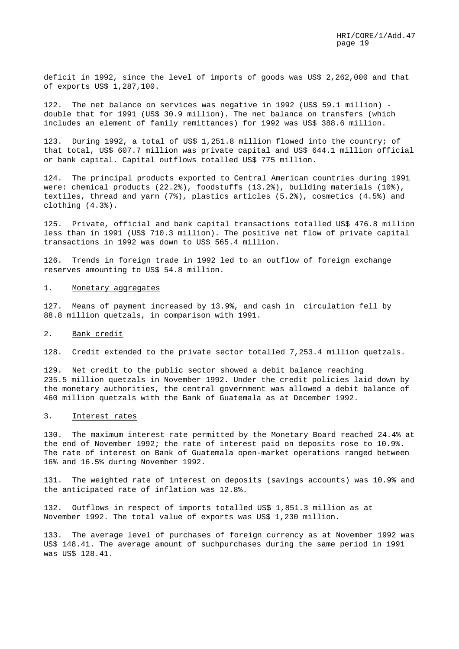deficit in 1992, since the level of imports of goods was US\$ 2,262,000 and that of exports US\$ 1,287,100.

122. The net balance on services was negative in 1992 (US\$ 59.1 million) double that for 1991 (US\$ 30.9 million). The net balance on transfers (which includes an element of family remittances) for 1992 was US\$ 388.6 million.

123. During 1992, a total of US\$ 1,251.8 million flowed into the country; of that total, US\$ 607.7 million was private capital and US\$ 644.1 million official or bank capital. Capital outflows totalled US\$ 775 million.

124. The principal products exported to Central American countries during 1991 were: chemical products (22.2%), foodstuffs (13.2%), building materials (10%), textiles, thread and yarn (7%), plastics articles (5.2%), cosmetics (4.5%) and clothing (4.3%).

125. Private, official and bank capital transactions totalled US\$ 476.8 million less than in 1991 (US\$ 710.3 million). The positive net flow of private capital transactions in 1992 was down to US\$ 565.4 million.

126. Trends in foreign trade in 1992 led to an outflow of foreign exchange reserves amounting to US\$ 54.8 million.

#### 1. Monetary aggregates

127. Means of payment increased by 13.9%, and cash in circulation fell by 88.8 million quetzals, in comparison with 1991.

#### 2. Bank credit

128. Credit extended to the private sector totalled 7,253.4 million quetzals.

129. Net credit to the public sector showed a debit balance reaching 235.5 million quetzals in November 1992. Under the credit policies laid down by the monetary authorities, the central government was allowed a debit balance of 460 million quetzals with the Bank of Guatemala as at December 1992.

#### 3. Interest rates

130. The maximum interest rate permitted by the Monetary Board reached 24.4% at the end of November 1992; the rate of interest paid on deposits rose to 10.9%. The rate of interest on Bank of Guatemala open-market operations ranged between 16% and 16.5% during November 1992.

131. The weighted rate of interest on deposits (savings accounts) was 10.9% and the anticipated rate of inflation was 12.8%.

132. Outflows in respect of imports totalled US\$ 1,851.3 million as at November 1992. The total value of exports was US\$ 1,230 million.

133. The average level of purchases of foreign currency as at November 1992 was US\$ 148.41. The average amount of suchpurchases during the same period in 1991 was US\$ 128.41.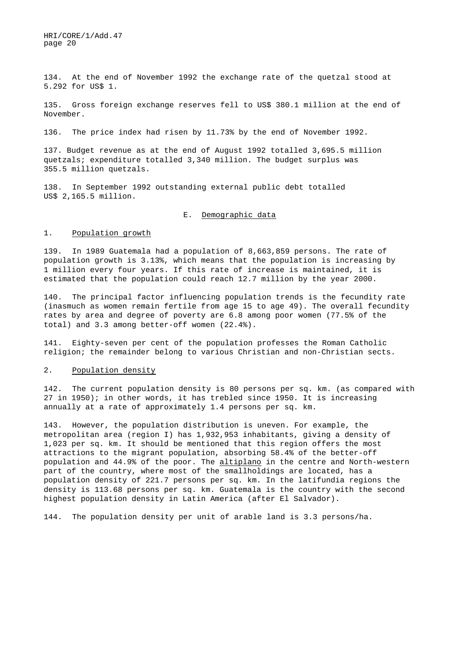134. At the end of November 1992 the exchange rate of the quetzal stood at 5.292 for US\$ 1.

135. Gross foreign exchange reserves fell to US\$ 380.1 million at the end of November.

136. The price index had risen by 11.73% by the end of November 1992.

137. Budget revenue as at the end of August 1992 totalled 3,695.5 million quetzals; expenditure totalled 3,340 million. The budget surplus was 355.5 million quetzals.

138. In September 1992 outstanding external public debt totalled US\$ 2,165.5 million.

# E. Demographic data

#### 1. Population growth

139. In 1989 Guatemala had a population of 8,663,859 persons. The rate of population growth is 3.13%, which means that the population is increasing by 1 million every four years. If this rate of increase is maintained, it is estimated that the population could reach 12.7 million by the year 2000.

140. The principal factor influencing population trends is the fecundity rate (inasmuch as women remain fertile from age 15 to age 49). The overall fecundity rates by area and degree of poverty are 6.8 among poor women (77.5% of the total) and 3.3 among better-off women (22.4%).

141. Eighty-seven per cent of the population professes the Roman Catholic religion; the remainder belong to various Christian and non-Christian sects.

## 2. Population density

142. The current population density is 80 persons per sq. km. (as compared with 27 in 1950); in other words, it has trebled since 1950. It is increasing annually at a rate of approximately 1.4 persons per sq. km.

143. However, the population distribution is uneven. For example, the metropolitan area (region I) has 1,932,953 inhabitants, giving a density of 1,023 per sq. km. It should be mentioned that this region offers the most attractions to the migrant population, absorbing 58.4% of the better-off population and 44.9% of the poor. The altiplano in the centre and North-western part of the country, where most of the smallholdings are located, has a population density of 221.7 persons per sq. km. In the latifundia regions the density is 113.68 persons per sq. km. Guatemala is the country with the second highest population density in Latin America (after El Salvador).

144. The population density per unit of arable land is 3.3 persons/ha.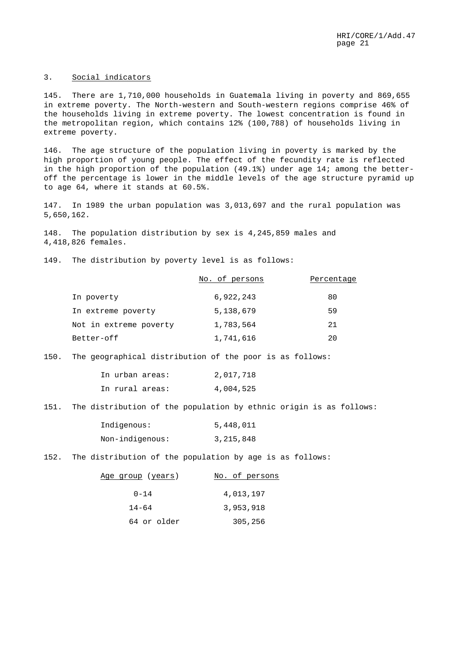## 3. Social indicators

145. There are 1,710,000 households in Guatemala living in poverty and 869,655 in extreme poverty. The North-western and South-western regions comprise 46% of the households living in extreme poverty. The lowest concentration is found in the metropolitan region, which contains 12% (100,788) of households living in extreme poverty.

146. The age structure of the population living in poverty is marked by the high proportion of young people. The effect of the fecundity rate is reflected in the high proportion of the population (49.1%) under age 14; among the betteroff the percentage is lower in the middle levels of the age structure pyramid up to age 64, where it stands at 60.5%.

147. In 1989 the urban population was 3,013,697 and the rural population was 5,650,162.

148. The population distribution by sex is 4,245,859 males and 4,418,826 females.

149. The distribution by poverty level is as follows:

|                        | No. of persons | Percentage |
|------------------------|----------------|------------|
| In poverty             | 6,922,243      | 80         |
| In extreme poverty     | 5,138,679      | 59         |
| Not in extreme poverty | 1,783,564      | 21         |
| Better-off             | 1,741,616      | 20         |

150. The geographical distribution of the poor is as follows:

|  | In urban areas: | 2,017,718 |
|--|-----------------|-----------|
|  | In rural areas: | 4,004,525 |

151. The distribution of the population by ethnic origin is as follows:

| Indigenous:     | 5,448,011   |
|-----------------|-------------|
| Non-indigenous: | 3, 215, 848 |

152. The distribution of the population by age is as follows:

| Age group (years) | No. of persons |
|-------------------|----------------|
| $0 - 14$          | 4,013,197      |
| $14 - 64$         | 3,953,918      |
| 64 or older       | 305,256        |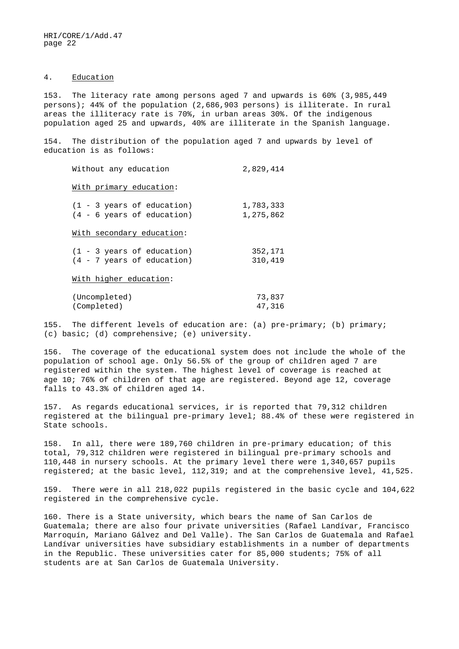# 4. Education

153. The literacy rate among persons aged 7 and upwards is 60% (3,985,449 persons); 44% of the population (2,686,903 persons) is illiterate. In rural areas the illiteracy rate is 70%, in urban areas 30%. Of the indigenous population aged 25 and upwards, 40% are illiterate in the Spanish language.

154. The distribution of the population aged 7 and upwards by level of education is as follows:

| Without any education                                                | 2,829,414              |
|----------------------------------------------------------------------|------------------------|
| With primary education:                                              |                        |
| $(1 - 3 \text{ years of education})$<br>$(4 - 6$ years of education) | 1,783,333<br>1,275,862 |
| With secondary education:                                            |                        |
| $(1 - 3 \text{ years of education})$<br>$(4 - 7$ years of education) | 352,171<br>310,419     |
| With higher education:                                               |                        |
| (Uncompleted)<br>(Completed)                                         | 73,837<br>47,316       |

155. The different levels of education are: (a) pre-primary; (b) primary; (c) basic; (d) comprehensive; (e) university.

156. The coverage of the educational system does not include the whole of the population of school age. Only 56.5% of the group of children aged 7 are registered within the system. The highest level of coverage is reached at age 10; 76% of children of that age are registered. Beyond age 12, coverage falls to 43.3% of children aged 14.

157. As regards educational services, ir is reported that 79,312 children registered at the bilingual pre-primary level; 88.4% of these were registered in State schools.

158. In all, there were 189,760 children in pre-primary education; of this total, 79,312 children were registered in bilingual pre-primary schools and 110,448 in nursery schools. At the primary level there were 1,340,657 pupils registered; at the basic level, 112,319; and at the comprehensive level, 41,525.

159. There were in all 218,022 pupils registered in the basic cycle and 104,622 registered in the comprehensive cycle.

160. There is a State university, which bears the name of San Carlos de Guatemala; there are also four private universities (Rafael Landívar, Francisco Marroquín, Mariano Gálvez and Del Valle). The San Carlos de Guatemala and Rafael Landívar universities have subsidiary establishments in a number of departments in the Republic. These universities cater for 85,000 students; 75% of all students are at San Carlos de Guatemala University.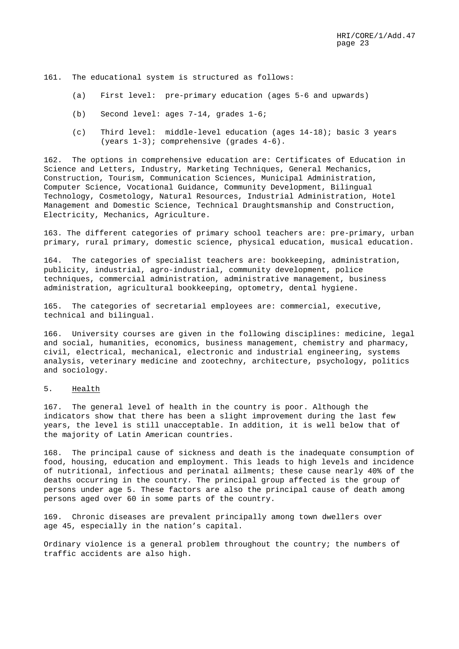161. The educational system is structured as follows:

- (a) First level: pre-primary education (ages 5-6 and upwards)
- (b) Second level: ages 7-14, grades 1-6;
- (c) Third level: middle-level education (ages 14-18); basic 3 years (years 1-3); comprehensive (grades 4-6).

162. The options in comprehensive education are: Certificates of Education in Science and Letters, Industry, Marketing Techniques, General Mechanics, Construction, Tourism, Communication Sciences, Municipal Administration, Computer Science, Vocational Guidance, Community Development, Bilingual Technology, Cosmetology, Natural Resources, Industrial Administration, Hotel Management and Domestic Science, Technical Draughtsmanship and Construction, Electricity, Mechanics, Agriculture.

163. The different categories of primary school teachers are: pre-primary, urban primary, rural primary, domestic science, physical education, musical education.

164. The categories of specialist teachers are: bookkeeping, administration, publicity, industrial, agro-industrial, community development, police techniques, commercial administration, administrative management, business administration, agricultural bookkeeping, optometry, dental hygiene.

165. The categories of secretarial employees are: commercial, executive, technical and bilingual.

166. University courses are given in the following disciplines: medicine, legal and social, humanities, economics, business management, chemistry and pharmacy, civil, electrical, mechanical, electronic and industrial engineering, systems analysis, veterinary medicine and zootechny, architecture, psychology, politics and sociology.

#### 5. Health

167. The general level of health in the country is poor. Although the indicators show that there has been a slight improvement during the last few years, the level is still unacceptable. In addition, it is well below that of the majority of Latin American countries.

168. The principal cause of sickness and death is the inadequate consumption of food, housing, education and employment. This leads to high levels and incidence of nutritional, infectious and perinatal ailments; these cause nearly 40% of the deaths occurring in the country. The principal group affected is the group of persons under age 5. These factors are also the principal cause of death among persons aged over 60 in some parts of the country.

169. Chronic diseases are prevalent principally among town dwellers over age 45, especially in the nation's capital.

Ordinary violence is a general problem throughout the country; the numbers of traffic accidents are also high.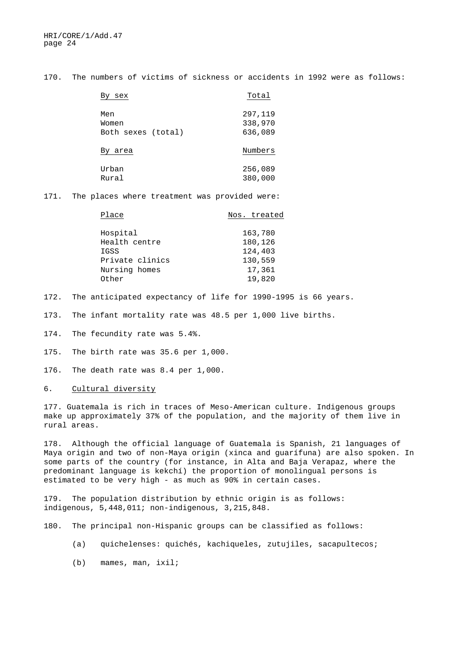170. The numbers of victims of sickness or accidents in 1992 were as follows:

| sex                | Total   |
|--------------------|---------|
| Men                | 297,119 |
| Women              | 338,970 |
| Both sexes (total) | 636,089 |
| By area            | Numbers |
| Urban              | 256,089 |
| Rural              | 380,000 |

171. The places where treatment was provided were:

| Place           | Nos. treated |
|-----------------|--------------|
|                 |              |
| Hospital        | 163,780      |
| Health centre   | 180,126      |
| IGSS            | 124,403      |
| Private clinics | 130,559      |
| Nursing homes   | 17,361       |
| Other           | 19,820       |

172. The anticipated expectancy of life for 1990-1995 is 66 years.

173. The infant mortality rate was 48.5 per 1,000 live births.

174. The fecundity rate was 5.4%.

175. The birth rate was 35.6 per 1,000.

176. The death rate was 8.4 per 1,000.

6. Cultural diversity

177. Guatemala is rich in traces of Meso-American culture. Indigenous groups make up approximately 37% of the population, and the majority of them live in rural areas.

178. Although the official language of Guatemala is Spanish, 21 languages of Maya origin and two of non-Maya origin (xinca and guarífuna) are also spoken. In some parts of the country (for instance, in Alta and Baja Verapaz, where the predominant language is kekchí) the proportion of monolingual persons is estimated to be very high - as much as 90% in certain cases.

179. The population distribution by ethnic origin is as follows: indigenous, 5,448,011; non-indigenous, 3,215,848.

180. The principal non-Hispanic groups can be classified as follows:

- (a) quichelenses: quichés, kachiqueles, zutujiles, sacapultecos;
- (b) mames, man, ixil;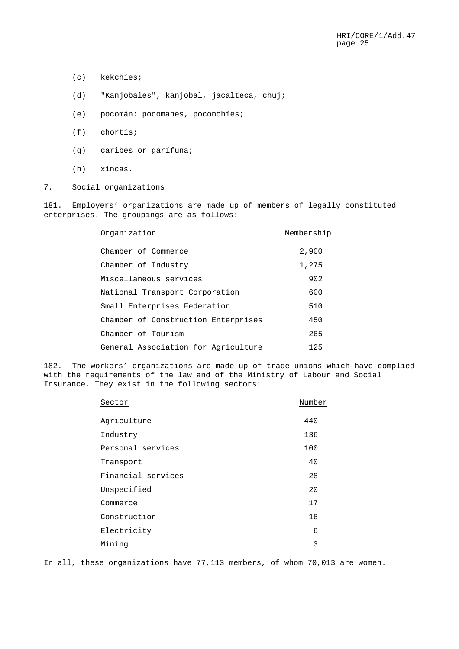- (c) kekchíes;
- (d) "Kanjobales", kanjobal, jacalteca, chuj;
- (e) pocomán: pocomanes, poconchíes;
- (f) chortís;
- (g) caribes or garífuna;
- (h) xincas.

# 7. Social organizations

181. Employers' organizations are made up of members of legally constituted enterprises. The groupings are as follows:

| Organization                        | Membership |
|-------------------------------------|------------|
| Chamber of Commerce                 | 2,900      |
| Chamber of Industry                 | 1,275      |
| Miscellaneous services              | 902        |
| National Transport Corporation      | 600        |
| Small Enterprises Federation        | 510        |
| Chamber of Construction Enterprises | 450        |
| Chamber of Tourism                  | 265        |
| General Association for Agriculture | 125        |

182. The workers' organizations are made up of trade unions which have complied with the requirements of the law and of the Ministry of Labour and Social Insurance. They exist in the following sectors:

| Sector             | Number |
|--------------------|--------|
| Agriculture        | 440    |
| Industry           | 136    |
| Personal services  | 100    |
| Transport          | 40     |
| Financial services | 28     |
| Unspecified        | 20     |
| Commerce           | 17     |
| Construction       | 16     |
| Electricity        | 6      |
| Mining             | 3      |

In all, these organizations have 77,113 members, of whom 70,013 are women.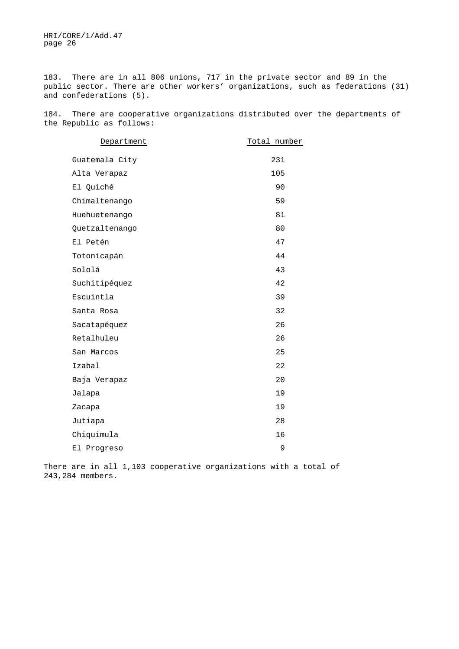183. There are in all 806 unions, 717 in the private sector and 89 in the public sector. There are other workers' organizations, such as federations (31) and confederations (5).

184. There are cooperative organizations distributed over the departments of the Republic as follows:

| Department     | Total number |
|----------------|--------------|
|                |              |
| Guatemala City | 231          |
| Alta Verapaz   | 105          |
| El Quiché      | 90           |
| Chimaltenango  | 59           |
| Huehuetenango  | 81           |
| Quetzaltenango | 80           |
| El Petén       | 47           |
| Totonicapán    | 44           |
| Sololá         | 43           |
| Suchitipéquez  | 42           |
| Escuintla      | 39           |
| Santa Rosa     | 32           |
| Sacatapéquez   | 26           |
| Retalhuleu     | 26           |
| San Marcos     | 25           |
| Izabal         | 22           |
| Baja Verapaz   | 20           |
| Jalapa         | 19           |
| Zacapa         | 19           |
| Jutiapa        | 28           |
| Chiquimula     | 16           |
| El Progreso    | 9            |

There are in all 1,103 cooperative organizations with a total of 243,284 members.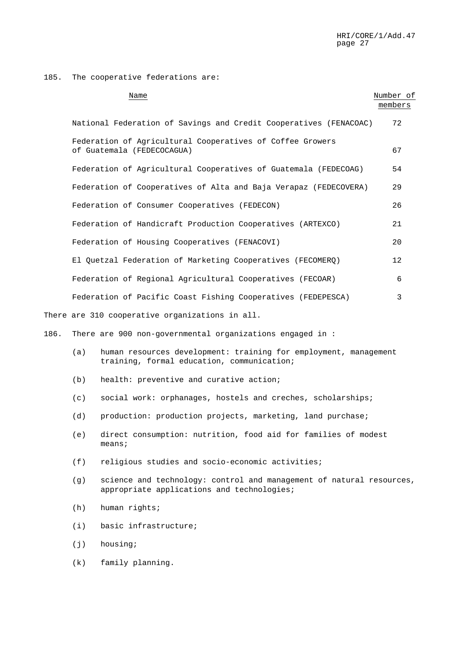185. The cooperative federations are:

|      |     | Name                                                                                                           | Number of<br>members |
|------|-----|----------------------------------------------------------------------------------------------------------------|----------------------|
|      |     | National Federation of Savings and Credit Cooperatives (FENACOAC)                                              | 72                   |
|      |     | Federation of Agricultural Cooperatives of Coffee Growers<br>of Guatemala (FEDECOCAGUA)                        | 67                   |
|      |     | Federation of Agricultural Cooperatives of Guatemala (FEDECOAG)                                                | 54                   |
|      |     | Federation of Cooperatives of Alta and Baja Verapaz (FEDECOVERA)                                               | 29                   |
|      |     | Federation of Consumer Cooperatives (FEDECON)                                                                  | 26                   |
|      |     | Federation of Handicraft Production Cooperatives (ARTEXCO)                                                     | 21                   |
|      |     | Federation of Housing Cooperatives (FENACOVI)                                                                  | 20                   |
|      |     | El Quetzal Federation of Marketing Cooperatives (FECOMERQ)                                                     | 12                   |
|      |     | Federation of Regional Agricultural Cooperatives (FECOAR)                                                      | 6                    |
|      |     | Federation of Pacific Coast Fishing Cooperatives (FEDEPESCA)                                                   | 3                    |
|      |     | There are 310 cooperative organizations in all.                                                                |                      |
| 186. |     | There are 900 non-governmental organizations engaged in :                                                      |                      |
|      | (a) | human resources development: training for employment, management<br>training, formal education, communication; |                      |
|      | (b) | health: preventive and curative action;                                                                        |                      |
|      | (c) | social work: orphanages, hostels and creches, scholarships;                                                    |                      |

- (d) production: production projects, marketing, land purchase;
- (e) direct consumption: nutrition, food aid for families of modest means;
- (f) religious studies and socio-economic activities;
- (g) science and technology: control and management of natural resources, appropriate applications and technologies;
- (h) human rights;
- (i) basic infrastructure;
- (j) housing;
- (k) family planning.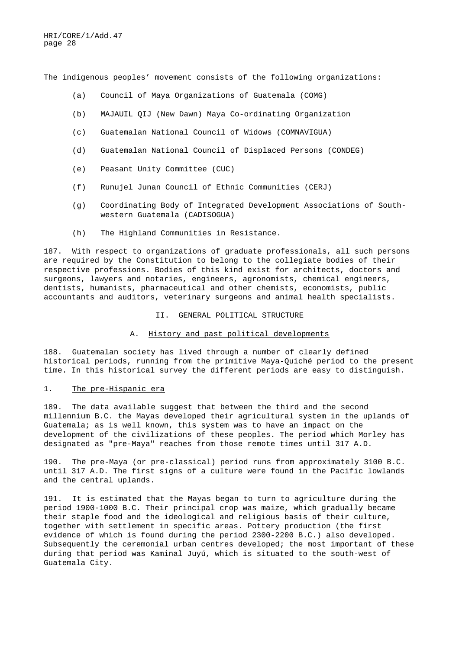The indigenous peoples' movement consists of the following organizations:

- (a) Council of Maya Organizations of Guatemala (COMG)
- (b) MAJAUIL QIJ (New Dawn) Maya Co-ordinating Organization
- (c) Guatemalan National Council of Widows (COMNAVIGUA)
- (d) Guatemalan National Council of Displaced Persons (CONDEG)
- (e) Peasant Unity Committee (CUC)
- (f) Runujel Junan Council of Ethnic Communities (CERJ)
- (g) Coordinating Body of Integrated Development Associations of Southwestern Guatemala (CADISOGUA)
- (h) The Highland Communities in Resistance.

187. With respect to organizations of graduate professionals, all such persons are required by the Constitution to belong to the collegiate bodies of their respective professions. Bodies of this kind exist for architects, doctors and surgeons, lawyers and notaries, engineers, agronomists, chemical engineers, dentists, humanists, pharmaceutical and other chemists, economists, public accountants and auditors, veterinary surgeons and animal health specialists.

II. GENERAL POLITICAL STRUCTURE

#### A. History and past political developments

188. Guatemalan society has lived through a number of clearly defined historical periods, running from the primitive Maya-Quiché period to the present time. In this historical survey the different periods are easy to distinguish.

#### 1. The pre-Hispanic era

189. The data available suggest that between the third and the second millennium B.C. the Mayas developed their agricultural system in the uplands of Guatemala; as is well known, this system was to have an impact on the development of the civilizations of these peoples. The period which Morley has designated as "pre-Maya" reaches from those remote times until 317 A.D.

190. The pre-Maya (or pre-classical) period runs from approximately 3100 B.C. until 317 A.D. The first signs of a culture were found in the Pacific lowlands and the central uplands.

191. It is estimated that the Mayas began to turn to agriculture during the period 1900-1000 B.C. Their principal crop was maize, which gradually became their staple food and the ideological and religious basis of their culture, together with settlement in specific areas. Pottery production (the first evidence of which is found during the period 2300-2200 B.C.) also developed. Subsequently the ceremonial urban centres developed; the most important of these during that period was Kaminal Juyú, which is situated to the south-west of Guatemala City.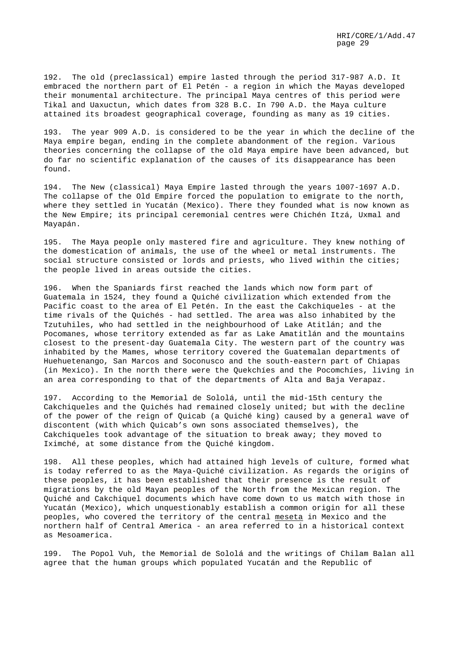192. The old (preclassical) empire lasted through the period 317-987 A.D. It embraced the northern part of El Petén - a region in which the Mayas developed their monumental architecture. The principal Maya centres of this period were Tikal and Uaxuctun, which dates from 328 B.C. In 790 A.D. the Maya culture attained its broadest geographical coverage, founding as many as 19 cities.

193. The year 909 A.D. is considered to be the year in which the decline of the Maya empire began, ending in the complete abandonment of the region. Various theories concerning the collapse of the old Maya empire have been advanced, but do far no scientific explanation of the causes of its disappearance has been found.

194. The New (classical) Maya Empire lasted through the years 1007-1697 A.D. The collapse of the Old Empire forced the population to emigrate to the north, where they settled in Yucatán (Mexico). There they founded what is now known as the New Empire; its principal ceremonial centres were Chichén Itzá, Uxmal and Mayapán.

195. The Maya people only mastered fire and agriculture. They knew nothing of the domestication of animals, the use of the wheel or metal instruments. The social structure consisted or lords and priests, who lived within the cities; the people lived in areas outside the cities.

196. When the Spaniards first reached the lands which now form part of Guatemala in 1524, they found a Quiché civilization which extended from the Pacific coast to the area of El Petén. In the east the Cakchiqueles - at the time rivals of the Quichés - had settled. The area was also inhabited by the Tzutuhiles, who had settled in the neighbourhood of Lake Atitlán; and the Pocomanes, whose territory extended as far as Lake Amatitlán and the mountains closest to the present-day Guatemala City. The western part of the country was inhabited by the Mames, whose territory covered the Guatemalan departments of Huehuetenango, San Marcos and Soconusco and the south-eastern part of Chiapas (in Mexico). In the north there were the Quekchíes and the Pocomchíes, living in an area corresponding to that of the departments of Alta and Baja Verapaz.

197. According to the Memorial de Sololá, until the mid-15th century the Cakchiqueles and the Quichés had remained closely united; but with the decline of the power of the reign of Quicab (a Quiché king) caused by a general wave of discontent (with which Quicab's own sons associated themselves), the Cakchiqueles took advantage of the situation to break away; they moved to Iximché, at some distance from the Quiché kingdom.

198. All these peoples, which had attained high levels of culture, formed what is today referred to as the Maya-Quiché civilization. As regards the origins of these peoples, it has been established that their presence is the result of migrations by the old Mayan peoples of the North from the Mexican region. The Quiché and Cakchiquel documents which have come down to us match with those in Yucatán (Mexico), which unquestionably establish a common origin for all these peoples, who covered the territory of the central meseta in Mexico and the northern half of Central America - an area referred to in a historical context as Mesoamerica.

199. The Popol Vuh, the Memorial de Sololá and the writings of Chilam Balan all agree that the human groups which populated Yucatán and the Republic of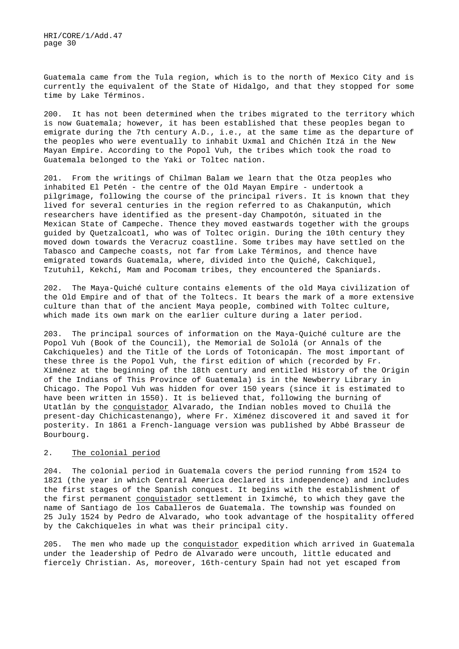Guatemala came from the Tula region, which is to the north of Mexico City and is currently the equivalent of the State of Hidalgo, and that they stopped for some time by Lake Términos.

200. It has not been determined when the tribes migrated to the territory which is now Guatemala; however, it has been established that these peoples began to emigrate during the 7th century A.D., i.e., at the same time as the departure of the peoples who were eventually to inhabit Uxmal and Chichén Itzá in the New Mayan Empire. According to the Popol Vuh, the tribes which took the road to Guatemala belonged to the Yaki or Toltec nation.

201. From the writings of Chilman Balam we learn that the Otza peoples who inhabited El Petén - the centre of the Old Mayan Empire - undertook a pilgrimage, following the course of the principal rivers. It is known that they lived for several centuries in the region referred to as Chakanputún, which researchers have identified as the present-day Champotón, situated in the Mexican State of Campeche. Thence they moved eastwards together with the groups guided by Quetzalcoatl, who was of Toltec origin. During the 10th century they moved down towards the Veracruz coastline. Some tribes may have settled on the Tabasco and Campeche coasts, not far from Lake Términos, and thence have emigrated towards Guatemala, where, divided into the Quiché, Cakchiquel, Tzutuhil, Kekchí, Mam and Pocomam tribes, they encountered the Spaniards.

202. The Maya-Quiché culture contains elements of the old Maya civilization of the Old Empire and of that of the Toltecs. It bears the mark of a more extensive culture than that of the ancient Maya people, combined with Toltec culture, which made its own mark on the earlier culture during a later period.

203. The principal sources of information on the Maya-Quiché culture are the Popol Vuh (Book of the Council), the Memorial de Sololá (or Annals of the Cakchiqueles) and the Title of the Lords of Totonicapán. The most important of these three is the Popol Vuh, the first edition of which (recorded by Fr. Ximénez at the beginning of the 18th century and entitled History of the Origin of the Indians of This Province of Guatemala) is in the Newberry Library in Chicago. The Popol Vuh was hidden for over 150 years (since it is estimated to have been written in 1550). It is believed that, following the burning of Utatlán by the conquistador Alvarado, the Indian nobles moved to Chuilá the present-day Chichicastenango), where Fr. Ximénez discovered it and saved it for posterity. In 1861 a French-language version was published by Abbé Brasseur de Bourbourg.

#### 2. The colonial period

204. The colonial period in Guatemala covers the period running from 1524 to 1821 (the year in which Central America declared its independence) and includes the first stages of the Spanish conquest. It begins with the establishment of the first permanent conquistador settlement in Iximché, to which they gave the name of Santiago de los Caballeros de Guatemala. The township was founded on 25 July 1524 by Pedro de Alvarado, who took advantage of the hospitality offered by the Cakchiqueles in what was their principal city.

205. The men who made up the conquistador expedition which arrived in Guatemala under the leadership of Pedro de Alvarado were uncouth, little educated and fiercely Christian. As, moreover, 16th-century Spain had not yet escaped from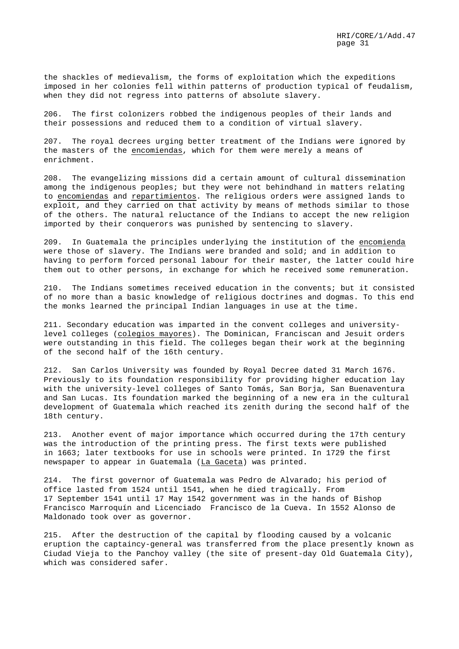the shackles of medievalism, the forms of exploitation which the expeditions imposed in her colonies fell within patterns of production typical of feudalism, when they did not regress into patterns of absolute slavery.

206. The first colonizers robbed the indigenous peoples of their lands and their possessions and reduced them to a condition of virtual slavery.

207. The royal decrees urging better treatment of the Indians were ignored by the masters of the encomiendas, which for them were merely a means of enrichment.

208. The evangelizing missions did a certain amount of cultural dissemination among the indigenous peoples; but they were not behindhand in matters relating to encomiendas and repartimientos. The religious orders were assigned lands to exploit, and they carried on that activity by means of methods similar to those of the others. The natural reluctance of the Indians to accept the new religion imported by their conquerors was punished by sentencing to slavery.

209. In Guatemala the principles underlying the institution of the encomienda were those of slavery. The Indians were branded and sold; and in addition to having to perform forced personal labour for their master, the latter could hire them out to other persons, in exchange for which he received some remuneration.

210. The Indians sometimes received education in the convents; but it consisted of no more than a basic knowledge of religious doctrines and dogmas. To this end the monks learned the principal Indian languages in use at the time.

211. Secondary education was imparted in the convent colleges and universitylevel colleges (colegios mayores). The Dominican, Franciscan and Jesuit orders were outstanding in this field. The colleges began their work at the beginning of the second half of the 16th century.

212. San Carlos University was founded by Royal Decree dated 31 March 1676. Previously to its foundation responsibility for providing higher education lay with the university-level colleges of Santo Tomás, San Borja, San Buenaventura and San Lucas. Its foundation marked the beginning of a new era in the cultural development of Guatemala which reached its zenith during the second half of the 18th century.

213. Another event of major importance which occurred during the 17th century was the introduction of the printing press. The first texts were published in 1663; later textbooks for use in schools were printed. In 1729 the first newspaper to appear in Guatemala (La Gaceta) was printed.

214. The first governor of Guatemala was Pedro de Alvarado; his period of office lasted from 1524 until 1541, when he died tragically. From 17 September 1541 until 17 May 1542 government was in the hands of Bishop Francisco Marroquín and Licenciado Francisco de la Cueva. In 1552 Alonso de Maldonado took over as governor.

215. After the destruction of the capital by flooding caused by a volcanic eruption the captaincy-general was transferred from the place presently known as Ciudad Vieja to the Panchoy valley (the site of present-day Old Guatemala City), which was considered safer.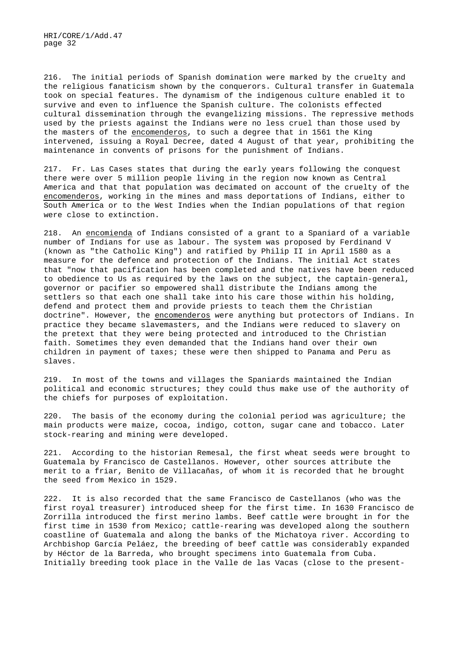216. The initial periods of Spanish domination were marked by the cruelty and the religious fanaticism shown by the conquerors. Cultural transfer in Guatemala took on special features. The dynamism of the indigenous culture enabled it to survive and even to influence the Spanish culture. The colonists effected cultural dissemination through the evangelizing missions. The repressive methods used by the priests against the Indians were no less cruel than those used by the masters of the encomenderos, to such a degree that in 1561 the King intervened, issuing a Royal Decree, dated 4 August of that year, prohibiting the maintenance in convents of prisons for the punishment of Indians.

217. Fr. Las Cases states that during the early years following the conquest there were over 5 million people living in the region now known as Central America and that that population was decimated on account of the cruelty of the encomenderos, working in the mines and mass deportations of Indians, either to South America or to the West Indies when the Indian populations of that region were close to extinction.

218. An encomienda of Indians consisted of a grant to a Spaniard of a variable number of Indians for use as labour. The system was proposed by Ferdinand V (known as "the Catholic King") and ratified by Philip II in April 1580 as a measure for the defence and protection of the Indians. The initial Act states that "now that pacification has been completed and the natives have been reduced to obedience to Us as required by the laws on the subject, the captain-general, governor or pacifier so empowered shall distribute the Indians among the settlers so that each one shall take into his care those within his holding, defend and protect them and provide priests to teach them the Christian doctrine". However, the encomenderos were anything but protectors of Indians. In practice they became slavemasters, and the Indians were reduced to slavery on the pretext that they were being protected and introduced to the Christian faith. Sometimes they even demanded that the Indians hand over their own children in payment of taxes; these were then shipped to Panama and Peru as slaves.

219. In most of the towns and villages the Spaniards maintained the Indian political and economic structures; they could thus make use of the authority of the chiefs for purposes of exploitation.

220. The basis of the economy during the colonial period was agriculture; the main products were maize, cocoa, indigo, cotton, sugar cane and tobacco. Later stock-rearing and mining were developed.

221. According to the historian Remesal, the first wheat seeds were brought to Guatemala by Francisco de Castellanos. However, other sources attribute the merit to a friar, Benito de Villacañas, of whom it is recorded that he brought the seed from Mexico in 1529.

222. It is also recorded that the same Francisco de Castellanos (who was the first royal treasurer) introduced sheep for the first time. In 1630 Francisco de Zorrilla introduced the first merino lambs. Beef cattle were brought in for the first time in 1530 from Mexico; cattle-rearing was developed along the southern coastline of Guatemala and along the banks of the Michatoya river. According to Archbishop García Peláez, the breeding of beef cattle was considerably expanded by Héctor de la Barreda, who brought specimens into Guatemala from Cuba. Initially breeding took place in the Valle de las Vacas (close to the present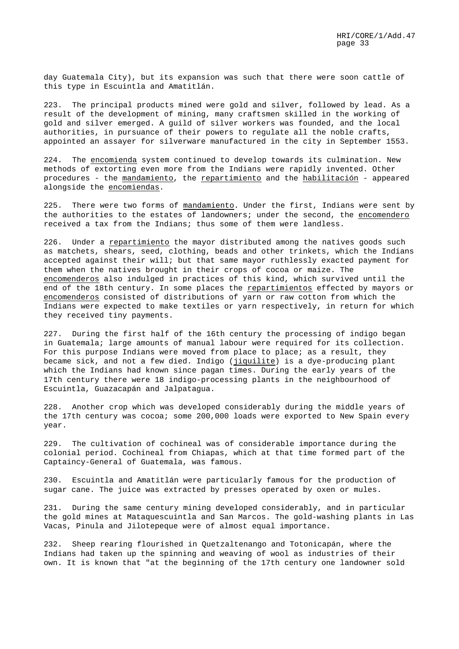day Guatemala City), but its expansion was such that there were soon cattle of this type in Escuintla and Amatitlán.

223. The principal products mined were gold and silver, followed by lead. As a result of the development of mining, many craftsmen skilled in the working of gold and silver emerged. A guild of silver workers was founded, and the local authorities, in pursuance of their powers to regulate all the noble crafts, appointed an assayer for silverware manufactured in the city in September 1553.

224. The encomienda system continued to develop towards its culmination. New methods of extorting even more from the Indians were rapidly invented. Other procedures - the mandamiento, the repartimiento and the habilitación - appeared alongside the encomiendas.

225. There were two forms of mandamiento. Under the first, Indians were sent by the authorities to the estates of landowners; under the second, the encomendero received a tax from the Indians; thus some of them were landless.

226. Under a repartimiento the mayor distributed among the natives goods such as matchets, shears, seed, clothing, beads and other trinkets, which the Indians accepted against their will; but that same mayor ruthlessly exacted payment for them when the natives brought in their crops of cocoa or maize. The encomenderos also indulged in practices of this kind, which survived until the end of the 18th century. In some places the repartimientos effected by mayors or encomenderos consisted of distributions of yarn or raw cotton from which the Indians were expected to make textiles or yarn respectively, in return for which they received tiny payments.

227. During the first half of the 16th century the processing of indigo began in Guatemala; large amounts of manual labour were required for its collection. For this purpose Indians were moved from place to place; as a result, they became sick, and not a few died. Indigo (jiquilite) is a dye-producing plant which the Indians had known since pagan times. During the early years of the 17th century there were 18 indigo-processing plants in the neighbourhood of Escuintla, Guazacapán and Jalpatagua.

228. Another crop which was developed considerably during the middle years of the 17th century was cocoa; some 200,000 loads were exported to New Spain every year.

229. The cultivation of cochineal was of considerable importance during the colonial period. Cochineal from Chiapas, which at that time formed part of the Captaincy-General of Guatemala, was famous.

230. Escuintla and Amatitlán were particularly famous for the production of sugar cane. The juice was extracted by presses operated by oxen or mules.

231. During the same century mining developed considerably, and in particular the gold mines at Mataquescuintla and San Marcos. The gold-washing plants in Las Vacas, Pinula and Jilotepeque were of almost equal importance.

232. Sheep rearing flourished in Quetzaltenango and Totonicapán, where the Indians had taken up the spinning and weaving of wool as industries of their own. It is known that "at the beginning of the 17th century one landowner sold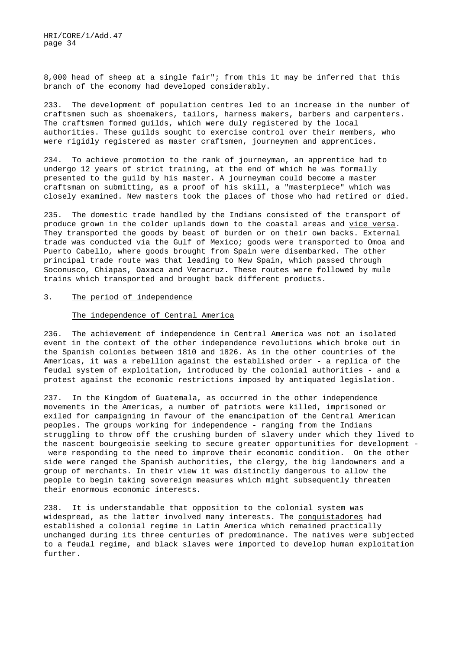8,000 head of sheep at a single fair"; from this it may be inferred that this branch of the economy had developed considerably.

233. The development of population centres led to an increase in the number of craftsmen such as shoemakers, tailors, harness makers, barbers and carpenters. The craftsmen formed guilds, which were duly registered by the local authorities. These guilds sought to exercise control over their members, who were rigidly registered as master craftsmen, journeymen and apprentices.

234. To achieve promotion to the rank of journeyman, an apprentice had to undergo 12 years of strict training, at the end of which he was formally presented to the guild by his master. A journeyman could become a master craftsman on submitting, as a proof of his skill, a "masterpiece" which was closely examined. New masters took the places of those who had retired or died.

235. The domestic trade handled by the Indians consisted of the transport of produce grown in the colder uplands down to the coastal areas and vice versa. They transported the goods by beast of burden or on their own backs. External trade was conducted via the Gulf of Mexico; goods were transported to Omoa and Puerto Cabello, where goods brought from Spain were disembarked. The other principal trade route was that leading to New Spain, which passed through Soconusco, Chiapas, Oaxaca and Veracruz. These routes were followed by mule trains which transported and brought back different products.

#### 3. The period of independence

#### The independence of Central America

236. The achievement of independence in Central America was not an isolated event in the context of the other independence revolutions which broke out in the Spanish colonies between 1810 and 1826. As in the other countries of the Americas, it was a rebellion against the established order - a replica of the feudal system of exploitation, introduced by the colonial authorities - and a protest against the economic restrictions imposed by antiquated legislation.

237. In the Kingdom of Guatemala, as occurred in the other independence movements in the Americas, a number of patriots were killed, imprisoned or exiled for campaigning in favour of the emancipation of the Central American peoples. The groups working for independence - ranging from the Indians struggling to throw off the crushing burden of slavery under which they lived to the nascent bourgeoisie seeking to secure greater opportunities for development were responding to the need to improve their economic condition. On the other side were ranged the Spanish authorities, the clergy, the big landowners and a group of merchants. In their view it was distinctly dangerous to allow the people to begin taking sovereign measures which might subsequently threaten their enormous economic interests.

238. It is understandable that opposition to the colonial system was widespread, as the latter involved many interests. The conquistadores had established a colonial regime in Latin America which remained practically unchanged during its three centuries of predominance. The natives were subjected to a feudal regime, and black slaves were imported to develop human exploitation further.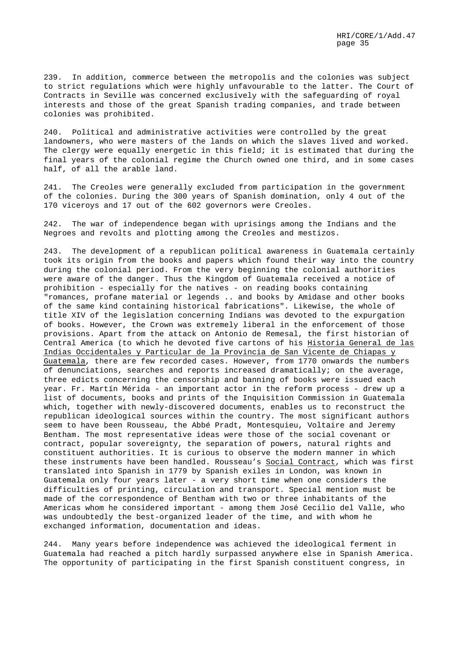239. In addition, commerce between the metropolis and the colonies was subject to strict regulations which were highly unfavourable to the latter. The Court of Contracts in Seville was concerned exclusively with the safeguarding of royal interests and those of the great Spanish trading companies, and trade between colonies was prohibited.

240. Political and administrative activities were controlled by the great landowners, who were masters of the lands on which the slaves lived and worked. The clergy were equally energetic in this field; it is estimated that during the final years of the colonial regime the Church owned one third, and in some cases half, of all the arable land.

241. The Creoles were generally excluded from participation in the government of the colonies. During the 300 years of Spanish domination, only 4 out of the 170 viceroys and 17 out of the 602 governors were Creoles.

242. The war of independence began with uprisings among the Indians and the Negroes and revolts and plotting among the Creoles and mestizos.

243. The development of a republican political awareness in Guatemala certainly took its origin from the books and papers which found their way into the country during the colonial period. From the very beginning the colonial authorities were aware of the danger. Thus the Kingdom of Guatemala received a notice of prohibition - especially for the natives - on reading books containing "romances, profane material or legends .. and books by Amidase and other books of the same kind containing historical fabrications". Likewise, the whole of title XIV of the legislation concerning Indians was devoted to the expurgation of books. However, the Crown was extremely liberal in the enforcement of those provisions. Apart from the attack on Antonio de Remesal, the first historian of Central America (to which he devoted five cartons of his Historia General de las Indias Occidentales y Particular de la Provincia de San Vicente de Chiapas y Guatemala, there are few recorded cases. However, from 1770 onwards the numbers of denunciations, searches and reports increased dramatically; on the average, three edicts concerning the censorship and banning of books were issued each year. Fr. Martín Mérida - an important actor in the reform process - drew up a list of documents, books and prints of the Inquisition Commission in Guatemala which, together with newly-discovered documents, enables us to reconstruct the republican ideological sources within the country. The most significant authors seem to have been Rousseau, the Abbé Pradt, Montesquieu, Voltaire and Jeremy Bentham. The most representative ideas were those of the social covenant or contract, popular sovereignty, the separation of powers, natural rights and constituent authorities. It is curious to observe the modern manner in which these instruments have been handled. Rousseau's Social Contract, which was first translated into Spanish in 1779 by Spanish exiles in London, was known in Guatemala only four years later - a very short time when one considers the difficulties of printing, circulation and transport. Special mention must be made of the correspondence of Bentham with two or three inhabitants of the Americas whom he considered important - among them José Cecilio del Valle, who was undoubtedly the best-organized leader of the time, and with whom he exchanged information, documentation and ideas.

244. Many years before independence was achieved the ideological ferment in Guatemala had reached a pitch hardly surpassed anywhere else in Spanish America. The opportunity of participating in the first Spanish constituent congress, in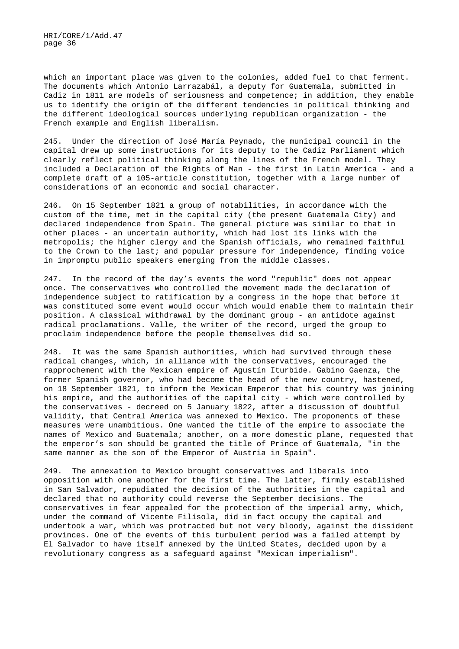which an important place was given to the colonies, added fuel to that ferment. The documents which Antonio Larrazabál, a deputy for Guatemala, submitted in Cadiz in 1811 are models of seriousness and competence; in addition, they enable us to identify the origin of the different tendencies in political thinking and the different ideological sources underlying republican organization - the French example and English liberalism.

245. Under the direction of José María Peynado, the municipal council in the capital drew up some instructions for its deputy to the Cadiz Parliament which clearly reflect political thinking along the lines of the French model. They included a Declaration of the Rights of Man - the first in Latin America - and a complete draft of a 105-article constitution, together with a large number of considerations of an economic and social character.

246. On 15 September 1821 a group of notabilities, in accordance with the custom of the time, met in the capital city (the present Guatemala City) and declared independence from Spain. The general picture was similar to that in other places - an uncertain authority, which had lost its links with the metropolis; the higher clergy and the Spanish officials, who remained faithful to the Crown to the last; and popular pressure for independence, finding voice in impromptu public speakers emerging from the middle classes.

247. In the record of the day's events the word "republic" does not appear once. The conservatives who controlled the movement made the declaration of independence subject to ratification by a congress in the hope that before it was constituted some event would occur which would enable them to maintain their position. A classical withdrawal by the dominant group - an antidote against radical proclamations. Valle, the writer of the record, urged the group to proclaim independence before the people themselves did so.

248. It was the same Spanish authorities, which had survived through these radical changes, which, in alliance with the conservatives, encouraged the rapprochement with the Mexican empire of Agustín Iturbide. Gabino Gaenza, the former Spanish governor, who had become the head of the new country, hastened, on 18 September 1821, to inform the Mexican Emperor that his country was joining his empire, and the authorities of the capital city - which were controlled by the conservatives - decreed on 5 January 1822, after a discussion of doubtful validity, that Central America was annexed to Mexico. The proponents of these measures were unambitious. One wanted the title of the empire to associate the names of Mexico and Guatemala; another, on a more domestic plane, requested that the emperor's son should be granted the title of Prince of Guatemala, "in the same manner as the son of the Emperor of Austria in Spain".

249. The annexation to Mexico brought conservatives and liberals into opposition with one another for the first time. The latter, firmly established in San Salvador, repudiated the decision of the authorities in the capital and declared that no authority could reverse the September decisions. The conservatives in fear appealed for the protection of the imperial army, which, under the command of Vicente Filísola, did in fact occupy the capital and undertook a war, which was protracted but not very bloody, against the dissident provinces. One of the events of this turbulent period was a failed attempt by El Salvador to have itself annexed by the United States, decided upon by a revolutionary congress as a safeguard against "Mexican imperialism".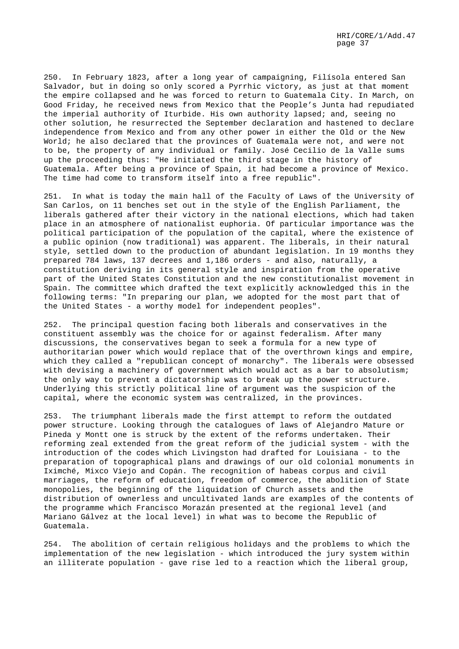250. In February 1823, after a long year of campaigning, Filísola entered San Salvador, but in doing so only scored a Pyrrhic victory, as just at that moment the empire collapsed and he was forced to return to Guatemala City. In March, on Good Friday, he received news from Mexico that the People's Junta had repudiated the imperial authority of Iturbide. His own authority lapsed; and, seeing no other solution, he resurrected the September declaration and hastened to declare independence from Mexico and from any other power in either the Old or the New World; he also declared that the provinces of Guatemala were not, and were not to be, the property of any individual or family. José Cecilio de la Valle sums up the proceeding thus: "He initiated the third stage in the history of Guatemala. After being a province of Spain, it had become a province of Mexico. The time had come to transform itself into a free republic".

251. In what is today the main hall of the Faculty of Laws of the University of San Carlos, on 11 benches set out in the style of the English Parliament, the liberals gathered after their victory in the national elections, which had taken place in an atmosphere of nationalist euphoria. Of particular importance was the political participation of the population of the capital, where the existence of a public opinion (now traditional) was apparent. The liberals, in their natural style, settled down to the production of abundant legislation. In 19 months they prepared 784 laws, 137 decrees and 1,186 orders - and also, naturally, a constitution deriving in its general style and inspiration from the operative part of the United States Constitution and the new constitutionalist movement in Spain. The committee which drafted the text explicitly acknowledged this in the following terms: "In preparing our plan, we adopted for the most part that of the United States - a worthy model for independent peoples".

252. The principal question facing both liberals and conservatives in the constituent assembly was the choice for or against federalism. After many discussions, the conservatives began to seek a formula for a new type of authoritarian power which would replace that of the overthrown kings and empire, which they called a "republican concept of monarchy". The liberals were obsessed with devising a machinery of government which would act as a bar to absolutism; the only way to prevent a dictatorship was to break up the power structure. Underlying this strictly political line of argument was the suspicion of the capital, where the economic system was centralized, in the provinces.

253. The triumphant liberals made the first attempt to reform the outdated power structure. Looking through the catalogues of laws of Alejandro Mature or Pineda y Montt one is struck by the extent of the reforms undertaken. Their reforming zeal extended from the great reform of the judicial system - with the introduction of the codes which Livingston had drafted for Louisiana - to the preparation of topographical plans and drawings of our old colonial monuments in Iximché, Mixco Viejo and Copán. The recognition of habeas corpus and civil marriages, the reform of education, freedom of commerce, the abolition of State monopolies, the beginning of the liquidation of Church assets and the distribution of ownerless and uncultivated lands are examples of the contents of the programme which Francisco Morazán presented at the regional level (and Mariano Gálvez at the local level) in what was to become the Republic of Guatemala.

254. The abolition of certain religious holidays and the problems to which the implementation of the new legislation - which introduced the jury system within an illiterate population - gave rise led to a reaction which the liberal group,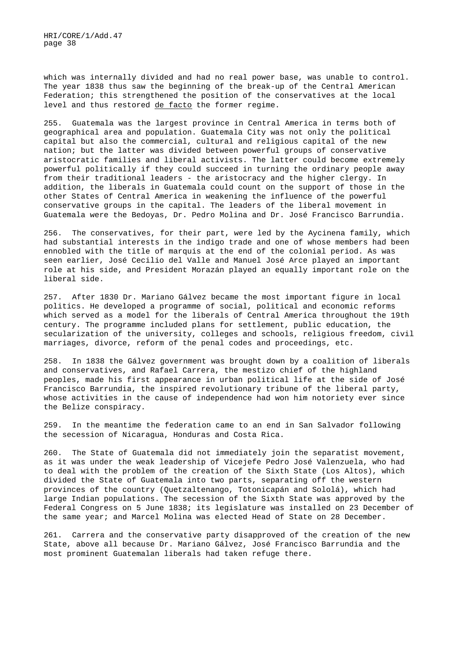which was internally divided and had no real power base, was unable to control. The year 1838 thus saw the beginning of the break-up of the Central American Federation; this strengthened the position of the conservatives at the local level and thus restored de facto the former regime.

255. Guatemala was the largest province in Central America in terms both of geographical area and population. Guatemala City was not only the political capital but also the commercial, cultural and religious capital of the new nation; but the latter was divided between powerful groups of conservative aristocratic families and liberal activists. The latter could become extremely powerful politically if they could succeed in turning the ordinary people away from their traditional leaders - the aristocracy and the higher clergy. In addition, the liberals in Guatemala could count on the support of those in the other States of Central America in weakening the influence of the powerful conservative groups in the capital. The leaders of the liberal movement in Guatemala were the Bedoyas, Dr. Pedro Molina and Dr. José Francisco Barrundia.

256. The conservatives, for their part, were led by the Aycinena family, which had substantial interests in the indigo trade and one of whose members had been ennobled with the title of marquis at the end of the colonial period. As was seen earlier, José Cecilio del Valle and Manuel José Arce played an important role at his side, and President Morazán played an equally important role on the liberal side.

257. After 1830 Dr. Mariano Gálvez became the most important figure in local politics. He developed a programme of social, political and economic reforms which served as a model for the liberals of Central America throughout the 19th century. The programme included plans for settlement, public education, the secularization of the university, colleges and schools, religious freedom, civil marriages, divorce, reform of the penal codes and proceedings, etc.

258. In 1838 the Gálvez government was brought down by a coalition of liberals and conservatives, and Rafael Carrera, the mestizo chief of the highland peoples, made his first appearance in urban political life at the side of José Francisco Barrundia, the inspired revolutionary tribune of the liberal party, whose activities in the cause of independence had won him notoriety ever since the Belize conspiracy.

259. In the meantime the federation came to an end in San Salvador following the secession of Nicaragua, Honduras and Costa Rica.

260. The State of Guatemala did not immediately join the separatist movement, as it was under the weak leadership of Vicejefe Pedro José Valenzuela, who had to deal with the problem of the creation of the Sixth State (Los Altos), which divided the State of Guatemala into two parts, separating off the western provinces of the country (Quetzaltenango, Totonicapán and Sololá), which had large Indian populations. The secession of the Sixth State was approved by the Federal Congress on 5 June 1838; its legislature was installed on 23 December of the same year; and Marcel Molina was elected Head of State on 28 December.

261. Carrera and the conservative party disapproved of the creation of the new State, above all because Dr. Mariano Gálvez, José Francisco Barrundia and the most prominent Guatemalan liberals had taken refuge there.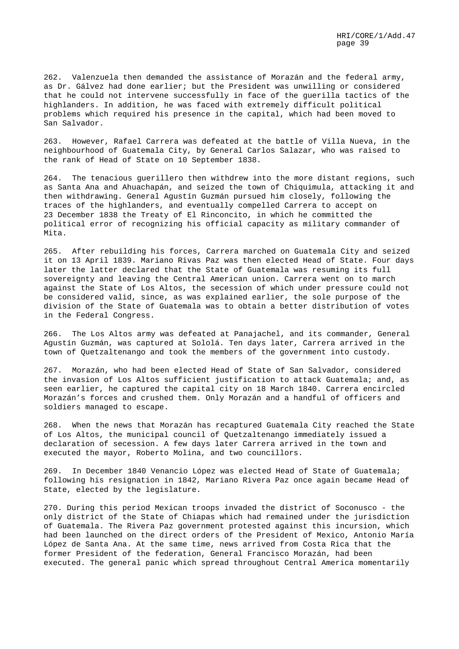262. Valenzuela then demanded the assistance of Morazán and the federal army, as Dr. Gálvez had done earlier; but the President was unwilling or considered that he could not intervene successfully in face of the guerilla tactics of the highlanders. In addition, he was faced with extremely difficult political problems which required his presence in the capital, which had been moved to San Salvador.

263. However, Rafael Carrera was defeated at the battle of Villa Nueva, in the neighbourhood of Guatemala City, by General Carlos Salazar, who was raised to the rank of Head of State on 10 September 1838.

264. The tenacious guerillero then withdrew into the more distant regions, such as Santa Ana and Ahuachapán, and seized the town of Chiquimula, attacking it and then withdrawing. General Agustín Guzmán pursued him closely, following the traces of the highlanders, and eventually compelled Carrera to accept on 23 December 1838 the Treaty of El Rinconcito, in which he committed the political error of recognizing his official capacity as military commander of Mita.

265. After rebuilding his forces, Carrera marched on Guatemala City and seized it on 13 April 1839. Mariano Rivas Paz was then elected Head of State. Four days later the latter declared that the State of Guatemala was resuming its full sovereignty and leaving the Central American union. Carrera went on to march against the State of Los Altos, the secession of which under pressure could not be considered valid, since, as was explained earlier, the sole purpose of the division of the State of Guatemala was to obtain a better distribution of votes in the Federal Congress.

266. The Los Altos army was defeated at Panajachel, and its commander, General Agustín Guzmán, was captured at Sololá. Ten days later, Carrera arrived in the town of Quetzaltenango and took the members of the government into custody.

267. Morazán, who had been elected Head of State of San Salvador, considered the invasion of Los Altos sufficient justification to attack Guatemala; and, as seen earlier, he captured the capital city on 18 March 1840. Carrera encircled Morazán's forces and crushed them. Only Morazán and a handful of officers and soldiers managed to escape.

268. When the news that Morazán has recaptured Guatemala City reached the State of Los Altos, the municipal council of Quetzaltenango immediately issued a declaration of secession. A few days later Carrera arrived in the town and executed the mayor, Roberto Molina, and two councillors.

269. In December 1840 Venancio López was elected Head of State of Guatemala; following his resignation in 1842, Mariano Rivera Paz once again became Head of State, elected by the legislature.

270. During this period Mexican troops invaded the district of Soconusco - the only district of the State of Chiapas which had remained under the jurisdiction of Guatemala. The Rivera Paz government protested against this incursion, which had been launched on the direct orders of the President of Mexico, Antonio María López de Santa Ana. At the same time, news arrived from Costa Rica that the former President of the federation, General Francisco Morazán, had been executed. The general panic which spread throughout Central America momentarily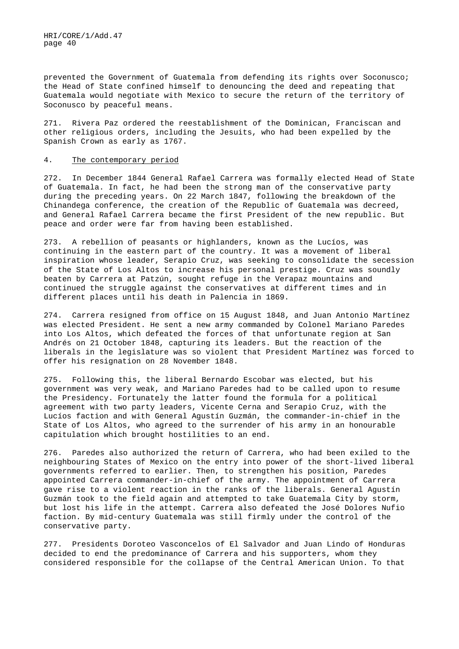prevented the Government of Guatemala from defending its rights over Soconusco; the Head of State confined himself to denouncing the deed and repeating that Guatemala would negotiate with Mexico to secure the return of the territory of Soconusco by peaceful means.

271. Rivera Paz ordered the reestablishment of the Dominican, Franciscan and other religious orders, including the Jesuits, who had been expelled by the Spanish Crown as early as 1767.

#### 4. The contemporary period

272. In December 1844 General Rafael Carrera was formally elected Head of State of Guatemala. In fact, he had been the strong man of the conservative party during the preceding years. On 22 March 1847, following the breakdown of the Chinandega conference, the creation of the Republic of Guatemala was decreed, and General Rafael Carrera became the first President of the new republic. But peace and order were far from having been established.

273. A rebellion of peasants or highlanders, known as the Lucíos, was continuing in the eastern part of the country. It was a movement of liberal inspiration whose leader, Serapio Cruz, was seeking to consolidate the secession of the State of Los Altos to increase his personal prestige. Cruz was soundly beaten by Carrera at Patzún, sought refuge in the Verapaz mountains and continued the struggle against the conservatives at different times and in different places until his death in Palencia in 1869.

274. Carrera resigned from office on 15 August 1848, and Juan Antonio Martínez was elected President. He sent a new army commanded by Colonel Mariano Paredes into Los Altos, which defeated the forces of that unfortunate region at San Andrés on 21 October 1848, capturing its leaders. But the reaction of the liberals in the legislature was so violent that President Martínez was forced to offer his resignation on 28 November 1848.

275. Following this, the liberal Bernardo Escobar was elected, but his government was very weak, and Mariano Paredes had to be called upon to resume the Presidency. Fortunately the latter found the formula for a political agreement with two party leaders, Vicente Cerna and Serapio Cruz, with the Lucíos faction and with General Agustín Guzmán, the commander-in-chief in the State of Los Altos, who agreed to the surrender of his army in an honourable capitulation which brought hostilities to an end.

276. Paredes also authorized the return of Carrera, who had been exiled to the neighbouring States of Mexico on the entry into power of the short-lived liberal governments referred to earlier. Then, to strengthen his position, Paredes appointed Carrera commander-in-chief of the army. The appointment of Carrera gave rise to a violent reaction in the ranks of the liberals. General Agustín Guzmán took to the field again and attempted to take Guatemala City by storm, but lost his life in the attempt. Carrera also defeated the José Dolores Nufio faction. By mid-century Guatemala was still firmly under the control of the conservative party.

277. Presidents Doroteo Vasconcelos of El Salvador and Juan Lindo of Honduras decided to end the predominance of Carrera and his supporters, whom they considered responsible for the collapse of the Central American Union. To that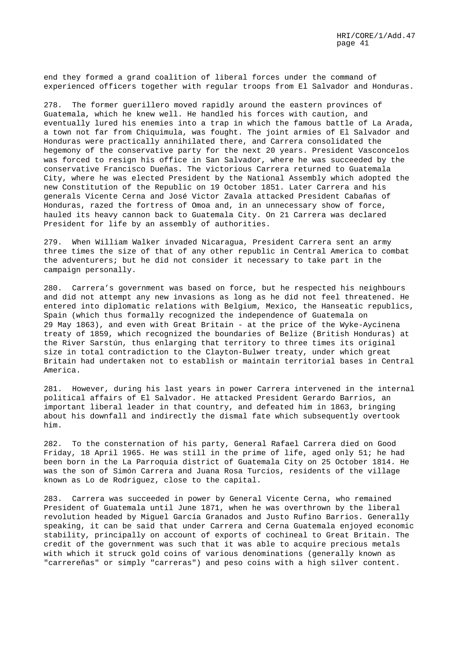end they formed a grand coalition of liberal forces under the command of experienced officers together with regular troops from El Salvador and Honduras.

278. The former guerillero moved rapidly around the eastern provinces of Guatemala, which he knew well. He handled his forces with caution, and eventually lured his enemies into a trap in which the famous battle of La Arada, a town not far from Chiquimula, was fought. The joint armies of El Salvador and Honduras were practically annihilated there, and Carrera consolidated the hegemony of the conservative party for the next 20 years. President Vasconcelos was forced to resign his office in San Salvador, where he was succeeded by the conservative Francisco Dueñas. The victorious Carrera returned to Guatemala City, where he was elected President by the National Assembly which adopted the new Constitution of the Republic on 19 October 1851. Later Carrera and his generals Vicente Cerna and José Victor Zavala attacked President Cabañas of Honduras, razed the fortress of Omoa and, in an unnecessary show of force, hauled its heavy cannon back to Guatemala City. On 21 Carrera was declared President for life by an assembly of authorities.

279. When William Walker invaded Nicaragua, President Carrera sent an army three times the size of that of any other republic in Central America to combat the adventurers; but he did not consider it necessary to take part in the campaign personally.

280. Carrera's government was based on force, but he respected his neighbours and did not attempt any new invasions as long as he did not feel threatened. He entered into diplomatic relations with Belgium, Mexico, the Hanseatic republics, Spain (which thus formally recognized the independence of Guatemala on 29 May 1863), and even with Great Britain - at the price of the Wyke-Aycinena treaty of 1859, which recognized the boundaries of Belize (British Honduras) at the River Sarstún, thus enlarging that territory to three times its original size in total contradiction to the Clayton-Bulwer treaty, under which great Britain had undertaken not to establish or maintain territorial bases in Central America.

281. However, during his last years in power Carrera intervened in the internal political affairs of El Salvador. He attacked President Gerardo Barrios, an important liberal leader in that country, and defeated him in 1863, bringing about his downfall and indirectly the dismal fate which subsequently overtook him.

282. To the consternation of his party, General Rafael Carrera died on Good Friday, 18 April 1965. He was still in the prime of life, aged only 51; he had been born in the La Parroquia district of Guatemala City on 25 October 1814. He was the son of Simón Carrera and Juana Rosa Turcios, residents of the village known as Lo de Rodriguez, close to the capital.

283. Carrera was succeeded in power by General Vicente Cerna, who remained President of Guatemala until June 1871, when he was overthrown by the liberal revolution headed by Miguel García Granados and Justo Rufino Barrios. Generally speaking, it can be said that under Carrera and Cerna Guatemala enjoyed economic stability, principally on account of exports of cochineal to Great Britain. The credit of the government was such that it was able to acquire precious metals with which it struck gold coins of various denominations (generally known as "carrereñas" or simply "carreras") and peso coins with a high silver content.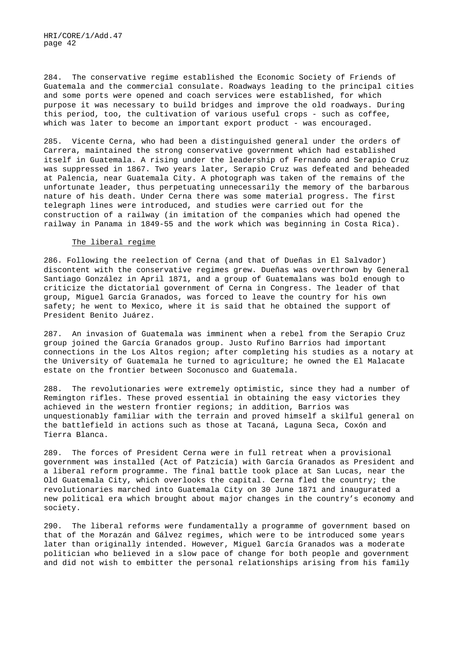284. The conservative regime established the Economic Society of Friends of Guatemala and the commercial consulate. Roadways leading to the principal cities and some ports were opened and coach services were established, for which purpose it was necessary to build bridges and improve the old roadways. During this period, too, the cultivation of various useful crops - such as coffee, which was later to become an important export product - was encouraged.

285. Vicente Cerna, who had been a distinguished general under the orders of Carrera, maintained the strong conservative government which had established itself in Guatemala. A rising under the leadership of Fernando and Serapio Cruz was suppressed in 1867. Two years later, Serapio Cruz was defeated and beheaded at Palencia, near Guatemala City. A photograph was taken of the remains of the unfortunate leader, thus perpetuating unnecessarily the memory of the barbarous nature of his death. Under Cerna there was some material progress. The first telegraph lines were introduced, and studies were carried out for the construction of a railway (in imitation of the companies which had opened the railway in Panama in 1849-55 and the work which was beginning in Costa Rica).

### The liberal regime

286. Following the reelection of Cerna (and that of Dueñas in El Salvador) discontent with the conservative regimes grew. Dueñas was overthrown by General Santiago González in April 1871, and a group of Guatemalans was bold enough to criticize the dictatorial government of Cerna in Congress. The leader of that group, Miguel García Granados, was forced to leave the country for his own safety; he went to Mexico, where it is said that he obtained the support of President Benito Juárez.

287. An invasion of Guatemala was imminent when a rebel from the Serapio Cruz group joined the García Granados group. Justo Rufino Barrios had important connections in the Los Altos region; after completing his studies as a notary at the University of Guatemala he turned to agriculture; he owned the El Malacate estate on the frontier between Soconusco and Guatemala.

288. The revolutionaries were extremely optimistic, since they had a number of Remington rifles. These proved essential in obtaining the easy victories they achieved in the western frontier regions; in addition, Barrios was unquestionably familiar with the terrain and proved himself a skilful general on the battlefield in actions such as those at Tacaná, Laguna Seca, Coxón and Tierra Blanca.

289. The forces of President Cerna were in full retreat when a provisional government was installed (Act of Patzicía) with García Granados as President and a liberal reform programme. The final battle took place at San Lucas, near the Old Guatemala City, which overlooks the capital. Cerna fled the country; the revolutionaries marched into Guatemala City on 30 June 1871 and inaugurated a new political era which brought about major changes in the country's economy and society.

290. The liberal reforms were fundamentally a programme of government based on that of the Morazán and Gálvez regimes, which were to be introduced some years later than originally intended. However, Miguel García Granados was a moderate politician who believed in a slow pace of change for both people and government and did not wish to embitter the personal relationships arising from his family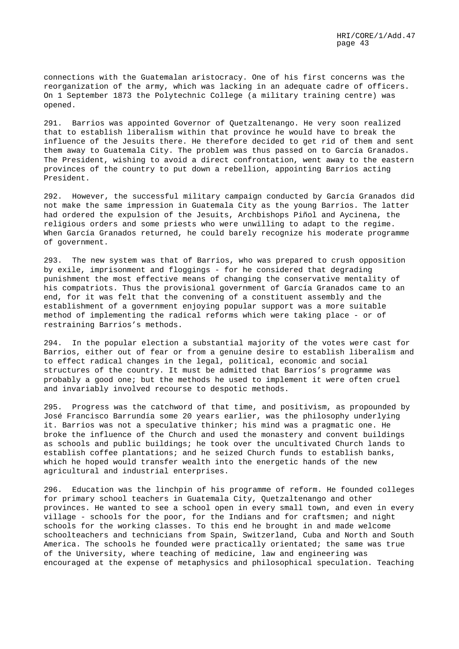connections with the Guatemalan aristocracy. One of his first concerns was the reorganization of the army, which was lacking in an adequate cadre of officers. On 1 September 1873 the Polytechnic College (a military training centre) was opened.

291. Barrios was appointed Governor of Quetzaltenango. He very soon realized that to establish liberalism within that province he would have to break the influence of the Jesuits there. He therefore decided to get rid of them and sent them away to Guatemala City. The problem was thus passed on to García Granados. The President, wishing to avoid a direct confrontation, went away to the eastern provinces of the country to put down a rebellion, appointing Barrios acting President.

292. However, the successful military campaign conducted by García Granados did not make the same impression in Guatemala City as the young Barrios. The latter had ordered the expulsion of the Jesuits, Archbishops Piñol and Aycinena, the religious orders and some priests who were unwilling to adapt to the regime. When García Granados returned, he could barely recognize his moderate programme of government.

293. The new system was that of Barrios, who was prepared to crush opposition by exile, imprisonment and floggings - for he considered that degrading punishment the most effective means of changing the conservative mentality of his compatriots. Thus the provisional government of García Granados came to an end, for it was felt that the convening of a constituent assembly and the establishment of a government enjoying popular support was a more suitable method of implementing the radical reforms which were taking place - or of restraining Barrios's methods.

294. In the popular election a substantial majority of the votes were cast for Barrios, either out of fear or from a genuine desire to establish liberalism and to effect radical changes in the legal, political, economic and social structures of the country. It must be admitted that Barrios's programme was probably a good one; but the methods he used to implement it were often cruel and invariably involved recourse to despotic methods.

295. Progress was the catchword of that time, and positivism, as propounded by José Francisco Barrundía some 20 years earlier, was the philosophy underlying it. Barrios was not a speculative thinker; his mind was a pragmatic one. He broke the influence of the Church and used the monastery and convent buildings as schools and public buildings; he took over the uncultivated Church lands to establish coffee plantations; and he seized Church funds to establish banks, which he hoped would transfer wealth into the energetic hands of the new agricultural and industrial enterprises.

296. Education was the linchpin of his programme of reform. He founded colleges for primary school teachers in Guatemala City, Quetzaltenango and other provinces. He wanted to see a school open in every small town, and even in every village - schools for the poor, for the Indians and for craftsmen; and night schools for the working classes. To this end he brought in and made welcome schoolteachers and technicians from Spain, Switzerland, Cuba and North and South America. The schools he founded were practically orientated; the same was true of the University, where teaching of medicine, law and engineering was encouraged at the expense of metaphysics and philosophical speculation. Teaching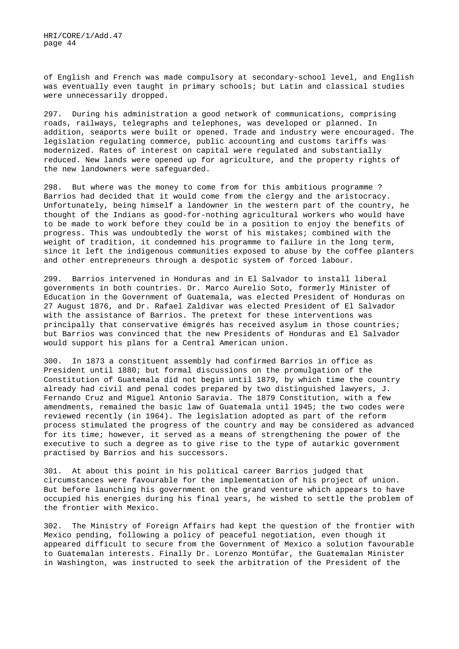of English and French was made compulsory at secondary-school level, and English was eventually even taught in primary schools; but Latin and classical studies were unnecessarily dropped.

297. During his administration a good network of communications, comprising roads, railways, telegraphs and telephones, was developed or planned. In addition, seaports were built or opened. Trade and industry were encouraged. The legislation regulating commerce, public accounting and customs tariffs was modernized. Rates of interest on capital were regulated and substantially reduced. New lands were opened up for agriculture, and the property rights of the new landowners were safeguarded.

298. But where was the money to come from for this ambitious programme ? Barrios had decided that it would come from the clergy and the aristocracy. Unfortunately, being himself a landowner in the western part of the country, he thought of the Indians as good-for-nothing agricultural workers who would have to be made to work before they could be in a position to enjoy the benefits of progress. This was undoubtedly the worst of his mistakes; combined with the weight of tradition, it condemned his programme to failure in the long term, since it left the indigenous communities exposed to abuse by the coffee planters and other entrepreneurs through a despotic system of forced labour.

299. Barrios intervened in Honduras and in El Salvador to install liberal governments in both countries. Dr. Marco Aurelio Soto, formerly Minister of Education in the Government of Guatemala, was elected President of Honduras on 27 August 1876, and Dr. Rafael Zaldívar was elected President of El Salvador with the assistance of Barrios. The pretext for these interventions was principally that conservative émigrés has received asylum in those countries; but Barrios was convinced that the new Presidents of Honduras and El Salvador would support his plans for a Central American union.

300. In 1873 a constituent assembly had confirmed Barrios in office as President until 1880; but formal discussions on the promulgation of the Constitution of Guatemala did not begin until 1879, by which time the country already had civil and penal codes prepared by two distinguished lawyers, J. Fernando Cruz and Miguel Antonio Saravia. The 1879 Constitution, with a few amendments, remained the basic law of Guatemala until 1945; the two codes were reviewed recently (in 1964). The legislation adopted as part of the reform process stimulated the progress of the country and may be considered as advanced for its time; however, it served as a means of strengthening the power of the executive to such a degree as to give rise to the type of autarkic government practised by Barrios and his successors.

301. At about this point in his political career Barrios judged that circumstances were favourable for the implementation of his project of union. But before launching his government on the grand venture which appears to have occupied his energies during his final years, he wished to settle the problem of the frontier with Mexico.

302. The Ministry of Foreign Affairs had kept the question of the frontier with Mexico pending, following a policy of peaceful negotiation, even though it appeared difficult to secure from the Government of Mexico a solution favourable to Guatemalan interests. Finally Dr. Lorenzo Montúfar, the Guatemalan Minister in Washington, was instructed to seek the arbitration of the President of the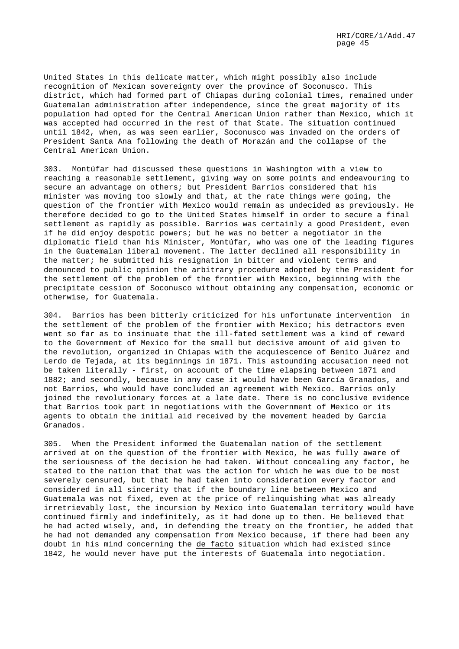United States in this delicate matter, which might possibly also include recognition of Mexican sovereignty over the province of Soconusco. This district, which had formed part of Chiapas during colonial times, remained under Guatemalan administration after independence, since the great majority of its population had opted for the Central American Union rather than Mexico, which it was accepted had occurred in the rest of that State. The situation continued until 1842, when, as was seen earlier, Soconusco was invaded on the orders of President Santa Ana following the death of Morazán and the collapse of the Central American Union.

303. Montúfar had discussed these questions in Washington with a view to reaching a reasonable settlement, giving way on some points and endeavouring to secure an advantage on others; but President Barrios considered that his minister was moving too slowly and that, at the rate things were going, the question of the frontier with Mexico would remain as undecided as previously. He therefore decided to go to the United States himself in order to secure a final settlement as rapidly as possible. Barrios was certainly a good President, even if he did enjoy despotic powers; but he was no better a negotiator in the diplomatic field than his Minister, Montúfar, who was one of the leading figures in the Guatemalan liberal movement. The latter declined all responsibility in the matter; he submitted his resignation in bitter and violent terms and denounced to public opinion the arbitrary procedure adopted by the President for the settlement of the problem of the frontier with Mexico, beginning with the precipitate cession of Soconusco without obtaining any compensation, economic or otherwise, for Guatemala.

304. Barrios has been bitterly criticized for his unfortunate intervention in the settlement of the problem of the frontier with Mexico; his detractors even went so far as to insinuate that the ill-fated settlement was a kind of reward to the Government of Mexico for the small but decisive amount of aid given to the revolution, organized in Chiapas with the acquiescence of Benito Juárez and Lerdo de Tejada, at its beginnings in 1871. This astounding accusation need not be taken literally - first, on account of the time elapsing between 1871 and 1882; and secondly, because in any case it would have been García Granados, and not Barrios, who would have concluded an agreement with Mexico. Barrios only joined the revolutionary forces at a late date. There is no conclusive evidence that Barrios took part in negotiations with the Government of Mexico or its agents to obtain the initial aid received by the movement headed by García Granados.

305. When the President informed the Guatemalan nation of the settlement arrived at on the question of the frontier with Mexico, he was fully aware of the seriousness of the decision he had taken. Without concealing any factor, he stated to the nation that that was the action for which he was due to be most severely censured, but that he had taken into consideration every factor and considered in all sincerity that if the boundary line between Mexico and Guatemala was not fixed, even at the price of relinquishing what was already irretrievably lost, the incursion by Mexico into Guatemalan territory would have continued firmly and indefinitely, as it had done up to then. He believed that he had acted wisely, and, in defending the treaty on the frontier, he added that he had not demanded any compensation from Mexico because, if there had been any doubt in his mind concerning the de facto situation which had existed since 1842, he would never have put the interests of Guatemala into negotiation.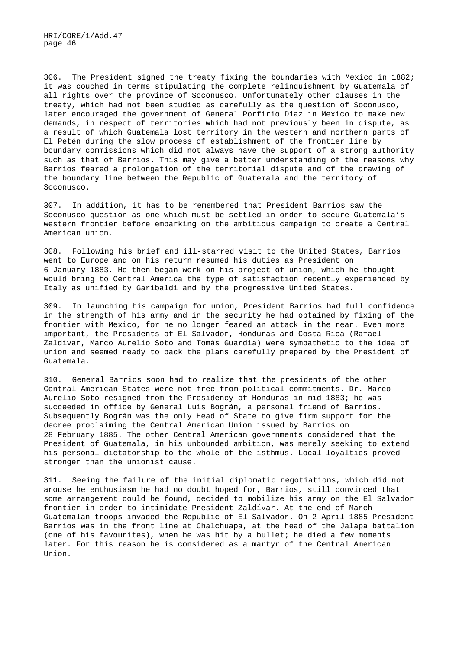306. The President signed the treaty fixing the boundaries with Mexico in 1882; it was couched in terms stipulating the complete relinquishment by Guatemala of all rights over the province of Soconusco. Unfortunately other clauses in the treaty, which had not been studied as carefully as the question of Soconusco, later encouraged the government of General Porfirio Díaz in Mexico to make new demands, in respect of territories which had not previously been in dispute, as a result of which Guatemala lost territory in the western and northern parts of El Petén during the slow process of establishment of the frontier line by boundary commissions which did not always have the support of a strong authority such as that of Barrios. This may give a better understanding of the reasons why Barrios feared a prolongation of the territorial dispute and of the drawing of the boundary line between the Republic of Guatemala and the territory of Soconusco.

307. In addition, it has to be remembered that President Barrios saw the Soconusco question as one which must be settled in order to secure Guatemala's western frontier before embarking on the ambitious campaign to create a Central American union.

308. Following his brief and ill-starred visit to the United States, Barrios went to Europe and on his return resumed his duties as President on 6 January 1883. He then began work on his project of union, which he thought would bring to Central America the type of satisfaction recently experienced by Italy as unified by Garibaldi and by the progressive United States.

309. In launching his campaign for union, President Barrios had full confidence in the strength of his army and in the security he had obtained by fixing of the frontier with Mexico, for he no longer feared an attack in the rear. Even more important, the Presidents of El Salvador, Honduras and Costa Rica (Rafael Zaldívar, Marco Aurelio Soto and Tomás Guardia) were sympathetic to the idea of union and seemed ready to back the plans carefully prepared by the President of Guatemala.

310. General Barrios soon had to realize that the presidents of the other Central American States were not free from political commitments. Dr. Marco Aurelio Soto resigned from the Presidency of Honduras in mid-1883; he was succeeded in office by General Luis Bográn, a personal friend of Barrios. Subsequently Bográn was the only Head of State to give firm support for the decree proclaiming the Central American Union issued by Barrios on 28 February 1885. The other Central American governments considered that the President of Guatemala, in his unbounded ambition, was merely seeking to extend his personal dictatorship to the whole of the isthmus. Local loyalties proved stronger than the unionist cause.

311. Seeing the failure of the initial diplomatic negotiations, which did not arouse he enthusiasm he had no doubt hoped for, Barrios, still convinced that some arrangement could be found, decided to mobilize his army on the El Salvador frontier in order to intimidate President Zaldívar. At the end of March Guatemalan troops invaded the Republic of El Salvador. On 2 April 1885 President Barrios was in the front line at Chalchuapa, at the head of the Jalapa battalion (one of his favourites), when he was hit by a bullet; he died a few moments later. For this reason he is considered as a martyr of the Central American Union.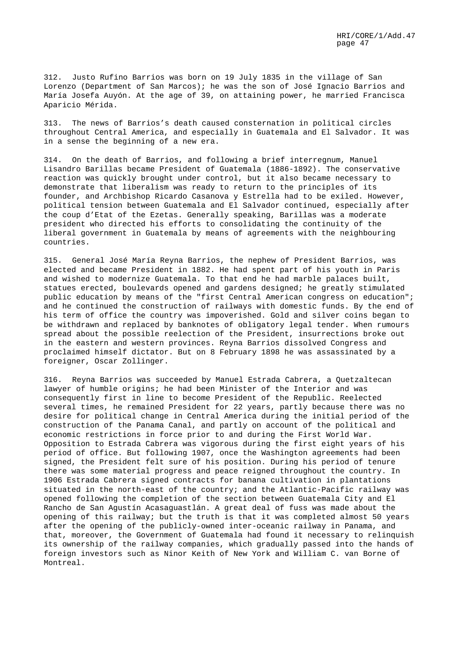312. Justo Rufino Barrios was born on 19 July 1835 in the village of San Lorenzo (Department of San Marcos); he was the son of José Ignacio Barrios and María Josefa Auyón. At the age of 39, on attaining power, he married Francisca Aparicio Mérida.

313. The news of Barrios's death caused consternation in political circles throughout Central America, and especially in Guatemala and El Salvador. It was in a sense the beginning of a new era.

314. On the death of Barrios, and following a brief interregnum, Manuel Lisandro Barillas became President of Guatemala (1886-1892). The conservative reaction was quickly brought under control, but it also became necessary to demonstrate that liberalism was ready to return to the principles of its founder, and Archbishop Ricardo Casanova y Estrella had to be exiled. However, political tension between Guatemala and El Salvador continued, especially after the coup d'Etat of the Ezetas. Generally speaking, Barillas was a moderate president who directed his efforts to consolidating the continuity of the liberal government in Guatemala by means of agreements with the neighbouring countries.

315. General José María Reyna Barrios, the nephew of President Barrios, was elected and became President in 1882. He had spent part of his youth in Paris and wished to modernize Guatemala. To that end he had marble palaces built, statues erected, boulevards opened and gardens designed; he greatly stimulated public education by means of the "first Central American congress on education"; and he continued the construction of railways with domestic funds. By the end of his term of office the country was impoverished. Gold and silver coins began to be withdrawn and replaced by banknotes of obligatory legal tender. When rumours spread about the possible reelection of the President, insurrections broke out in the eastern and western provinces. Reyna Barrios dissolved Congress and proclaimed himself dictator. But on 8 February 1898 he was assassinated by a foreigner, Oscar Zollinger.

316. Reyna Barrios was succeeded by Manuel Estrada Cabrera, a Quetzaltecan lawyer of humble origins; he had been Minister of the Interior and was consequently first in line to become President of the Republic. Reelected several times, he remained President for 22 years, partly because there was no desire for political change in Central America during the initial period of the construction of the Panama Canal, and partly on account of the political and economic restrictions in force prior to and during the First World War. Opposition to Estrada Cabrera was vigorous during the first eight years of his period of office. But following 1907, once the Washington agreements had been signed, the President felt sure of his position. During his period of tenure there was some material progress and peace reigned throughout the country. In 1906 Estrada Cabrera signed contracts for banana cultivation in plantations situated in the north-east of the country; and the Atlantic-Pacific railway was opened following the completion of the section between Guatemala City and El Rancho de San Agustín Acasaguastlán. A great deal of fuss was made about the opening of this railway; but the truth is that it was completed almost 50 years after the opening of the publicly-owned inter-oceanic railway in Panama, and that, moreover, the Government of Guatemala had found it necessary to relinquish its ownership of the railway companies, which gradually passed into the hands of foreign investors such as Ninor Keith of New York and William C. van Borne of Montreal.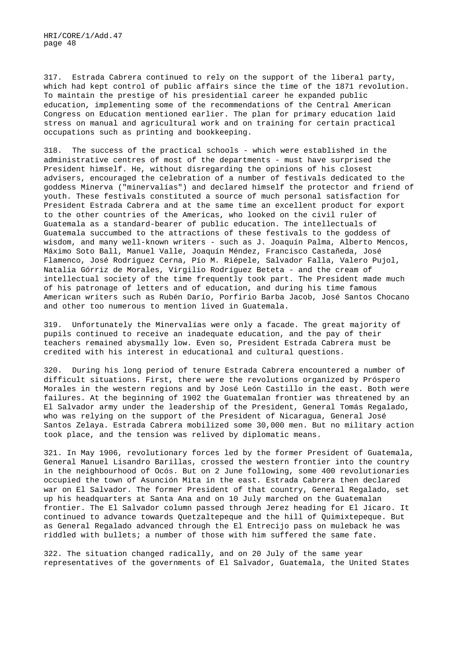317. Estrada Cabrera continued to rely on the support of the liberal party, which had kept control of public affairs since the time of the 1871 revolution. To maintain the prestige of his presidential career he expanded public education, implementing some of the recommendations of the Central American Congress on Education mentioned earlier. The plan for primary education laid stress on manual and agricultural work and on training for certain practical occupations such as printing and bookkeeping.

318. The success of the practical schools - which were established in the administrative centres of most of the departments - must have surprised the President himself. He, without disregarding the opinions of his closest advisers, encouraged the celebration of a number of festivals dedicated to the goddess Minerva ("minervalías") and declared himself the protector and friend of youth. These festivals constituted a source of much personal satisfaction for President Estrada Cabrera and at the same time an excellent product for export to the other countries of the Americas, who looked on the civil ruler of Guatemala as a standard-bearer of public education. The intellectuals of Guatemala succumbed to the attractions of these festivals to the goddess of wisdom, and many well-known writers - such as J. Joaquín Palma, Alberto Mencos, Máximo Soto Ball, Manuel Valle, Joaquín Méndez, Francisco Castañeda, José Flamenco, José Rodríguez Cerna, Pío M. Riépele, Salvador Falla, Valero Pujol, Natalia Górriz de Morales, Virgilio Rodríguez Beteta - and the cream of intellectual society of the time frequently took part. The President made much of his patronage of letters and of education, and during his time famous American writers such as Rubén Darío, Porfirio Barba Jacob, José Santos Chocano and other too numerous to mention lived in Guatemala.

319. Unfortunately the Minervalías were only a facade. The great majority of pupils continued to receive an inadequate education, and the pay of their teachers remained abysmally low. Even so, President Estrada Cabrera must be credited with his interest in educational and cultural questions.

320. During his long period of tenure Estrada Cabrera encountered a number of difficult situations. First, there were the revolutions organized by Próspero Morales in the western regions and by José León Castillo in the east. Both were failures. At the beginning of 1902 the Guatemalan frontier was threatened by an El Salvador army under the leadership of the President, General Tomás Regalado, who was relying on the support of the President of Nicaragua, General José Santos Zelaya. Estrada Cabrera mobilized some 30,000 men. But no military action took place, and the tension was relived by diplomatic means.

321. In May 1906, revolutionary forces led by the former President of Guatemala, General Manuel Lisandro Barillas, crossed the western frontier into the country in the neighbourhood of Ocós. But on 2 June following, some 400 revolutionaries occupied the town of Asunción Mita in the east. Estrada Cabrera then declared war on El Salvador. The former President of that country, General Regalado, set up his headquarters at Santa Ana and on 10 July marched on the Guatemalan frontier. The El Salvador column passed through Jerez heading for El Jícaro. It continued to advance towards Quetzaltepeque and the hill of Quimixtepeque. But as General Regalado advanced through the El Entrecijo pass on muleback he was riddled with bullets; a number of those with him suffered the same fate.

322. The situation changed radically, and on 20 July of the same year representatives of the governments of El Salvador, Guatemala, the United States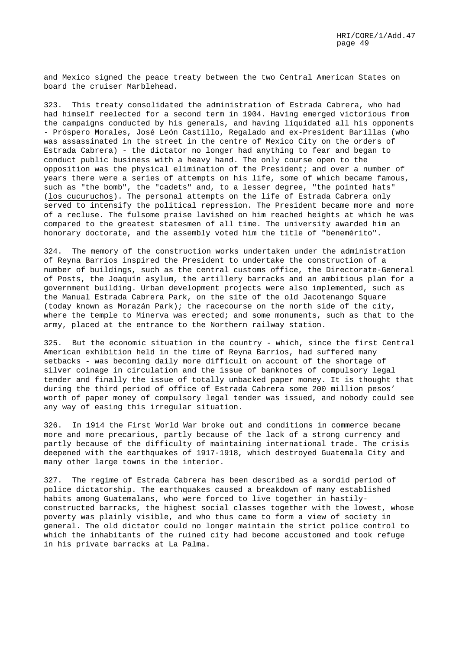and Mexico signed the peace treaty between the two Central American States on board the cruiser Marblehead.

323. This treaty consolidated the administration of Estrada Cabrera, who had had himself reelected for a second term in 1904. Having emerged victorious from the campaigns conducted by his generals, and having liquidated all his opponents - Próspero Morales, José León Castillo, Regalado and ex-President Barillas (who was assassinated in the street in the centre of Mexico City on the orders of Estrada Cabrera) - the dictator no longer had anything to fear and began to conduct public business with a heavy hand. The only course open to the opposition was the physical elimination of the President; and over a number of years there were a series of attempts on his life, some of which became famous, such as "the bomb", the "cadets" and, to a lesser degree, "the pointed hats" (los cucuruchos). The personal attempts on the life of Estrada Cabrera only served to intensify the political repression. The President became more and more of a recluse. The fulsome praise lavished on him reached heights at which he was compared to the greatest statesmen of all time. The university awarded him an honorary doctorate, and the assembly voted him the title of "benemérito".

324. The memory of the construction works undertaken under the administration of Reyna Barrios inspired the President to undertake the construction of a number of buildings, such as the central customs office, the Directorate-General of Posts, the Joaquín asylum, the artillery barracks and an ambitious plan for a government building. Urban development projects were also implemented, such as the Manual Estrada Cabrera Park, on the site of the old Jacotenango Square (today known as Morazán Park); the racecourse on the north side of the city, where the temple to Minerva was erected; and some monuments, such as that to the army, placed at the entrance to the Northern railway station.

325. But the economic situation in the country - which, since the first Central American exhibition held in the time of Reyna Barrios, had suffered many setbacks - was becoming daily more difficult on account of the shortage of silver coinage in circulation and the issue of banknotes of compulsory legal tender and finally the issue of totally unbacked paper money. It is thought that during the third period of office of Estrada Cabrera some 200 million pesos' worth of paper money of compulsory legal tender was issued, and nobody could see any way of easing this irregular situation.

326. In 1914 the First World War broke out and conditions in commerce became more and more precarious, partly because of the lack of a strong currency and partly because of the difficulty of maintaining international trade. The crisis deepened with the earthquakes of 1917-1918, which destroyed Guatemala City and many other large towns in the interior.

327. The regime of Estrada Cabrera has been described as a sordid period of police dictatorship. The earthquakes caused a breakdown of many established habits among Guatemalans, who were forced to live together in hastilyconstructed barracks, the highest social classes together with the lowest, whose poverty was plainly visible, and who thus came to form a view of society in general. The old dictator could no longer maintain the strict police control to which the inhabitants of the ruined city had become accustomed and took refuge in his private barracks at La Palma.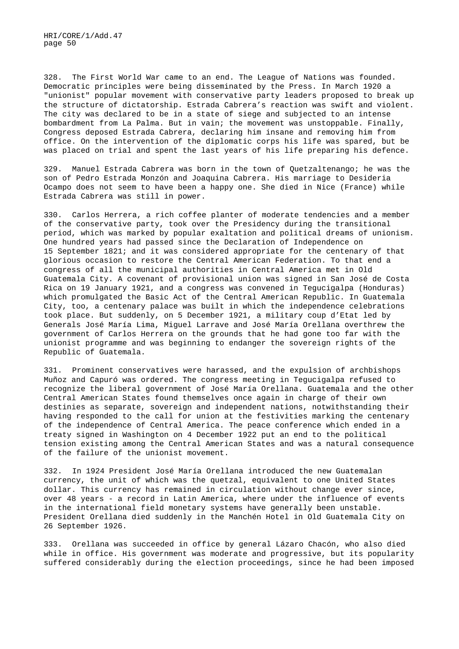328. The First World War came to an end. The League of Nations was founded. Democratic principles were being disseminated by the Press. In March 1920 a "unionist" popular movement with conservative party leaders proposed to break up the structure of dictatorship. Estrada Cabrera's reaction was swift and violent. The city was declared to be in a state of siege and subjected to an intense bombardment from La Palma. But in vain; the movement was unstoppable. Finally, Congress deposed Estrada Cabrera, declaring him insane and removing him from office. On the intervention of the diplomatic corps his life was spared, but be was placed on trial and spent the last years of his life preparing his defence.

329. Manuel Estrada Cabrera was born in the town of Quetzaltenango; he was the son of Pedro Estrada Monzón and Joaquina Cabrera. His marriage to Desideria Ocampo does not seem to have been a happy one. She died in Nice (France) while Estrada Cabrera was still in power.

330. Carlos Herrera, a rich coffee planter of moderate tendencies and a member of the conservative party, took over the Presidency during the transitional period, which was marked by popular exaltation and political dreams of unionism. One hundred years had passed since the Declaration of Independence on 15 September 1821; and it was considered appropriate for the centenary of that glorious occasion to restore the Central American Federation. To that end a congress of all the municipal authorities in Central America met in Old Guatemala City. A covenant of provisional union was signed in San José de Costa Rica on 19 January 1921, and a congress was convened in Tegucigalpa (Honduras) which promulgated the Basic Act of the Central American Republic. In Guatemala City, too, a centenary palace was built in which the independence celebrations took place. But suddenly, on 5 December 1921, a military coup d'Etat led by Generals José María Lima, Miguel Larrave and José María Orellana overthrew the government of Carlos Herrera on the grounds that he had gone too far with the unionist programme and was beginning to endanger the sovereign rights of the Republic of Guatemala.

331. Prominent conservatives were harassed, and the expulsion of archbishops Muñoz and Capuró was ordered. The congress meeting in Tegucigalpa refused to recognize the liberal government of José María Orellana. Guatemala and the other Central American States found themselves once again in charge of their own destinies as separate, sovereign and independent nations, notwithstanding their having responded to the call for union at the festivities marking the centenary of the independence of Central America. The peace conference which ended in a treaty signed in Washington on 4 December 1922 put an end to the political tension existing among the Central American States and was a natural consequence of the failure of the unionist movement.

332. In 1924 President José María Orellana introduced the new Guatemalan currency, the unit of which was the quetzal, equivalent to one United States dollar. This currency has remained in circulation without change ever since, over 48 years - a record in Latin America, where under the influence of events in the international field monetary systems have generally been unstable. President Orellana died suddenly in the Manchén Hotel in Old Guatemala City on 26 September 1926.

333. Orellana was succeeded in office by general Lázaro Chacón, who also died while in office. His government was moderate and progressive, but its popularity suffered considerably during the election proceedings, since he had been imposed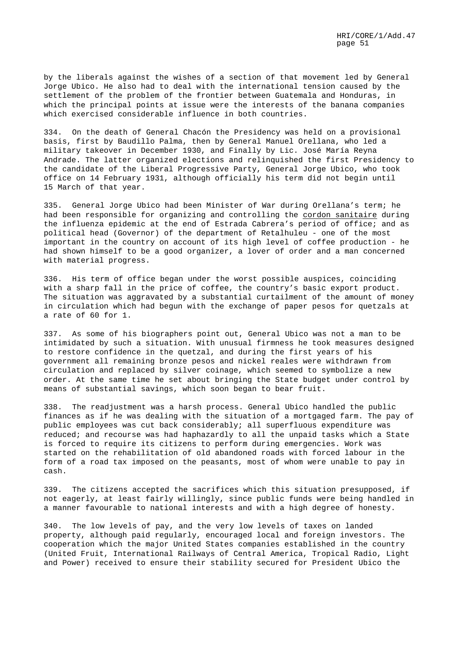by the liberals against the wishes of a section of that movement led by General Jorge Ubico. He also had to deal with the international tension caused by the settlement of the problem of the frontier between Guatemala and Honduras, in which the principal points at issue were the interests of the banana companies which exercised considerable influence in both countries.

334. On the death of General Chacón the Presidency was held on a provisional basis, first by Baudillo Palma, then by General Manuel Orellana, who led a military takeover in December 1930, and Finally by Lic. José María Reyna Andrade. The latter organized elections and relinquished the first Presidency to the candidate of the Liberal Progressive Party, General Jorge Ubico, who took office on 14 February 1931, although officially his term did not begin until 15 March of that year.

335. General Jorge Ubico had been Minister of War during Orellana's term; he had been responsible for organizing and controlling the cordon sanitaire during the influenza epidemic at the end of Estrada Cabrera's period of office; and as political head (Governor) of the department of Retalhuleu - one of the most important in the country on account of its high level of coffee production - he had shown himself to be a good organizer, a lover of order and a man concerned with material progress.

336. His term of office began under the worst possible auspices, coinciding with a sharp fall in the price of coffee, the country's basic export product. The situation was aggravated by a substantial curtailment of the amount of money in circulation which had begun with the exchange of paper pesos for quetzals at a rate of 60 for 1.

337. As some of his biographers point out, General Ubico was not a man to be intimidated by such a situation. With unusual firmness he took measures designed to restore confidence in the quetzal, and during the first years of his government all remaining bronze pesos and nickel reales were withdrawn from circulation and replaced by silver coinage, which seemed to symbolize a new order. At the same time he set about bringing the State budget under control by means of substantial savings, which soon began to bear fruit.

338. The readjustment was a harsh process. General Ubico handled the public finances as if he was dealing with the situation of a mortgaged farm. The pay of public employees was cut back considerably; all superfluous expenditure was reduced; and recourse was had haphazardly to all the unpaid tasks which a State is forced to require its citizens to perform during emergencies. Work was started on the rehabilitation of old abandoned roads with forced labour in the form of a road tax imposed on the peasants, most of whom were unable to pay in cash.

339. The citizens accepted the sacrifices which this situation presupposed, if not eagerly, at least fairly willingly, since public funds were being handled in a manner favourable to national interests and with a high degree of honesty.

340. The low levels of pay, and the very low levels of taxes on landed property, although paid regularly, encouraged local and foreign investors. The cooperation which the major United States companies established in the country (United Fruit, International Railways of Central America, Tropical Radio, Light and Power) received to ensure their stability secured for President Ubico the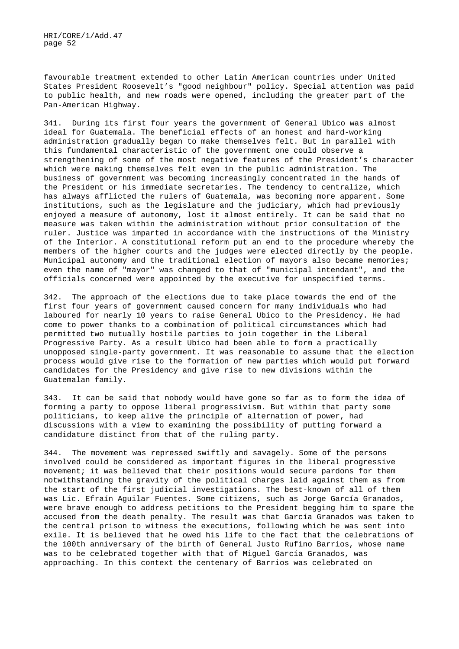favourable treatment extended to other Latin American countries under United States President Roosevelt's "good neighbour" policy. Special attention was paid to public health, and new roads were opened, including the greater part of the Pan-American Highway.

341. During its first four years the government of General Ubico was almost ideal for Guatemala. The beneficial effects of an honest and hard-working administration gradually began to make themselves felt. But in parallel with this fundamental characteristic of the government one could observe a strengthening of some of the most negative features of the President's character which were making themselves felt even in the public administration. The business of government was becoming increasingly concentrated in the hands of the President or his immediate secretaries. The tendency to centralize, which has always afflicted the rulers of Guatemala, was becoming more apparent. Some institutions, such as the legislature and the judiciary, which had previously enjoyed a measure of autonomy, lost it almost entirely. It can be said that no measure was taken within the administration without prior consultation of the ruler. Justice was imparted in accordance with the instructions of the Ministry of the Interior. A constitutional reform put an end to the procedure whereby the members of the higher courts and the judges were elected directly by the people. Municipal autonomy and the traditional election of mayors also became memories; even the name of "mayor" was changed to that of "municipal intendant", and the officials concerned were appointed by the executive for unspecified terms.

342. The approach of the elections due to take place towards the end of the first four years of government caused concern for many individuals who had laboured for nearly 10 years to raise General Ubico to the Presidency. He had come to power thanks to a combination of political circumstances which had permitted two mutually hostile parties to join together in the Liberal Progressive Party. As a result Ubico had been able to form a practically unopposed single-party government. It was reasonable to assume that the election process would give rise to the formation of new parties which would put forward candidates for the Presidency and give rise to new divisions within the Guatemalan family.

343. It can be said that nobody would have gone so far as to form the idea of forming a party to oppose liberal progressivism. But within that party some politicians, to keep alive the principle of alternation of power, had discussions with a view to examining the possibility of putting forward a candidature distinct from that of the ruling party.

344. The movement was repressed swiftly and savagely. Some of the persons involved could be considered as important figures in the liberal progressive movement; it was believed that their positions would secure pardons for them notwithstanding the gravity of the political charges laid against them as from the start of the first judicial investigations. The best-known of all of them was Lic. Efraín Aguilar Fuentes. Some citizens, such as Jorge García Granados, were brave enough to address petitions to the President begging him to spare the accused from the death penalty. The result was that García Granados was taken to the central prison to witness the executions, following which he was sent into exile. It is believed that he owed his life to the fact that the celebrations of the 100th anniversary of the birth of General Justo Rufino Barrios, whose name was to be celebrated together with that of Miguel García Granados, was approaching. In this context the centenary of Barrios was celebrated on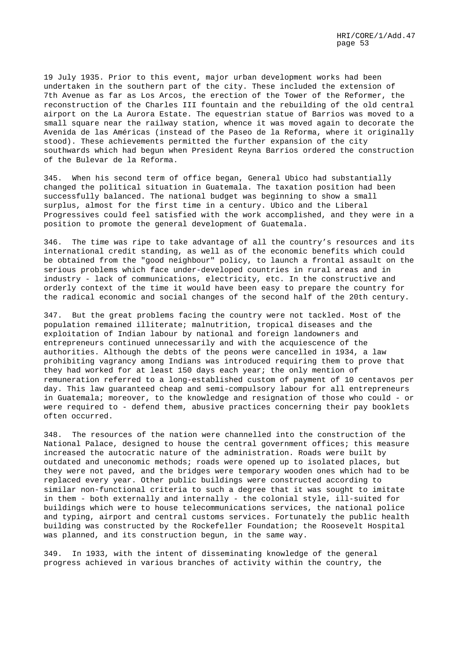19 July 1935. Prior to this event, major urban development works had been undertaken in the southern part of the city. These included the extension of 7th Avenue as far as Los Arcos, the erection of the Tower of the Reformer, the reconstruction of the Charles III fountain and the rebuilding of the old central airport on the La Aurora Estate. The equestrian statue of Barrios was moved to a small square near the railway station, whence it was moved again to decorate the Avenida de las Américas (instead of the Paseo de la Reforma, where it originally stood). These achievements permitted the further expansion of the city southwards which had begun when President Reyna Barrios ordered the construction of the Bulevar de la Reforma.

345. When his second term of office began, General Ubico had substantially changed the political situation in Guatemala. The taxation position had been successfully balanced. The national budget was beginning to show a small surplus, almost for the first time in a century. Ubico and the Liberal Progressives could feel satisfied with the work accomplished, and they were in a position to promote the general development of Guatemala.

346. The time was ripe to take advantage of all the country's resources and its international credit standing, as well as of the economic benefits which could be obtained from the "good neighbour" policy, to launch a frontal assault on the serious problems which face under-developed countries in rural areas and in industry - lack of communications, electricity, etc. In the constructive and orderly context of the time it would have been easy to prepare the country for the radical economic and social changes of the second half of the 20th century.

347. But the great problems facing the country were not tackled. Most of the population remained illiterate; malnutrition, tropical diseases and the exploitation of Indian labour by national and foreign landowners and entrepreneurs continued unnecessarily and with the acquiescence of the authorities. Although the debts of the peons were cancelled in 1934, a law prohibiting vagrancy among Indians was introduced requiring them to prove that they had worked for at least 150 days each year; the only mention of remuneration referred to a long-established custom of payment of 10 centavos per day. This law guaranteed cheap and semi-compulsory labour for all entrepreneurs in Guatemala; moreover, to the knowledge and resignation of those who could - or were required to - defend them, abusive practices concerning their pay booklets often occurred.

348. The resources of the nation were channelled into the construction of the National Palace, designed to house the central government offices; this measure increased the autocratic nature of the administration. Roads were built by outdated and uneconomic methods; roads were opened up to isolated places, but they were not paved, and the bridges were temporary wooden ones which had to be replaced every year. Other public buildings were constructed according to similar non-functional criteria to such a degree that it was sought to imitate in them - both externally and internally - the colonial style, ill-suited for buildings which were to house telecommunications services, the national police and typing, airport and central customs services. Fortunately the public health building was constructed by the Rockefeller Foundation; the Roosevelt Hospital was planned, and its construction begun, in the same way.

349. In 1933, with the intent of disseminating knowledge of the general progress achieved in various branches of activity within the country, the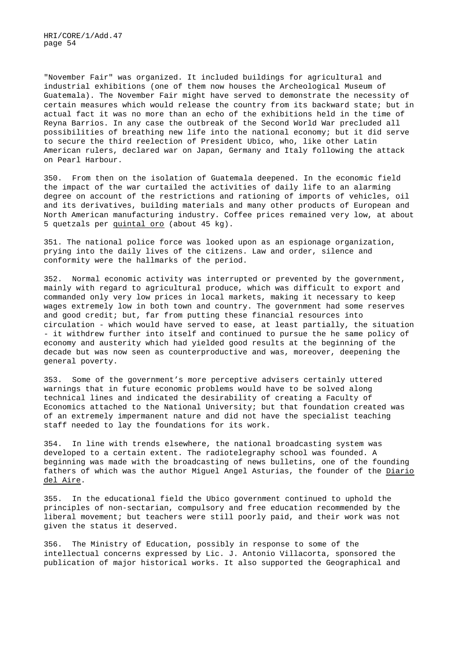"November Fair" was organized. It included buildings for agricultural and industrial exhibitions (one of them now houses the Archeological Museum of Guatemala). The November Fair might have served to demonstrate the necessity of certain measures which would release the country from its backward state; but in actual fact it was no more than an echo of the exhibitions held in the time of Reyna Barrios. In any case the outbreak of the Second World War precluded all possibilities of breathing new life into the national economy; but it did serve to secure the third reelection of President Ubico, who, like other Latin American rulers, declared war on Japan, Germany and Italy following the attack on Pearl Harbour.

350. From then on the isolation of Guatemala deepened. In the economic field the impact of the war curtailed the activities of daily life to an alarming degree on account of the restrictions and rationing of imports of vehicles, oil and its derivatives, building materials and many other products of European and North American manufacturing industry. Coffee prices remained very low, at about 5 quetzals per quintal oro (about 45 kg).

351. The national police force was looked upon as an espionage organization, prying into the daily lives of the citizens. Law and order, silence and conformity were the hallmarks of the period.

352. Normal economic activity was interrupted or prevented by the government, mainly with regard to agricultural produce, which was difficult to export and commanded only very low prices in local markets, making it necessary to keep wages extremely low in both town and country. The government had some reserves and good credit; but, far from putting these financial resources into circulation - which would have served to ease, at least partially, the situation - it withdrew further into itself and continued to pursue the he same policy of economy and austerity which had yielded good results at the beginning of the decade but was now seen as counterproductive and was, moreover, deepening the general poverty.

353. Some of the government's more perceptive advisers certainly uttered warnings that in future economic problems would have to be solved along technical lines and indicated the desirability of creating a Faculty of Economics attached to the National University; but that foundation created was of an extremely impermanent nature and did not have the specialist teaching staff needed to lay the foundations for its work.

354. In line with trends elsewhere, the national broadcasting system was developed to a certain extent. The radiotelegraphy school was founded. A beginning was made with the broadcasting of news bulletins, one of the founding fathers of which was the author Miguel Angel Asturias, the founder of the Diario del Aire.

355. In the educational field the Ubico government continued to uphold the principles of non-sectarian, compulsory and free education recommended by the liberal movement; but teachers were still poorly paid, and their work was not given the status it deserved.

356. The Ministry of Education, possibly in response to some of the intellectual concerns expressed by Lic. J. Antonio Villacorta, sponsored the publication of major historical works. It also supported the Geographical and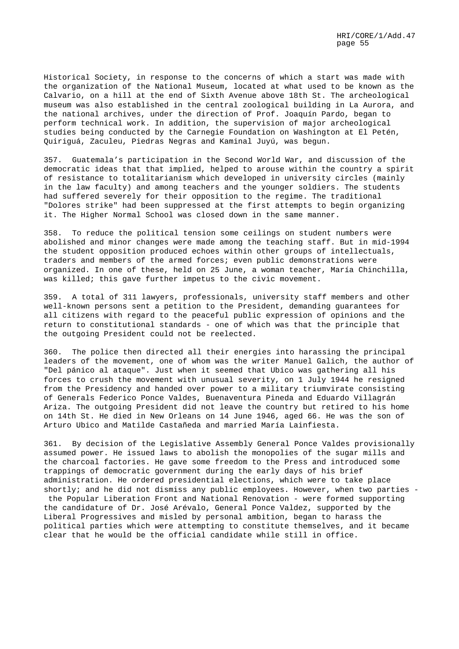Historical Society, in response to the concerns of which a start was made with the organization of the National Museum, located at what used to be known as the Calvario, on a hill at the end of Sixth Avenue above 18th St. The archeological museum was also established in the central zoological building in La Aurora, and the national archives, under the direction of Prof. Joaquín Pardo, began to perform technical work. In addition, the supervision of major archeological studies being conducted by the Carnegie Foundation on Washington at El Petén, Quiriguá, Zaculeu, Piedras Negras and Kaminal Juyú, was begun.

357. Guatemala's participation in the Second World War, and discussion of the democratic ideas that that implied, helped to arouse within the country a spirit of resistance to totalitarianism which developed in university circles (mainly in the law faculty) and among teachers and the younger soldiers. The students had suffered severely for their opposition to the regime. The traditional "Dolores strike" had been suppressed at the first attempts to begin organizing it. The Higher Normal School was closed down in the same manner.

358. To reduce the political tension some ceilings on student numbers were abolished and minor changes were made among the teaching staff. But in mid-1994 the student opposition produced echoes within other groups of intellectuals, traders and members of the armed forces; even public demonstrations were organized. In one of these, held on 25 June, a woman teacher, María Chinchilla, was killed; this gave further impetus to the civic movement.

359. A total of 311 lawyers, professionals, university staff members and other well-known persons sent a petition to the President, demanding guarantees for all citizens with regard to the peaceful public expression of opinions and the return to constitutional standards - one of which was that the principle that the outgoing President could not be reelected.

360. The police then directed all their energies into harassing the principal leaders of the movement, one of whom was the writer Manuel Galich, the author of "Del pánico al ataque". Just when it seemed that Ubico was gathering all his forces to crush the movement with unusual severity, on 1 July 1944 he resigned from the Presidency and handed over power to a military triumvirate consisting of Generals Federico Ponce Valdes, Buenaventura Pineda and Eduardo Villagrán Ariza. The outgoing President did not leave the country but retired to his home on 14th St. He died in New Orleans on 14 June 1946, aged 66. He was the son of Arturo Ubico and Matilde Castañeda and married María Lainfiesta.

361. By decision of the Legislative Assembly General Ponce Valdes provisionally assumed power. He issued laws to abolish the monopolies of the sugar mills and the charcoal factories. He gave some freedom to the Press and introduced some trappings of democratic government during the early days of his brief administration. He ordered presidential elections, which were to take place shortly; and he did not dismiss any public employees. However, when two parties -

the Popular Liberation Front and National Renovation - were formed supporting the candidature of Dr. José Arévalo, General Ponce Valdez, supported by the Liberal Progressives and misled by personal ambition, began to harass the political parties which were attempting to constitute themselves, and it became clear that he would be the official candidate while still in office.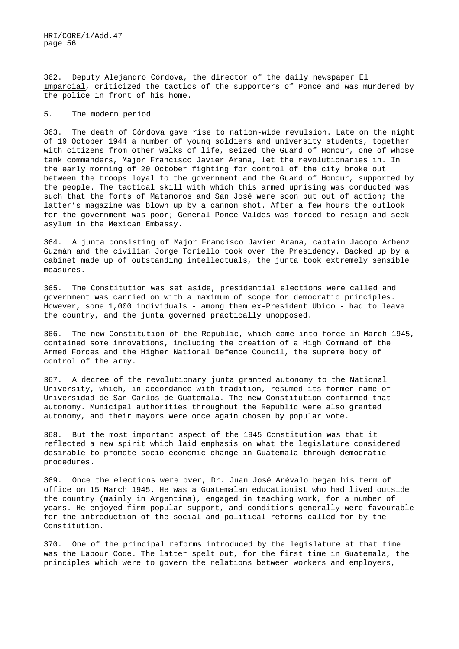362. Deputy Alejandro Córdova, the director of the daily newspaper El Imparcial, criticized the tactics of the supporters of Ponce and was murdered by the police in front of his home.

#### 5. The modern period

363. The death of Córdova gave rise to nation-wide revulsion. Late on the night of 19 October 1944 a number of young soldiers and university students, together with citizens from other walks of life, seized the Guard of Honour, one of whose tank commanders, Major Francisco Javier Arana, let the revolutionaries in. In the early morning of 20 October fighting for control of the city broke out between the troops loyal to the government and the Guard of Honour, supported by the people. The tactical skill with which this armed uprising was conducted was such that the forts of Matamoros and San José were soon put out of action; the latter's magazine was blown up by a cannon shot. After a few hours the outlook for the government was poor; General Ponce Valdes was forced to resign and seek asylum in the Mexican Embassy.

364. A junta consisting of Major Francisco Javier Arana, captain Jacopo Arbenz Guzmán and the civilian Jorge Toriello took over the Presidency. Backed up by a cabinet made up of outstanding intellectuals, the junta took extremely sensible measures.

365. The Constitution was set aside, presidential elections were called and government was carried on with a maximum of scope for democratic principles. However, some 1,000 individuals - among them ex-President Ubico - had to leave the country, and the junta governed practically unopposed.

366. The new Constitution of the Republic, which came into force in March 1945, contained some innovations, including the creation of a High Command of the Armed Forces and the Higher National Defence Council, the supreme body of control of the army.

367. A decree of the revolutionary junta granted autonomy to the National University, which, in accordance with tradition, resumed its former name of Universidad de San Carlos de Guatemala. The new Constitution confirmed that autonomy. Municipal authorities throughout the Republic were also granted autonomy, and their mayors were once again chosen by popular vote.

368. But the most important aspect of the 1945 Constitution was that it reflected a new spirit which laid emphasis on what the legislature considered desirable to promote socio-economic change in Guatemala through democratic procedures.

369. Once the elections were over, Dr. Juan José Arévalo began his term of office on 15 March 1945. He was a Guatemalan educationist who had lived outside the country (mainly in Argentina), engaged in teaching work, for a number of years. He enjoyed firm popular support, and conditions generally were favourable for the introduction of the social and political reforms called for by the Constitution.

370. One of the principal reforms introduced by the legislature at that time was the Labour Code. The latter spelt out, for the first time in Guatemala, the principles which were to govern the relations between workers and employers,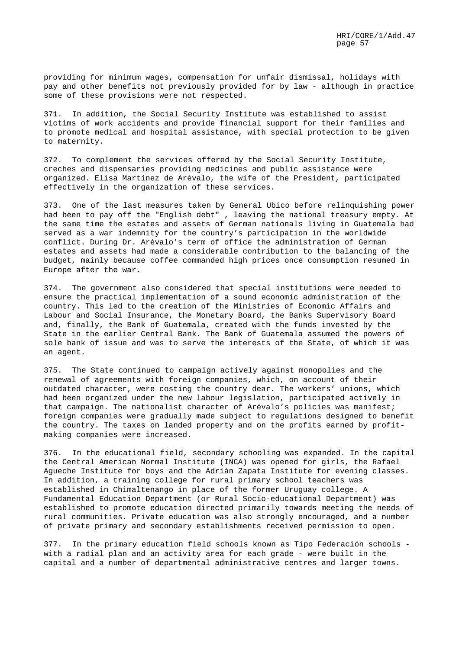providing for minimum wages, compensation for unfair dismissal, holidays with pay and other benefits not previously provided for by law - although in practice some of these provisions were not respected.

371. In addition, the Social Security Institute was established to assist victims of work accidents and provide financial support for their families and to promote medical and hospital assistance, with special protection to be given to maternity.

372. To complement the services offered by the Social Security Institute, creches and dispensaries providing medicines and public assistance were organized. Elisa Martínez de Arévalo, the wife of the President, participated effectively in the organization of these services.

373. One of the last measures taken by General Ubico before relinquishing power had been to pay off the "English debt" , leaving the national treasury empty. At the same time the estates and assets of German nationals living in Guatemala had served as a war indemnity for the country's participation in the worldwide conflict. During Dr. Arévalo's term of office the administration of German estates and assets had made a considerable contribution to the balancing of the budget, mainly because coffee commanded high prices once consumption resumed in Europe after the war.

374. The government also considered that special institutions were needed to ensure the practical implementation of a sound economic administration of the country. This led to the creation of the Ministries of Economic Affairs and Labour and Social Insurance, the Monetary Board, the Banks Supervisory Board and, finally, the Bank of Guatemala, created with the funds invested by the State in the earlier Central Bank. The Bank of Guatemala assumed the powers of sole bank of issue and was to serve the interests of the State, of which it was an agent.

375. The State continued to campaign actively against monopolies and the renewal of agreements with foreign companies, which, on account of their outdated character, were costing the country dear. The workers' unions, which had been organized under the new labour legislation, participated actively in that campaign. The nationalist character of Arévalo's policies was manifest; foreign companies were gradually made subject to regulations designed to benefit the country. The taxes on landed property and on the profits earned by profitmaking companies were increased.

376. In the educational field, secondary schooling was expanded. In the capital the Central American Normal Institute (INCA) was opened for girls, the Rafael Agueche Institute for boys and the Adrián Zapata Institute for evening classes. In addition, a training college for rural primary school teachers was established in Chimaltenango in place of the former Uruguay college. A Fundamental Education Department (or Rural Socio-educational Department) was established to promote education directed primarily towards meeting the needs of rural communities. Private education was also strongly encouraged, and a number of private primary and secondary establishments received permission to open.

377. In the primary education field schools known as Tipo Federación schools with a radial plan and an activity area for each grade - were built in the capital and a number of departmental administrative centres and larger towns.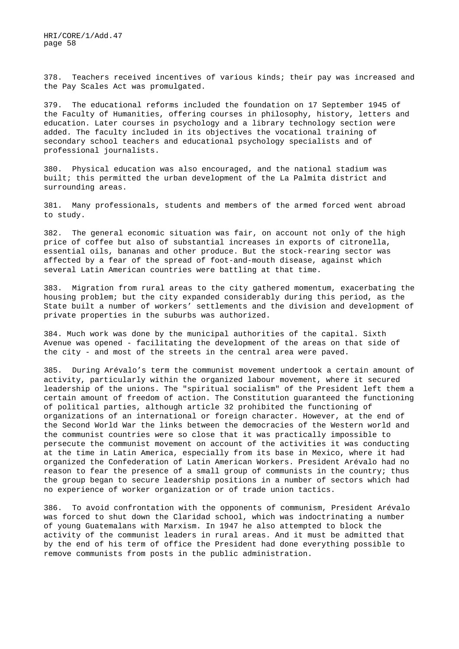378. Teachers received incentives of various kinds; their pay was increased and the Pay Scales Act was promulgated.

379. The educational reforms included the foundation on 17 September 1945 of the Faculty of Humanities, offering courses in philosophy, history, letters and education. Later courses in psychology and a library technology section were added. The faculty included in its objectives the vocational training of secondary school teachers and educational psychology specialists and of professional journalists.

380. Physical education was also encouraged, and the national stadium was built; this permitted the urban development of the La Palmita district and surrounding areas.

381. Many professionals, students and members of the armed forced went abroad to study.

382. The general economic situation was fair, on account not only of the high price of coffee but also of substantial increases in exports of citronella, essential oils, bananas and other produce. But the stock-rearing sector was affected by a fear of the spread of foot-and-mouth disease, against which several Latin American countries were battling at that time.

383. Migration from rural areas to the city gathered momentum, exacerbating the housing problem; but the city expanded considerably during this period, as the State built a number of workers' settlements and the division and development of private properties in the suburbs was authorized.

384. Much work was done by the municipal authorities of the capital. Sixth Avenue was opened - facilitating the development of the areas on that side of the city - and most of the streets in the central area were paved.

385. During Arévalo's term the communist movement undertook a certain amount of activity, particularly within the organized labour movement, where it secured leadership of the unions. The "spiritual socialism" of the President left them a certain amount of freedom of action. The Constitution guaranteed the functioning of political parties, although article 32 prohibited the functioning of organizations of an international or foreign character. However, at the end of the Second World War the links between the democracies of the Western world and the communist countries were so close that it was practically impossible to persecute the communist movement on account of the activities it was conducting at the time in Latin America, especially from its base in Mexico, where it had organized the Confederation of Latin American Workers. President Arévalo had no reason to fear the presence of a small group of communists in the country; thus the group began to secure leadership positions in a number of sectors which had no experience of worker organization or of trade union tactics.

386. To avoid confrontation with the opponents of communism, President Arévalo was forced to shut down the Claridad school, which was indoctrinating a number of young Guatemalans with Marxism. In 1947 he also attempted to block the activity of the communist leaders in rural areas. And it must be admitted that by the end of his term of office the President had done everything possible to remove communists from posts in the public administration.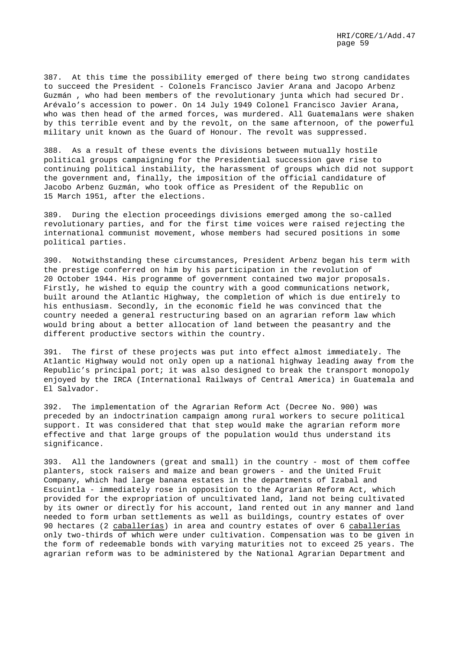387. At this time the possibility emerged of there being two strong candidates to succeed the President - Colonels Francisco Javier Arana and Jacopo Arbenz Guzmán , who had been members of the revolutionary junta which had secured Dr. Arévalo's accession to power. On 14 July 1949 Colonel Francisco Javier Arana, who was then head of the armed forces, was murdered. All Guatemalans were shaken by this terrible event and by the revolt, on the same afternoon, of the powerful military unit known as the Guard of Honour. The revolt was suppressed.

388. As a result of these events the divisions between mutually hostile political groups campaigning for the Presidential succession gave rise to continuing political instability, the harassment of groups which did not support the government and, finally, the imposition of the official candidature of Jacobo Arbenz Guzmán, who took office as President of the Republic on 15 March 1951, after the elections.

389. During the election proceedings divisions emerged among the so-called revolutionary parties, and for the first time voices were raised rejecting the international communist movement, whose members had secured positions in some political parties.

390. Notwithstanding these circumstances, President Arbenz began his term with the prestige conferred on him by his participation in the revolution of 20 October 1944. His programme of government contained two major proposals. Firstly, he wished to equip the country with a good communications network, built around the Atlantic Highway, the completion of which is due entirely to his enthusiasm. Secondly, in the economic field he was convinced that the country needed a general restructuring based on an agrarian reform law which would bring about a better allocation of land between the peasantry and the different productive sectors within the country.

391. The first of these projects was put into effect almost immediately. The Atlantic Highway would not only open up a national highway leading away from the Republic's principal port; it was also designed to break the transport monopoly enjoyed by the IRCA (International Railways of Central America) in Guatemala and El Salvador.

392. The implementation of the Agrarian Reform Act (Decree No. 900) was preceded by an indoctrination campaign among rural workers to secure political support. It was considered that that step would make the agrarian reform more effective and that large groups of the population would thus understand its significance.

393. All the landowners (great and small) in the country - most of them coffee planters, stock raisers and maize and bean growers - and the United Fruit Company, which had large banana estates in the departments of Izabal and Escuintla - immediately rose in opposition to the Agrarian Reform Act, which provided for the expropriation of uncultivated land, land not being cultivated by its owner or directly for his account, land rented out in any manner and land needed to form urban settlements as well as buildings, country estates of over 90 hectares (2 caballerías) in area and country estates of over 6 caballerías only two-thirds of which were under cultivation. Compensation was to be given in the form of redeemable bonds with varying maturities not to exceed 25 years. The agrarian reform was to be administered by the National Agrarian Department and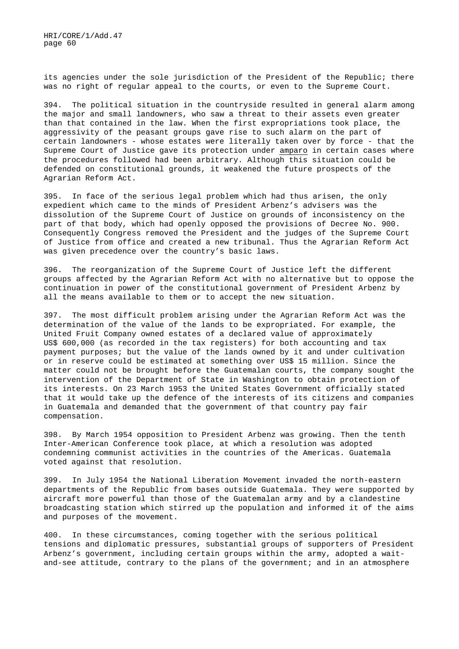its agencies under the sole jurisdiction of the President of the Republic; there was no right of regular appeal to the courts, or even to the Supreme Court.

394. The political situation in the countryside resulted in general alarm among the major and small landowners, who saw a threat to their assets even greater than that contained in the law. When the first expropriations took place, the aggressivity of the peasant groups gave rise to such alarm on the part of certain landowners - whose estates were literally taken over by force - that the Supreme Court of Justice gave its protection under amparo in certain cases where the procedures followed had been arbitrary. Although this situation could be defended on constitutional grounds, it weakened the future prospects of the Agrarian Reform Act.

395. In face of the serious legal problem which had thus arisen, the only expedient which came to the minds of President Arbenz's advisers was the dissolution of the Supreme Court of Justice on grounds of inconsistency on the part of that body, which had openly opposed the provisions of Decree No. 900. Consequently Congress removed the President and the judges of the Supreme Court of Justice from office and created a new tribunal. Thus the Agrarian Reform Act was given precedence over the country's basic laws.

396. The reorganization of the Supreme Court of Justice left the different groups affected by the Agrarian Reform Act with no alternative but to oppose the continuation in power of the constitutional government of President Arbenz by all the means available to them or to accept the new situation.

397. The most difficult problem arising under the Agrarian Reform Act was the determination of the value of the lands to be expropriated. For example, the United Fruit Company owned estates of a declared value of approximately US\$ 600,000 (as recorded in the tax registers) for both accounting and tax payment purposes; but the value of the lands owned by it and under cultivation or in reserve could be estimated at something over US\$ 15 million. Since the matter could not be brought before the Guatemalan courts, the company sought the intervention of the Department of State in Washington to obtain protection of its interests. On 23 March 1953 the United States Government officially stated that it would take up the defence of the interests of its citizens and companies in Guatemala and demanded that the government of that country pay fair compensation.

398. By March 1954 opposition to President Arbenz was growing. Then the tenth Inter-American Conference took place, at which a resolution was adopted condemning communist activities in the countries of the Americas. Guatemala voted against that resolution.

399. In July 1954 the National Liberation Movement invaded the north-eastern departments of the Republic from bases outside Guatemala. They were supported by aircraft more powerful than those of the Guatemalan army and by a clandestine broadcasting station which stirred up the population and informed it of the aims and purposes of the movement.

400. In these circumstances, coming together with the serious political tensions and diplomatic pressures, substantial groups of supporters of President Arbenz's government, including certain groups within the army, adopted a waitand-see attitude, contrary to the plans of the government; and in an atmosphere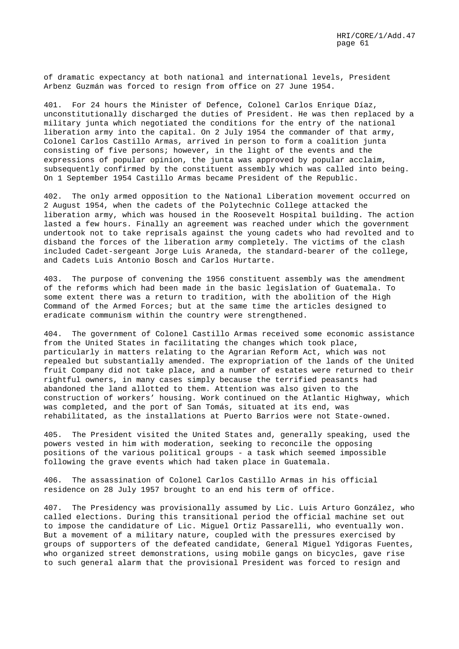of dramatic expectancy at both national and international levels, President Arbenz Guzmán was forced to resign from office on 27 June 1954.

401. For 24 hours the Minister of Defence, Colonel Carlos Enrique Díaz, unconstitutionally discharged the duties of President. He was then replaced by a military junta which negotiated the conditions for the entry of the national liberation army into the capital. On 2 July 1954 the commander of that army, Colonel Carlos Castillo Armas, arrived in person to form a coalition junta consisting of five persons; however, in the light of the events and the expressions of popular opinion, the junta was approved by popular acclaim, subsequently confirmed by the constituent assembly which was called into being. On 1 September 1954 Castillo Armas became President of the Republic.

402. The only armed opposition to the National Liberation movement occurred on 2 August 1954, when the cadets of the Polytechnic College attacked the liberation army, which was housed in the Roosevelt Hospital building. The action lasted a few hours. Finally an agreement was reached under which the government undertook not to take reprisals against the young cadets who had revolted and to disband the forces of the liberation army completely. The victims of the clash included Cadet-sergeant Jorge Luis Araneda, the standard-bearer of the college, and Cadets Luis Antonio Bosch and Carlos Hurtarte.

403. The purpose of convening the 1956 constituent assembly was the amendment of the reforms which had been made in the basic legislation of Guatemala. To some extent there was a return to tradition, with the abolition of the High Command of the Armed Forces; but at the same time the articles designed to eradicate communism within the country were strengthened.

404. The government of Colonel Castillo Armas received some economic assistance from the United States in facilitating the changes which took place, particularly in matters relating to the Agrarian Reform Act, which was not repealed but substantially amended. The expropriation of the lands of the United fruit Company did not take place, and a number of estates were returned to their rightful owners, in many cases simply because the terrified peasants had abandoned the land allotted to them. Attention was also given to the construction of workers' housing. Work continued on the Atlantic Highway, which was completed, and the port of San Tomás, situated at its end, was rehabilitated, as the installations at Puerto Barrios were not State-owned.

405. The President visited the United States and, generally speaking, used the powers vested in him with moderation, seeking to reconcile the opposing positions of the various political groups - a task which seemed impossible following the grave events which had taken place in Guatemala.

406. The assassination of Colonel Carlos Castillo Armas in his official residence on 28 July 1957 brought to an end his term of office.

407. The Presidency was provisionally assumed by Lic. Luis Arturo González, who called elections. During this transitional period the official machine set out to impose the candidature of Lic. Miguel Ortiz Passarelli, who eventually won. But a movement of a military nature, coupled with the pressures exercised by groups of supporters of the defeated candidate, General Miguel Ydigoras Fuentes, who organized street demonstrations, using mobile gangs on bicycles, gave rise to such general alarm that the provisional President was forced to resign and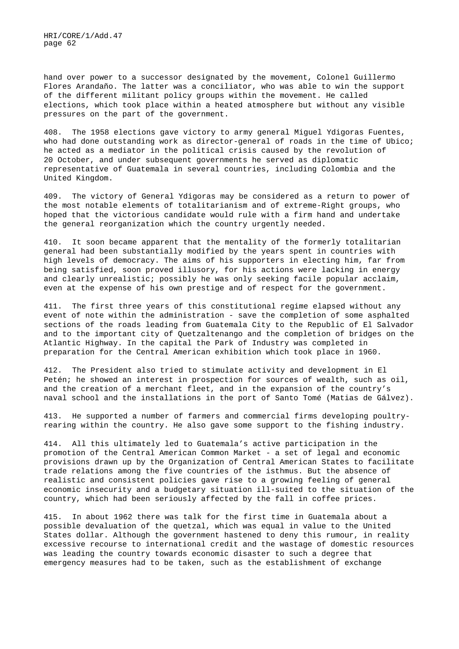hand over power to a successor designated by the movement, Colonel Guillermo Flores Arandaño. The latter was a conciliator, who was able to win the support of the different militant policy groups within the movement. He called elections, which took place within a heated atmosphere but without any visible pressures on the part of the government.

408. The 1958 elections gave victory to army general Miguel Ydigoras Fuentes, who had done outstanding work as director-general of roads in the time of Ubico; he acted as a mediator in the political crisis caused by the revolution of 20 October, and under subsequent governments he served as diplomatic representative of Guatemala in several countries, including Colombia and the United Kingdom.

409. The victory of General Ydigoras may be considered as a return to power of the most notable elements of totalitarianism and of extreme-Right groups, who hoped that the victorious candidate would rule with a firm hand and undertake the general reorganization which the country urgently needed.

410. It soon became apparent that the mentality of the formerly totalitarian general had been substantially modified by the years spent in countries with high levels of democracy. The aims of his supporters in electing him, far from being satisfied, soon proved illusory, for his actions were lacking in energy and clearly unrealistic; possibly he was only seeking facile popular acclaim, even at the expense of his own prestige and of respect for the government.

411. The first three years of this constitutional regime elapsed without any event of note within the administration - save the completion of some asphalted sections of the roads leading from Guatemala City to the Republic of El Salvador and to the important city of Quetzaltenango and the completion of bridges on the Atlantic Highway. In the capital the Park of Industry was completed in preparation for the Central American exhibition which took place in 1960.

412. The President also tried to stimulate activity and development in El Petén; he showed an interest in prospection for sources of wealth, such as oil, and the creation of a merchant fleet, and in the expansion of the country's naval school and the installations in the port of Santo Tomé (Matias de Gálvez).

413. He supported a number of farmers and commercial firms developing poultryrearing within the country. He also gave some support to the fishing industry.

414. All this ultimately led to Guatemala's active participation in the promotion of the Central American Common Market - a set of legal and economic provisions drawn up by the Organization of Central American States to facilitate trade relations among the five countries of the isthmus. But the absence of realistic and consistent policies gave rise to a growing feeling of general economic insecurity and a budgetary situation ill-suited to the situation of the country, which had been seriously affected by the fall in coffee prices.

415. In about 1962 there was talk for the first time in Guatemala about a possible devaluation of the quetzal, which was equal in value to the United States dollar. Although the government hastened to deny this rumour, in reality excessive recourse to international credit and the wastage of domestic resources was leading the country towards economic disaster to such a degree that emergency measures had to be taken, such as the establishment of exchange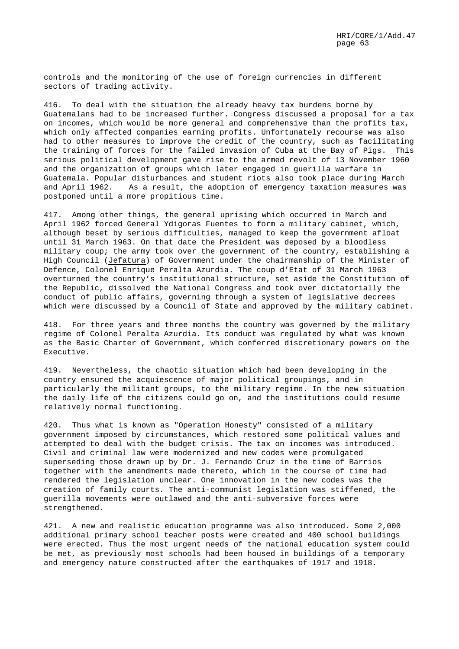controls and the monitoring of the use of foreign currencies in different sectors of trading activity.

416. To deal with the situation the already heavy tax burdens borne by Guatemalans had to be increased further. Congress discussed a proposal for a tax on incomes, which would be more general and comprehensive than the profits tax, which only affected companies earning profits. Unfortunately recourse was also had to other measures to improve the credit of the country, such as facilitating the training of forces for the failed invasion of Cuba at the Bay of Pigs. This serious political development gave rise to the armed revolt of 13 November 1960 and the organization of groups which later engaged in guerilla warfare in Guatemala. Popular disturbances and student riots also took place during March and April 1962. As a result, the adoption of emergency taxation measures was postponed until a more propitious time.

417. Among other things, the general uprising which occurred in March and April 1962 forced General Ydigoras Fuentes to form a military cabinet, which, although beset by serious difficulties, managed to keep the government afloat until 31 March 1963. On that date the President was deposed by a bloodless military coup; the army took over the government of the country, establishing a High Council (Jefatura) of Government under the chairmanship of the Minister of Defence, Colonel Enrique Peralta Azurdia. The coup d'Etat of 31 March 1963 overturned the country's institutional structure, set aside the Constitution of the Republic, dissolved the National Congress and took over dictatorially the conduct of public affairs, governing through a system of legislative decrees which were discussed by a Council of State and approved by the military cabinet.

418. For three years and three months the country was governed by the military regime of Colonel Peralta Azurdia. Its conduct was regulated by what was known as the Basic Charter of Government, which conferred discretionary powers on the Executive.

419. Nevertheless, the chaotic situation which had been developing in the country ensured the acquiescence of major political groupings, and in particularly the militant groups, to the military regime. In the new situation the daily life of the citizens could go on, and the institutions could resume relatively normal functioning.

420. Thus what is known as "Operation Honesty" consisted of a military government imposed by circumstances, which restored some political values and attempted to deal with the budget crisis. The tax on incomes was introduced. Civil and criminal law were modernized and new codes were promulgated superseding those drawn up by Dr. J. Fernando Cruz in the time of Barrios together with the amendments made thereto, which in the course of time had rendered the legislation unclear. One innovation in the new codes was the creation of family courts. The anti-communist legislation was stiffened, the guerilla movements were outlawed and the anti-subversive forces were strengthened.

421. A new and realistic education programme was also introduced. Some 2,000 additional primary school teacher posts were created and 400 school buildings were erected. Thus the most urgent needs of the national education system could be met, as previously most schools had been housed in buildings of a temporary and emergency nature constructed after the earthquakes of 1917 and 1918.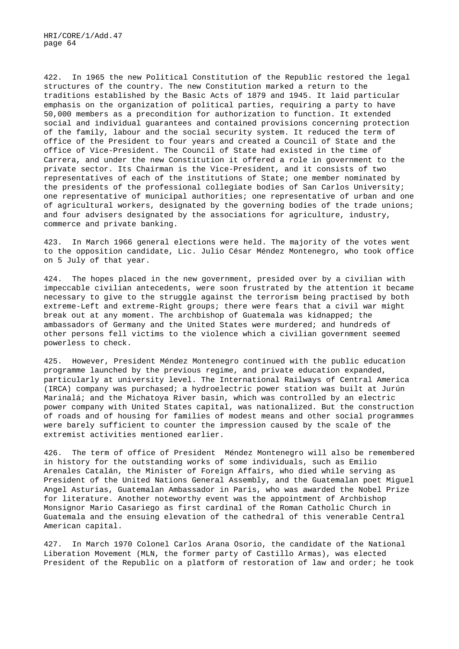422. In 1965 the new Political Constitution of the Republic restored the legal structures of the country. The new Constitution marked a return to the traditions established by the Basic Acts of 1879 and 1945. It laid particular emphasis on the organization of political parties, requiring a party to have 50,000 members as a precondition for authorization to function. It extended social and individual guarantees and contained provisions concerning protection of the family, labour and the social security system. It reduced the term of office of the President to four years and created a Council of State and the office of Vice-President. The Council of State had existed in the time of Carrera, and under the new Constitution it offered a role in government to the private sector. Its Chairman is the Vice-President, and it consists of two representatives of each of the institutions of State; one member nominated by the presidents of the professional collegiate bodies of San Carlos University; one representative of municipal authorities; one representative of urban and one of agricultural workers, designated by the governing bodies of the trade unions; and four advisers designated by the associations for agriculture, industry, commerce and private banking.

423. In March 1966 general elections were held. The majority of the votes went to the opposition candidate, Lic. Julio César Méndez Montenegro, who took office on 5 July of that year.

424. The hopes placed in the new government, presided over by a civilian with impeccable civilian antecedents, were soon frustrated by the attention it became necessary to give to the struggle against the terrorism being practised by both extreme-Left and extreme-Right groups; there were fears that a civil war might break out at any moment. The archbishop of Guatemala was kidnapped; the ambassadors of Germany and the United States were murdered; and hundreds of other persons fell victims to the violence which a civilian government seemed powerless to check.

425. However, President Méndez Montenegro continued with the public education programme launched by the previous regime, and private education expanded, particularly at university level. The International Railways of Central America (IRCA) company was purchased; a hydroelectric power station was built at Jurún Marinalá; and the Michatoya River basin, which was controlled by an electric power company with United States capital, was nationalized. But the construction of roads and of housing for families of modest means and other social programmes were barely sufficient to counter the impression caused by the scale of the extremist activities mentioned earlier.

426. The term of office of President Méndez Montenegro will also be remembered in history for the outstanding works of some individuals, such as Emilio Arenales Catalán, the Minister of Foreign Affairs, who died while serving as President of the United Nations General Assembly, and the Guatemalan poet Miguel Angel Asturias, Guatemalan Ambassador in Paris, who was awarded the Nobel Prize for literature. Another noteworthy event was the appointment of Archbishop Monsignor Mario Casariego as first cardinal of the Roman Catholic Church in Guatemala and the ensuing elevation of the cathedral of this venerable Central American capital.

427. In March 1970 Colonel Carlos Arana Osorio, the candidate of the National Liberation Movement (MLN, the former party of Castillo Armas), was elected President of the Republic on a platform of restoration of law and order; he took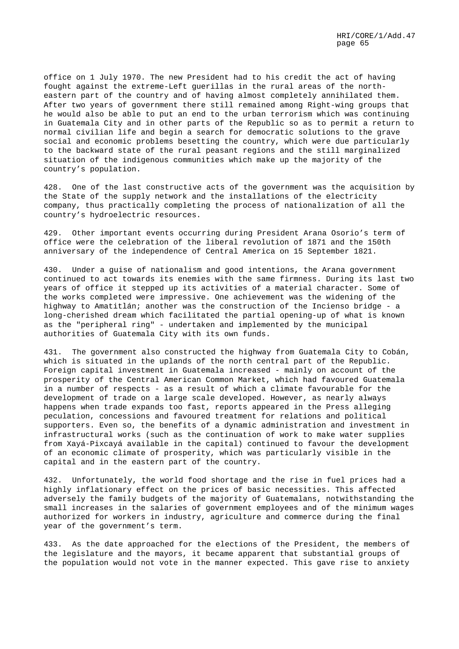office on 1 July 1970. The new President had to his credit the act of having fought against the extreme-Left guerillas in the rural areas of the northeastern part of the country and of having almost completely annihilated them. After two years of government there still remained among Right-wing groups that he would also be able to put an end to the urban terrorism which was continuing in Guatemala City and in other parts of the Republic so as to permit a return to normal civilian life and begin a search for democratic solutions to the grave social and economic problems besetting the country, which were due particularly to the backward state of the rural peasant regions and the still marginalized situation of the indigenous communities which make up the majority of the country's population.

428. One of the last constructive acts of the government was the acquisition by the State of the supply network and the installations of the electricity company, thus practically completing the process of nationalization of all the country's hydroelectric resources.

429. Other important events occurring during President Arana Osorio's term of office were the celebration of the liberal revolution of 1871 and the 150th anniversary of the independence of Central America on 15 September 1821.

430. Under a guise of nationalism and good intentions, the Arana government continued to act towards its enemies with the same firmness. During its last two years of office it stepped up its activities of a material character. Some of the works completed were impressive. One achievement was the widening of the highway to Amatitlán; another was the construction of the Incienso bridge - a long-cherished dream which facilitated the partial opening-up of what is known as the "peripheral ring" - undertaken and implemented by the municipal authorities of Guatemala City with its own funds.

431. The government also constructed the highway from Guatemala City to Cobán, which is situated in the uplands of the north central part of the Republic. Foreign capital investment in Guatemala increased - mainly on account of the prosperity of the Central American Common Market, which had favoured Guatemala in a number of respects - as a result of which a climate favourable for the development of trade on a large scale developed. However, as nearly always happens when trade expands too fast, reports appeared in the Press alleging peculation, concessions and favoured treatment for relations and political supporters. Even so, the benefits of a dynamic administration and investment in infrastructural works (such as the continuation of work to make water supplies from Xayá-Pixcayá available in the capital) continued to favour the development of an economic climate of prosperity, which was particularly visible in the capital and in the eastern part of the country.

432. Unfortunately, the world food shortage and the rise in fuel prices had a highly inflationary effect on the prices of basic necessities. This affected adversely the family budgets of the majority of Guatemalans, notwithstanding the small increases in the salaries of government employees and of the minimum wages authorized for workers in industry, agriculture and commerce during the final year of the government's term.

433. As the date approached for the elections of the President, the members of the legislature and the mayors, it became apparent that substantial groups of the population would not vote in the manner expected. This gave rise to anxiety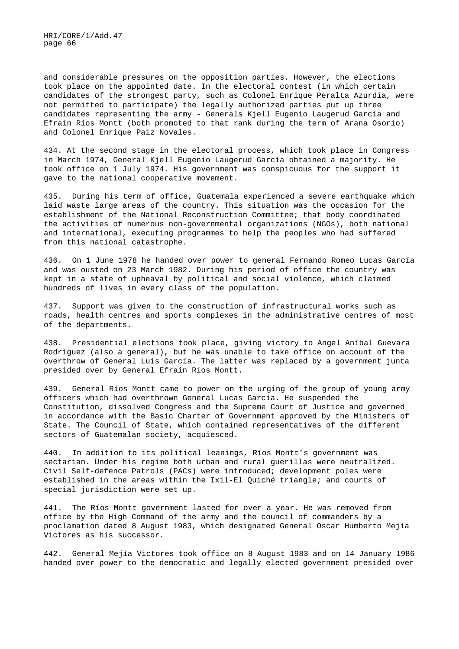and considerable pressures on the opposition parties. However, the elections took place on the appointed date. In the electoral contest (in which certain candidates of the strongest party, such as Colonel Enrique Peralta Azurdía, were not permitted to participate) the legally authorized parties put up three candidates representing the army - Generals Kjell Eugenio Laugerud García and Efraín Ríos Montt (both promoted to that rank during the term of Arana Osorio) and Colonel Enrique Paiz Novales.

434. At the second stage in the electoral process, which took place in Congress in March 1974, General Kjell Eugenio Laugerud García obtained a majority. He took office on 1 July 1974. His government was conspicuous for the support it gave to the national cooperative movement.

435. During his term of office, Guatemala experienced a severe earthquake which laid waste large areas of the country. This situation was the occasion for the establishment of the National Reconstruction Committee; that body coordinated the activities of numerous non-governmental organizations (NGOs), both national and international, executing programmes to help the peoples who had suffered from this national catastrophe.

436. On 1 June 1978 he handed over power to general Fernando Romeo Lucas García and was ousted on 23 March 1982. During his period of office the country was kept in a state of upheaval by political and social violence, which claimed hundreds of lives in every class of the population.

437. Support was given to the construction of infrastructural works such as roads, health centres and sports complexes in the administrative centres of most of the departments.

438. Presidential elections took place, giving victory to Angel Aníbal Guevara Rodríguez (also a general), but he was unable to take office on account of the overthrow of General Luis García. The latter was replaced by a government junta presided over by General Efraín Ríos Montt.

439. General Ríos Montt came to power on the urging of the group of young army officers which had overthrown General Lucas García. He suspended the Constitution, dissolved Congress and the Supreme Court of Justice and governed in accordance with the Basic Charter of Government approved by the Ministers of State. The Council of State, which contained representatives of the different sectors of Guatemalan society, acquiesced.

440. In addition to its political leanings, Ríos Montt's government was sectarian. Under his regime both urban and rural guerillas were neutralized. Civil Self-defence Patrols (PACs) were introduced; development poles were established in the areas within the Ixil-El Quiché triangle; and courts of special jurisdiction were set up.

441. The Ríos Montt government lasted for over a year. He was removed from office by the High Command of the army and the council of commanders by a proclamation dated 8 August 1983, which designated General Oscar Humberto Mejía Victores as his successor.

442. General Mejía Victores took office on 8 August 1983 and on 14 January 1986 handed over power to the democratic and legally elected government presided over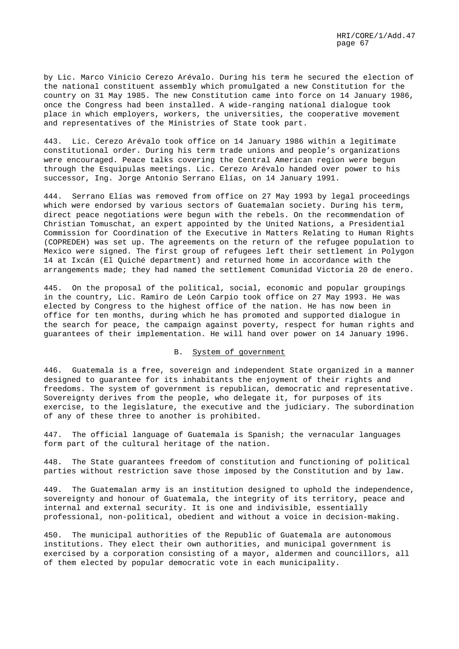by Lic. Marco Vinicio Cerezo Arévalo. During his term he secured the election of the national constituent assembly which promulgated a new Constitution for the country on 31 May 1985. The new Constitution came into force on 14 January 1986, once the Congress had been installed. A wide-ranging national dialogue took place in which employers, workers, the universities, the cooperative movement and representatives of the Ministries of State took part.

443. Lic. Cerezo Arévalo took office on 14 January 1986 within a legitimate constitutional order. During his term trade unions and people's organizations were encouraged. Peace talks covering the Central American region were begun through the Esquipulas meetings. Lic. Cerezo Arévalo handed over power to his successor, Ing. Jorge Antonio Serrano Elías, on 14 January 1991.

444. Serrano Elías was removed from office on 27 May 1993 by legal proceedings which were endorsed by various sectors of Guatemalan society. During his term, direct peace negotiations were begun with the rebels. On the recommendation of Christian Tomuschat, an expert appointed by the United Nations, a Presidential Commission for Coordination of the Executive in Matters Relating to Human Rights (COPREDEH) was set up. The agreements on the return of the refugee population to Mexico were signed. The first group of refugees left their settlement in Polygon 14 at Ixcán (El Quiché department) and returned home in accordance with the arrangements made; they had named the settlement Comunidad Victoria 20 de enero.

445. On the proposal of the political, social, economic and popular groupings in the country, Lic. Ramiro de León Carpio took office on 27 May 1993. He was elected by Congress to the highest office of the nation. He has now been in office for ten months, during which he has promoted and supported dialogue in the search for peace, the campaign against poverty, respect for human rights and guarantees of their implementation. He will hand over power on 14 January 1996.

### B. System of government

446. Guatemala is a free, sovereign and independent State organized in a manner designed to guarantee for its inhabitants the enjoyment of their rights and freedoms. The system of government is republican, democratic and representative. Sovereignty derives from the people, who delegate it, for purposes of its exercise, to the legislature, the executive and the judiciary. The subordination of any of these three to another is prohibited.

447. The official language of Guatemala is Spanish; the vernacular languages form part of the cultural heritage of the nation.

448. The State guarantees freedom of constitution and functioning of political parties without restriction save those imposed by the Constitution and by law.

449. The Guatemalan army is an institution designed to uphold the independence, sovereignty and honour of Guatemala, the integrity of its territory, peace and internal and external security. It is one and indivisible, essentially professional, non-political, obedient and without a voice in decision-making.

450. The municipal authorities of the Republic of Guatemala are autonomous institutions. They elect their own authorities, and municipal government is exercised by a corporation consisting of a mayor, aldermen and councillors, all of them elected by popular democratic vote in each municipality.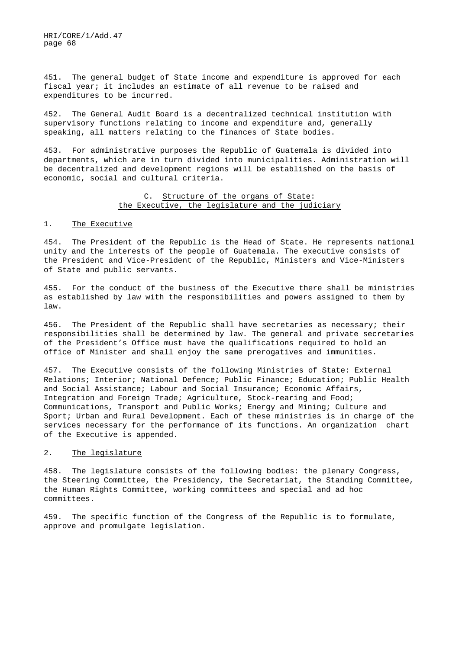451. The general budget of State income and expenditure is approved for each fiscal year; it includes an estimate of all revenue to be raised and expenditures to be incurred.

452. The General Audit Board is a decentralized technical institution with supervisory functions relating to income and expenditure and, generally speaking, all matters relating to the finances of State bodies.

453. For administrative purposes the Republic of Guatemala is divided into departments, which are in turn divided into municipalities. Administration will be decentralized and development regions will be established on the basis of economic, social and cultural criteria.

## C. Structure of the organs of State: the Executive, the legislature and the judiciary

#### 1. The Executive

454. The President of the Republic is the Head of State. He represents national unity and the interests of the people of Guatemala. The executive consists of the President and Vice-President of the Republic, Ministers and Vice-Ministers of State and public servants.

455. For the conduct of the business of the Executive there shall be ministries as established by law with the responsibilities and powers assigned to them by law.

456. The President of the Republic shall have secretaries as necessary; their responsibilities shall be determined by law. The general and private secretaries of the President's Office must have the qualifications required to hold an office of Minister and shall enjoy the same prerogatives and immunities.

457. The Executive consists of the following Ministries of State: External Relations; Interior; National Defence; Public Finance; Education; Public Health and Social Assistance; Labour and Social Insurance; Economic Affairs, Integration and Foreign Trade; Agriculture, Stock-rearing and Food; Communications, Transport and Public Works; Energy and Mining; Culture and Sport; Urban and Rural Development. Each of these ministries is in charge of the services necessary for the performance of its functions. An organization chart of the Executive is appended.

### 2. The legislature

458. The legislature consists of the following bodies: the plenary Congress, the Steering Committee, the Presidency, the Secretariat, the Standing Committee, the Human Rights Committee, working committees and special and ad hoc committees.

459. The specific function of the Congress of the Republic is to formulate, approve and promulgate legislation.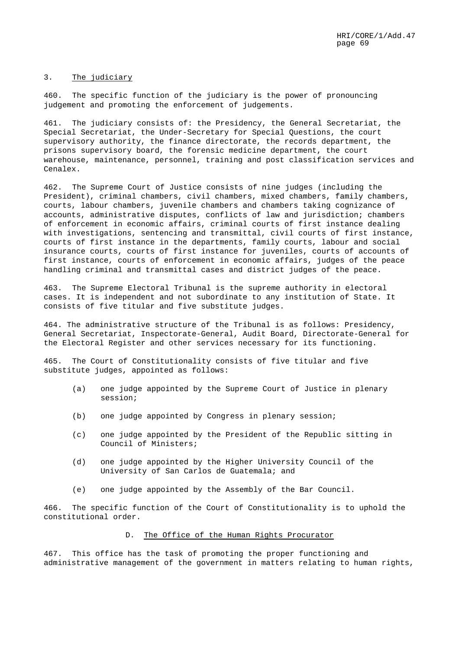#### 3. The judiciary

460. The specific function of the judiciary is the power of pronouncing judgement and promoting the enforcement of judgements.

461. The judiciary consists of: the Presidency, the General Secretariat, the Special Secretariat, the Under-Secretary for Special Questions, the court supervisory authority, the finance directorate, the records department, the prisons supervisory board, the forensic medicine department, the court warehouse, maintenance, personnel, training and post classification services and Cenalex.

462. The Supreme Court of Justice consists of nine judges (including the President), criminal chambers, civil chambers, mixed chambers, family chambers, courts, labour chambers, juvenile chambers and chambers taking cognizance of accounts, administrative disputes, conflicts of law and jurisdiction; chambers of enforcement in economic affairs, criminal courts of first instance dealing with investigations, sentencing and transmittal, civil courts of first instance, courts of first instance in the departments, family courts, labour and social insurance courts, courts of first instance for juveniles, courts of accounts of first instance, courts of enforcement in economic affairs, judges of the peace handling criminal and transmittal cases and district judges of the peace.

463. The Supreme Electoral Tribunal is the supreme authority in electoral cases. It is independent and not subordinate to any institution of State. It consists of five titular and five substitute judges.

464. The administrative structure of the Tribunal is as follows: Presidency, General Secretariat, Inspectorate-General, Audit Board, Directorate-General for the Electoral Register and other services necessary for its functioning.

465. The Court of Constitutionality consists of five titular and five substitute judges, appointed as follows:

- (a) one judge appointed by the Supreme Court of Justice in plenary session;
- (b) one judge appointed by Congress in plenary session;
- (c) one judge appointed by the President of the Republic sitting in Council of Ministers;
- (d) one judge appointed by the Higher University Council of the University of San Carlos de Guatemala; and
- (e) one judge appointed by the Assembly of the Bar Council.

466. The specific function of the Court of Constitutionality is to uphold the constitutional order.

## D. The Office of the Human Rights Procurator

467. This office has the task of promoting the proper functioning and administrative management of the government in matters relating to human rights,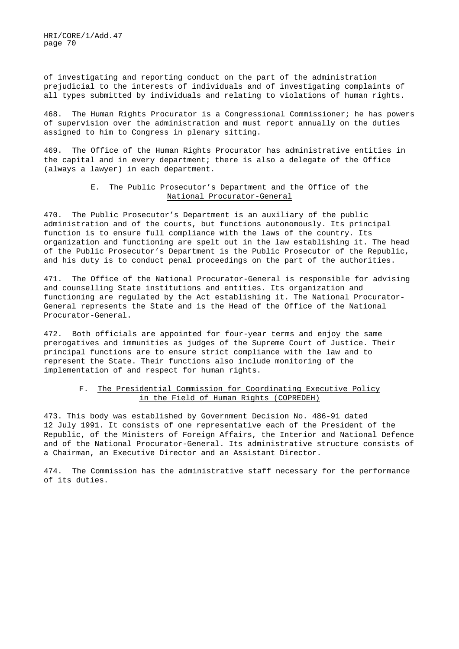of investigating and reporting conduct on the part of the administration prejudicial to the interests of individuals and of investigating complaints of all types submitted by individuals and relating to violations of human rights.

468. The Human Rights Procurator is a Congressional Commissioner; he has powers of supervision over the administration and must report annually on the duties assigned to him to Congress in plenary sitting.

469. The Office of the Human Rights Procurator has administrative entities in the capital and in every department; there is also a delegate of the Office (always a lawyer) in each department.

### E. The Public Prosecutor's Department and the Office of the National Procurator-General

470. The Public Prosecutor's Department is an auxiliary of the public administration and of the courts, but functions autonomously. Its principal function is to ensure full compliance with the laws of the country. Its organization and functioning are spelt out in the law establishing it. The head of the Public Prosecutor's Department is the Public Prosecutor of the Republic, and his duty is to conduct penal proceedings on the part of the authorities.

471. The Office of the National Procurator-General is responsible for advising and counselling State institutions and entities. Its organization and functioning are regulated by the Act establishing it. The National Procurator-General represents the State and is the Head of the Office of the National Procurator-General.

472. Both officials are appointed for four-year terms and enjoy the same prerogatives and immunities as judges of the Supreme Court of Justice. Their principal functions are to ensure strict compliance with the law and to represent the State. Their functions also include monitoring of the implementation of and respect for human rights.

# F. The Presidential Commission for Coordinating Executive Policy in the Field of Human Rights (COPREDEH)

473. This body was established by Government Decision No. 486-91 dated 12 July 1991. It consists of one representative each of the President of the Republic, of the Ministers of Foreign Affairs, the Interior and National Defence and of the National Procurator-General. Its administrative structure consists of a Chairman, an Executive Director and an Assistant Director.

474. The Commission has the administrative staff necessary for the performance of its duties.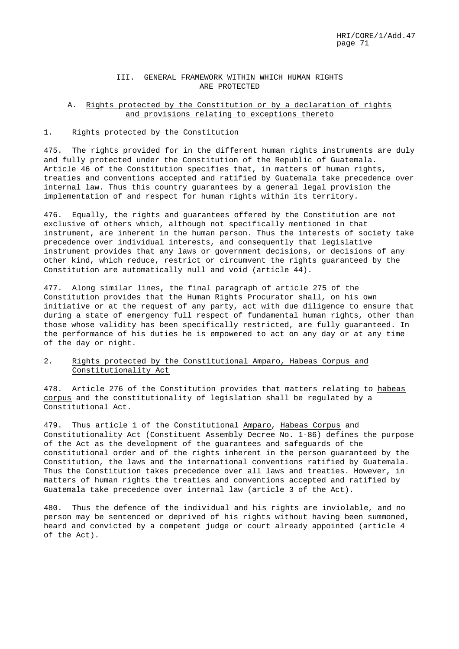### III. GENERAL FRAMEWORK WITHIN WHICH HUMAN RIGHTS ARE PROTECTED

### A. Rights protected by the Constitution or by a declaration of rights and provisions relating to exceptions thereto

### 1. Rights protected by the Constitution

475. The rights provided for in the different human rights instruments are duly and fully protected under the Constitution of the Republic of Guatemala. Article 46 of the Constitution specifies that, in matters of human rights, treaties and conventions accepted and ratified by Guatemala take precedence over internal law. Thus this country guarantees by a general legal provision the implementation of and respect for human rights within its territory.

476. Equally, the rights and guarantees offered by the Constitution are not exclusive of others which, although not specifically mentioned in that instrument, are inherent in the human person. Thus the interests of society take precedence over individual interests, and consequently that legislative instrument provides that any laws or government decisions, or decisions of any other kind, which reduce, restrict or circumvent the rights guaranteed by the Constitution are automatically null and void (article 44).

477. Along similar lines, the final paragraph of article 275 of the Constitution provides that the Human Rights Procurator shall, on his own initiative or at the request of any party, act with due diligence to ensure that during a state of emergency full respect of fundamental human rights, other than those whose validity has been specifically restricted, are fully guaranteed. In the performance of his duties he is empowered to act on any day or at any time of the day or night.

## 2. Rights protected by the Constitutional Amparo, Habeas Corpus and Constitutionality Act

478. Article 276 of the Constitution provides that matters relating to habeas corpus and the constitutionality of legislation shall be regulated by a Constitutional Act.

479. Thus article 1 of the Constitutional Amparo, Habeas Corpus and Constitutionality Act (Constituent Assembly Decree No. 1-86) defines the purpose of the Act as the development of the guarantees and safeguards of the constitutional order and of the rights inherent in the person guaranteed by the Constitution, the laws and the international conventions ratified by Guatemala. Thus the Constitution takes precedence over all laws and treaties. However, in matters of human rights the treaties and conventions accepted and ratified by Guatemala take precedence over internal law (article 3 of the Act).

480. Thus the defence of the individual and his rights are inviolable, and no person may be sentenced or deprived of his rights without having been summoned, heard and convicted by a competent judge or court already appointed (article 4 of the Act).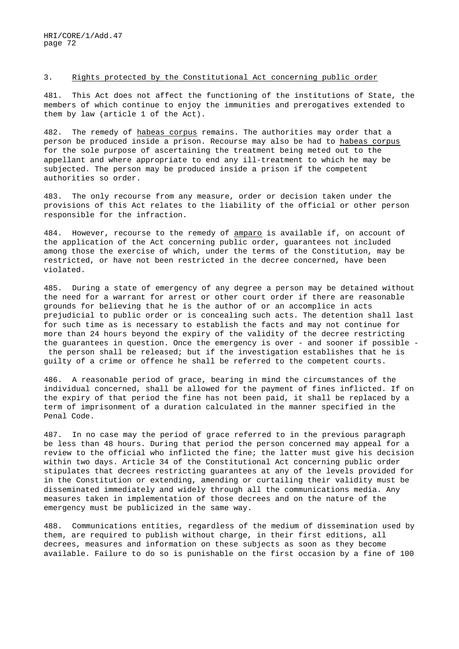#### 3. Rights protected by the Constitutional Act concerning public order

481. This Act does not affect the functioning of the institutions of State, the members of which continue to enjoy the immunities and prerogatives extended to them by law (article 1 of the Act).

482. The remedy of habeas corpus remains. The authorities may order that a person be produced inside a prison. Recourse may also be had to habeas corpus for the sole purpose of ascertaining the treatment being meted out to the appellant and where appropriate to end any ill-treatment to which he may be subjected. The person may be produced inside a prison if the competent authorities so order.

483. The only recourse from any measure, order or decision taken under the provisions of this Act relates to the liability of the official or other person responsible for the infraction.

484. However, recourse to the remedy of amparo is available if, on account of the application of the Act concerning public order, guarantees not included among those the exercise of which, under the terms of the Constitution, may be restricted, or have not been restricted in the decree concerned, have been violated.

485. During a state of emergency of any degree a person may be detained without the need for a warrant for arrest or other court order if there are reasonable grounds for believing that he is the author of or an accomplice in acts prejudicial to public order or is concealing such acts. The detention shall last for such time as is necessary to establish the facts and may not continue for more than 24 hours beyond the expiry of the validity of the decree restricting the guarantees in question. Once the emergency is over - and sooner if possible the person shall be released; but if the investigation establishes that he is guilty of a crime or offence he shall be referred to the competent courts.

486. A reasonable period of grace, bearing in mind the circumstances of the individual concerned, shall be allowed for the payment of fines inflicted. If on the expiry of that period the fine has not been paid, it shall be replaced by a term of imprisonment of a duration calculated in the manner specified in the Penal Code.

487. In no case may the period of grace referred to in the previous paragraph be less than 48 hours. During that period the person concerned may appeal for a review to the official who inflicted the fine; the latter must give his decision within two days. Article 34 of the Constitutional Act concerning public order stipulates that decrees restricting guarantees at any of the levels provided for in the Constitution or extending, amending or curtailing their validity must be disseminated immediately and widely through all the communications media. Any measures taken in implementation of those decrees and on the nature of the emergency must be publicized in the same way.

488. Communications entities, regardless of the medium of dissemination used by them, are required to publish without charge, in their first editions, all decrees, measures and information on these subjects as soon as they become available. Failure to do so is punishable on the first occasion by a fine of 100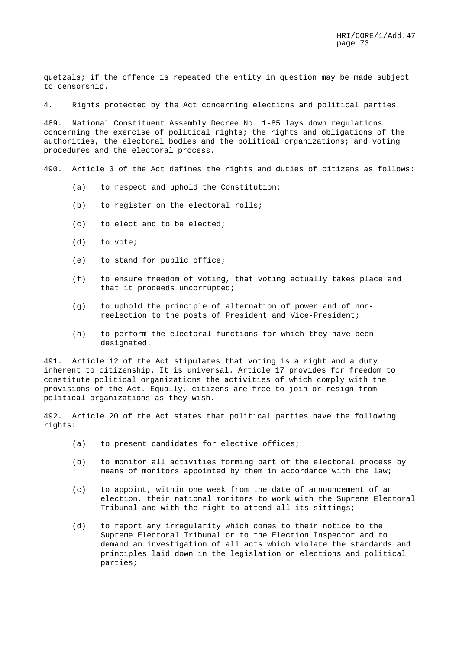quetzals; if the offence is repeated the entity in question may be made subject to censorship.

4. Rights protected by the Act concerning elections and political parties

489. National Constituent Assembly Decree No. 1-85 lays down regulations concerning the exercise of political rights; the rights and obligations of the authorities, the electoral bodies and the political organizations; and voting procedures and the electoral process.

490. Article 3 of the Act defines the rights and duties of citizens as follows:

- (a) to respect and uphold the Constitution;
- (b) to register on the electoral rolls;
- (c) to elect and to be elected;
- (d) to vote;
- (e) to stand for public office;
- (f) to ensure freedom of voting, that voting actually takes place and that it proceeds uncorrupted;
- (g) to uphold the principle of alternation of power and of nonreelection to the posts of President and Vice-President;
- (h) to perform the electoral functions for which they have been designated.

491. Article 12 of the Act stipulates that voting is a right and a duty inherent to citizenship. It is universal. Article 17 provides for freedom to constitute political organizations the activities of which comply with the provisions of the Act. Equally, citizens are free to join or resign from political organizations as they wish.

492. Article 20 of the Act states that political parties have the following rights:

- (a) to present candidates for elective offices;
- (b) to monitor all activities forming part of the electoral process by means of monitors appointed by them in accordance with the law;
- (c) to appoint, within one week from the date of announcement of an election, their national monitors to work with the Supreme Electoral Tribunal and with the right to attend all its sittings;
- (d) to report any irregularity which comes to their notice to the Supreme Electoral Tribunal or to the Election Inspector and to demand an investigation of all acts which violate the standards and principles laid down in the legislation on elections and political parties;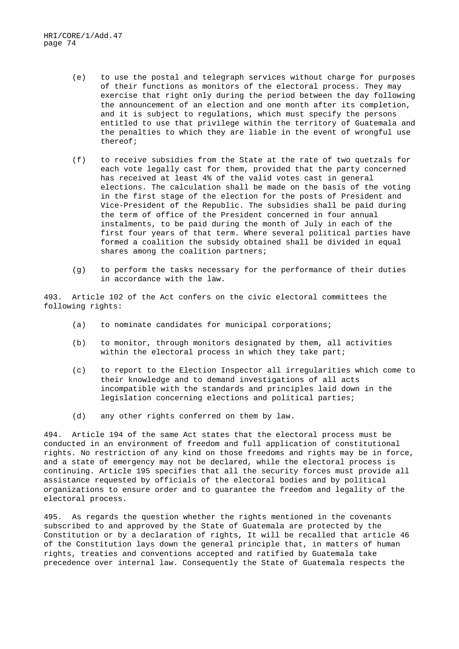- (e) to use the postal and telegraph services without charge for purposes of their functions as monitors of the electoral process. They may exercise that right only during the period between the day following the announcement of an election and one month after its completion, and it is subject to regulations, which must specify the persons entitled to use that privilege within the territory of Guatemala and the penalties to which they are liable in the event of wrongful use thereof;
- (f) to receive subsidies from the State at the rate of two quetzals for each vote legally cast for them, provided that the party concerned has received at least 4% of the valid votes cast in general elections. The calculation shall be made on the basis of the voting in the first stage of the election for the posts of President and Vice-President of the Republic. The subsidies shall be paid during the term of office of the President concerned in four annual instalments, to be paid during the month of July in each of the first four years of that term. Where several political parties have formed a coalition the subsidy obtained shall be divided in equal shares among the coalition partners;
- (g) to perform the tasks necessary for the performance of their duties in accordance with the law.

493. Article 102 of the Act confers on the civic electoral committees the following rights:

- (a) to nominate candidates for municipal corporations;
- (b) to monitor, through monitors designated by them, all activities within the electoral process in which they take part;
- (c) to report to the Election Inspector all irregularities which come to their knowledge and to demand investigations of all acts incompatible with the standards and principles laid down in the legislation concerning elections and political parties;
- (d) any other rights conferred on them by law.

494. Article 194 of the same Act states that the electoral process must be conducted in an environment of freedom and full application of constitutional rights. No restriction of any kind on those freedoms and rights may be in force, and a state of emergency may not be declared, while the electoral process is continuing. Article 195 specifies that all the security forces must provide all assistance requested by officials of the electoral bodies and by political organizations to ensure order and to guarantee the freedom and legality of the electoral process.

495. As regards the question whether the rights mentioned in the covenants subscribed to and approved by the State of Guatemala are protected by the Constitution or by a declaration of rights, It will be recalled that article 46 of the Constitution lays down the general principle that, in matters of human rights, treaties and conventions accepted and ratified by Guatemala take precedence over internal law. Consequently the State of Guatemala respects the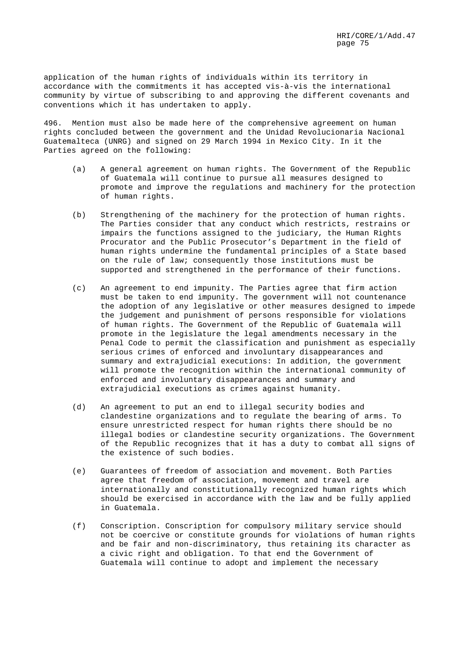application of the human rights of individuals within its territory in accordance with the commitments it has accepted vis-à-vis the international community by virtue of subscribing to and approving the different covenants and conventions which it has undertaken to apply.

496. Mention must also be made here of the comprehensive agreement on human rights concluded between the government and the Unidad Revolucionaria Nacional Guatemalteca (UNRG) and signed on 29 March 1994 in Mexico City. In it the Parties agreed on the following:

- (a) A general agreement on human rights. The Government of the Republic of Guatemala will continue to pursue all measures designed to promote and improve the regulations and machinery for the protection of human rights.
- (b) Strengthening of the machinery for the protection of human rights. The Parties consider that any conduct which restricts, restrains or impairs the functions assigned to the judiciary, the Human Rights Procurator and the Public Prosecutor's Department in the field of human rights undermine the fundamental principles of a State based on the rule of law; consequently those institutions must be supported and strengthened in the performance of their functions.
- (c) An agreement to end impunity. The Parties agree that firm action must be taken to end impunity. The government will not countenance the adoption of any legislative or other measures designed to impede the judgement and punishment of persons responsible for violations of human rights. The Government of the Republic of Guatemala will promote in the legislature the legal amendments necessary in the Penal Code to permit the classification and punishment as especially serious crimes of enforced and involuntary disappearances and summary and extrajudicial executions: In addition, the government will promote the recognition within the international community of enforced and involuntary disappearances and summary and extrajudicial executions as crimes against humanity.
- (d) An agreement to put an end to illegal security bodies and clandestine organizations and to regulate the bearing of arms. To ensure unrestricted respect for human rights there should be no illegal bodies or clandestine security organizations. The Government of the Republic recognizes that it has a duty to combat all signs of the existence of such bodies.
- (e) Guarantees of freedom of association and movement. Both Parties agree that freedom of association, movement and travel are internationally and constitutionally recognized human rights which should be exercised in accordance with the law and be fully applied in Guatemala.
- (f) Conscription. Conscription for compulsory military service should not be coercive or constitute grounds for violations of human rights and be fair and non-discriminatory, thus retaining its character as a civic right and obligation. To that end the Government of Guatemala will continue to adopt and implement the necessary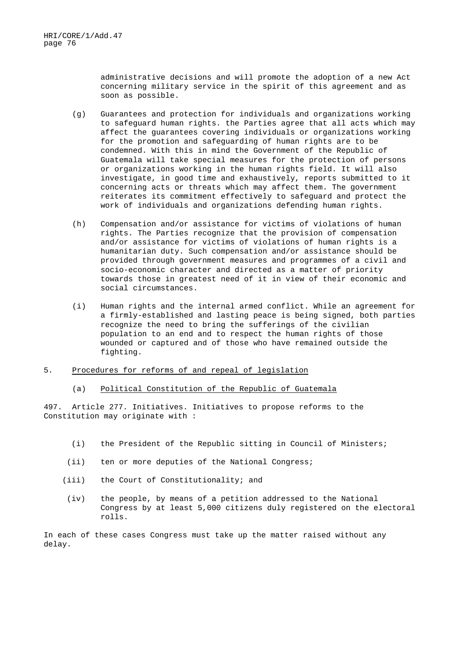administrative decisions and will promote the adoption of a new Act concerning military service in the spirit of this agreement and as soon as possible.

- (g) Guarantees and protection for individuals and organizations working to safeguard human rights. the Parties agree that all acts which may affect the guarantees covering individuals or organizations working for the promotion and safeguarding of human rights are to be condemned. With this in mind the Government of the Republic of Guatemala will take special measures for the protection of persons or organizations working in the human rights field. It will also investigate, in good time and exhaustively, reports submitted to it concerning acts or threats which may affect them. The government reiterates its commitment effectively to safeguard and protect the work of individuals and organizations defending human rights.
- (h) Compensation and/or assistance for victims of violations of human rights. The Parties recognize that the provision of compensation and/or assistance for victims of violations of human rights is a humanitarian duty. Such compensation and/or assistance should be provided through government measures and programmes of a civil and socio-economic character and directed as a matter of priority towards those in greatest need of it in view of their economic and social circumstances.
- (i) Human rights and the internal armed conflict. While an agreement for a firmly-established and lasting peace is being signed, both parties recognize the need to bring the sufferings of the civilian population to an end and to respect the human rights of those wounded or captured and of those who have remained outside the fighting.
- 5. Procedures for reforms of and repeal of legislation
	- (a) Political Constitution of the Republic of Guatemala

497. Article 277. Initiatives. Initiatives to propose reforms to the Constitution may originate with :

- (i) the President of the Republic sitting in Council of Ministers;
- (ii) ten or more deputies of the National Congress;
- (iii) the Court of Constitutionality; and
	- (iv) the people, by means of a petition addressed to the National Congress by at least 5,000 citizens duly registered on the electoral rolls.

In each of these cases Congress must take up the matter raised without any delay.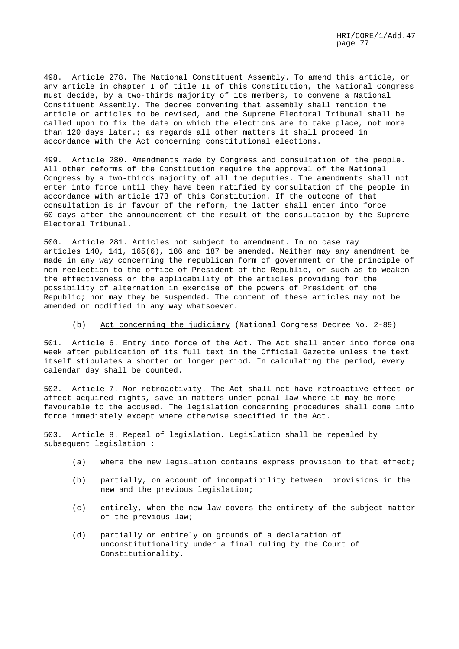498. Article 278. The National Constituent Assembly. To amend this article, or any article in chapter I of title II of this Constitution, the National Congress must decide, by a two-thirds majority of its members, to convene a National Constituent Assembly. The decree convening that assembly shall mention the article or articles to be revised, and the Supreme Electoral Tribunal shall be called upon to fix the date on which the elections are to take place, not more than 120 days later.; as regards all other matters it shall proceed in accordance with the Act concerning constitutional elections.

499. Article 280. Amendments made by Congress and consultation of the people. All other reforms of the Constitution require the approval of the National Congress by a two-thirds majority of all the deputies. The amendments shall not enter into force until they have been ratified by consultation of the people in accordance with article 173 of this Constitution. If the outcome of that consultation is in favour of the reform, the latter shall enter into force 60 days after the announcement of the result of the consultation by the Supreme Electoral Tribunal.

500. Article 281. Articles not subject to amendment. In no case may articles 140, 141, 165(6), 186 and 187 be amended. Neither may any amendment be made in any way concerning the republican form of government or the principle of non-reelection to the office of President of the Republic, or such as to weaken the effectiveness or the applicability of the articles providing for the possibility of alternation in exercise of the powers of President of the Republic; nor may they be suspended. The content of these articles may not be amended or modified in any way whatsoever.

(b) Act concerning the judiciary (National Congress Decree No. 2-89)

501. Article 6. Entry into force of the Act. The Act shall enter into force one week after publication of its full text in the Official Gazette unless the text itself stipulates a shorter or longer period. In calculating the period, every calendar day shall be counted.

502. Article 7. Non-retroactivity. The Act shall not have retroactive effect or affect acquired rights, save in matters under penal law where it may be more favourable to the accused. The legislation concerning procedures shall come into force immediately except where otherwise specified in the Act.

503. Article 8. Repeal of legislation. Legislation shall be repealed by subsequent legislation :

- (a) where the new legislation contains express provision to that effect;
- (b) partially, on account of incompatibility between provisions in the new and the previous legislation;
- (c) entirely, when the new law covers the entirety of the subject-matter of the previous law;
- (d) partially or entirely on grounds of a declaration of unconstitutionality under a final ruling by the Court of Constitutionality.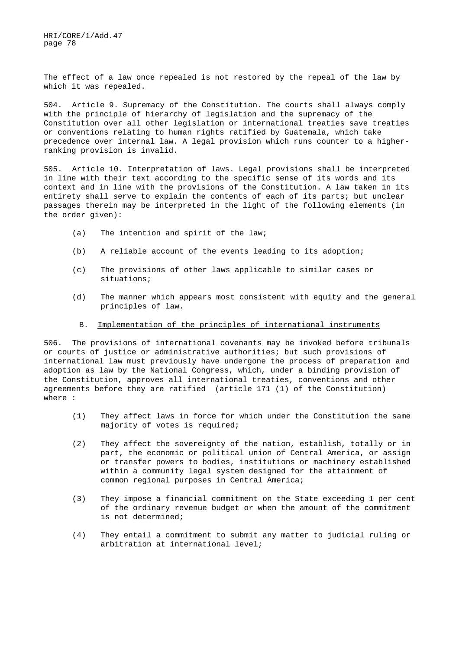The effect of a law once repealed is not restored by the repeal of the law by which it was repealed.

504. Article 9. Supremacy of the Constitution. The courts shall always comply with the principle of hierarchy of legislation and the supremacy of the Constitution over all other legislation or international treaties save treaties or conventions relating to human rights ratified by Guatemala, which take precedence over internal law. A legal provision which runs counter to a higherranking provision is invalid.

505. Article 10. Interpretation of laws. Legal provisions shall be interpreted in line with their text according to the specific sense of its words and its context and in line with the provisions of the Constitution. A law taken in its entirety shall serve to explain the contents of each of its parts; but unclear passages therein may be interpreted in the light of the following elements (in the order given):

- (a) The intention and spirit of the law;
- (b) A reliable account of the events leading to its adoption;
- (c) The provisions of other laws applicable to similar cases or situations;
- (d) The manner which appears most consistent with equity and the general principles of law.
- B. Implementation of the principles of international instruments

506. The provisions of international covenants may be invoked before tribunals or courts of justice or administrative authorities; but such provisions of international law must previously have undergone the process of preparation and adoption as law by the National Congress, which, under a binding provision of the Constitution, approves all international treaties, conventions and other agreements before they are ratified (article 171 (1) of the Constitution) where :

- (1) They affect laws in force for which under the Constitution the same majority of votes is required;
- (2) They affect the sovereignty of the nation, establish, totally or in part, the economic or political union of Central America, or assign or transfer powers to bodies, institutions or machinery established within a community legal system designed for the attainment of common regional purposes in Central America;
- (3) They impose a financial commitment on the State exceeding 1 per cent of the ordinary revenue budget or when the amount of the commitment is not determined;
- (4) They entail a commitment to submit any matter to judicial ruling or arbitration at international level;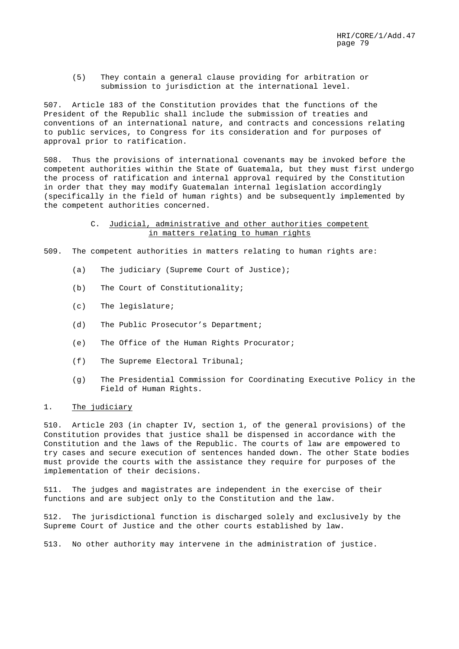(5) They contain a general clause providing for arbitration or submission to jurisdiction at the international level.

507. Article 183 of the Constitution provides that the functions of the President of the Republic shall include the submission of treaties and conventions of an international nature, and contracts and concessions relating to public services, to Congress for its consideration and for purposes of approval prior to ratification.

508. Thus the provisions of international covenants may be invoked before the competent authorities within the State of Guatemala, but they must first undergo the process of ratification and internal approval required by the Constitution in order that they may modify Guatemalan internal legislation accordingly (specifically in the field of human rights) and be subsequently implemented by the competent authorities concerned.

## C. Judicial, administrative and other authorities competent in matters relating to human rights

509. The competent authorities in matters relating to human rights are:

- (a) The judiciary (Supreme Court of Justice);
- (b) The Court of Constitutionality;
- (c) The legislature;
- (d) The Public Prosecutor's Department;
- (e) The Office of the Human Rights Procurator;
- (f) The Supreme Electoral Tribunal;
- (g) The Presidential Commission for Coordinating Executive Policy in the Field of Human Rights.

### 1. The judiciary

510. Article 203 (in chapter IV, section 1, of the general provisions) of the Constitution provides that justice shall be dispensed in accordance with the Constitution and the laws of the Republic. The courts of law are empowered to try cases and secure execution of sentences handed down. The other State bodies must provide the courts with the assistance they require for purposes of the implementation of their decisions.

511. The judges and magistrates are independent in the exercise of their functions and are subject only to the Constitution and the law.

512. The jurisdictional function is discharged solely and exclusively by the Supreme Court of Justice and the other courts established by law.

513. No other authority may intervene in the administration of justice.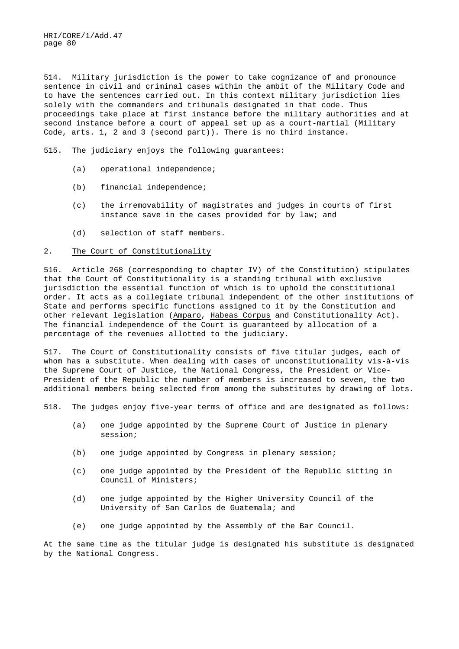514. Military jurisdiction is the power to take cognizance of and pronounce sentence in civil and criminal cases within the ambit of the Military Code and to have the sentences carried out. In this context military jurisdiction lies solely with the commanders and tribunals designated in that code. Thus proceedings take place at first instance before the military authorities and at second instance before a court of appeal set up as a court-martial (Military Code, arts. 1, 2 and 3 (second part)). There is no third instance.

515. The judiciary enjoys the following guarantees:

- (a) operational independence;
- (b) financial independence;
- (c) the irremovability of magistrates and judges in courts of first instance save in the cases provided for by law; and
- (d) selection of staff members.

#### 2. The Court of Constitutionality

516. Article 268 (corresponding to chapter IV) of the Constitution) stipulates that the Court of Constitutionality is a standing tribunal with exclusive jurisdiction the essential function of which is to uphold the constitutional order. It acts as a collegiate tribunal independent of the other institutions of State and performs specific functions assigned to it by the Constitution and other relevant legislation (Amparo, Habeas Corpus and Constitutionality Act). The financial independence of the Court is guaranteed by allocation of a percentage of the revenues allotted to the judiciary.

517. The Court of Constitutionality consists of five titular judges, each of whom has a substitute. When dealing with cases of unconstitutionality vis-à-vis the Supreme Court of Justice, the National Congress, the President or Vice-President of the Republic the number of members is increased to seven, the two additional members being selected from among the substitutes by drawing of lots.

518. The judges enjoy five-year terms of office and are designated as follows:

- (a) one judge appointed by the Supreme Court of Justice in plenary session;
- (b) one judge appointed by Congress in plenary session;
- (c) one judge appointed by the President of the Republic sitting in Council of Ministers;
- (d) one judge appointed by the Higher University Council of the University of San Carlos de Guatemala; and
- (e) one judge appointed by the Assembly of the Bar Council.

At the same time as the titular judge is designated his substitute is designated by the National Congress.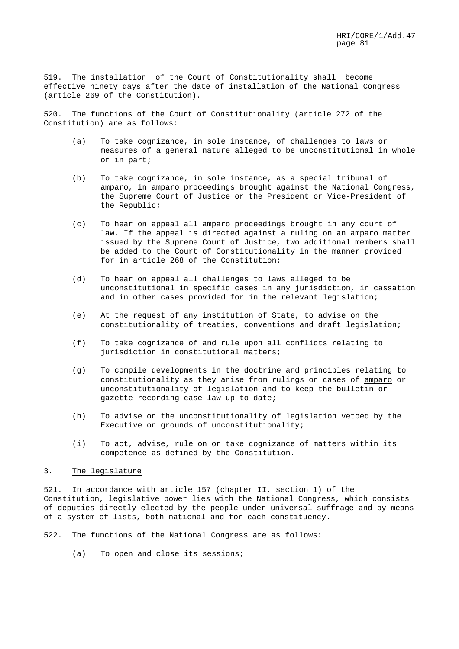519. The installation of the Court of Constitutionality shall become effective ninety days after the date of installation of the National Congress (article 269 of the Constitution).

520. The functions of the Court of Constitutionality (article 272 of the Constitution) are as follows:

- (a) To take cognizance, in sole instance, of challenges to laws or measures of a general nature alleged to be unconstitutional in whole or in part;
- (b) To take cognizance, in sole instance, as a special tribunal of amparo, in amparo proceedings brought against the National Congress, the Supreme Court of Justice or the President or Vice-President of the Republic;
- (c) To hear on appeal all amparo proceedings brought in any court of law. If the appeal is directed against a ruling on an amparo matter issued by the Supreme Court of Justice, two additional members shall be added to the Court of Constitutionality in the manner provided for in article 268 of the Constitution;
- (d) To hear on appeal all challenges to laws alleged to be unconstitutional in specific cases in any jurisdiction, in cassation and in other cases provided for in the relevant legislation;
- (e) At the request of any institution of State, to advise on the constitutionality of treaties, conventions and draft legislation;
- (f) To take cognizance of and rule upon all conflicts relating to jurisdiction in constitutional matters;
- (g) To compile developments in the doctrine and principles relating to constitutionality as they arise from rulings on cases of amparo or unconstitutionality of legislation and to keep the bulletin or gazette recording case-law up to date;
- (h) To advise on the unconstitutionality of legislation vetoed by the Executive on grounds of unconstitutionality;
- (i) To act, advise, rule on or take cognizance of matters within its competence as defined by the Constitution.

### 3. The legislature

521. In accordance with article 157 (chapter II, section 1) of the Constitution, legislative power lies with the National Congress, which consists of deputies directly elected by the people under universal suffrage and by means of a system of lists, both national and for each constituency.

522. The functions of the National Congress are as follows:

(a) To open and close its sessions;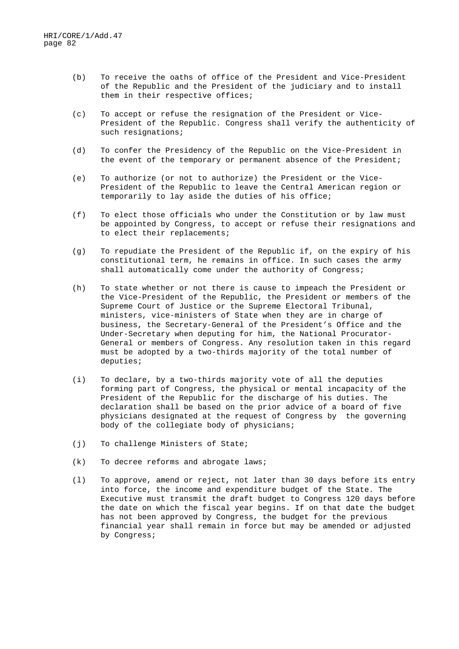- (b) To receive the oaths of office of the President and Vice-President of the Republic and the President of the judiciary and to install them in their respective offices;
- (c) To accept or refuse the resignation of the President or Vice-President of the Republic. Congress shall verify the authenticity of such resignations;
- (d) To confer the Presidency of the Republic on the Vice-President in the event of the temporary or permanent absence of the President;
- (e) To authorize (or not to authorize) the President or the Vice-President of the Republic to leave the Central American region or temporarily to lay aside the duties of his office;
- (f) To elect those officials who under the Constitution or by law must be appointed by Congress, to accept or refuse their resignations and to elect their replacements;
- (g) To repudiate the President of the Republic if, on the expiry of his constitutional term, he remains in office. In such cases the army shall automatically come under the authority of Congress;
- (h) To state whether or not there is cause to impeach the President or the Vice-President of the Republic, the President or members of the Supreme Court of Justice or the Supreme Electoral Tribunal, ministers, vice-ministers of State when they are in charge of business, the Secretary-General of the President's Office and the Under-Secretary when deputing for him, the National Procurator-General or members of Congress. Any resolution taken in this regard must be adopted by a two-thirds majority of the total number of deputies;
- (i) To declare, by a two-thirds majority vote of all the deputies forming part of Congress, the physical or mental incapacity of the President of the Republic for the discharge of his duties. The declaration shall be based on the prior advice of a board of five physicians designated at the request of Congress by the governing body of the collegiate body of physicians;
- (j) To challenge Ministers of State;
- (k) To decree reforms and abrogate laws;
- (l) To approve, amend or reject, not later than 30 days before its entry into force, the income and expenditure budget of the State. The Executive must transmit the draft budget to Congress 120 days before the date on which the fiscal year begins. If on that date the budget has not been approved by Congress, the budget for the previous financial year shall remain in force but may be amended or adjusted by Congress;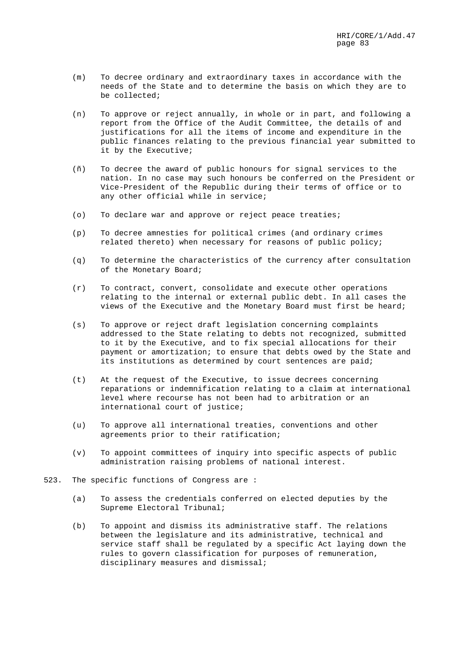- (m) To decree ordinary and extraordinary taxes in accordance with the needs of the State and to determine the basis on which they are to be collected;
- (n) To approve or reject annually, in whole or in part, and following a report from the Office of the Audit Committee, the details of and justifications for all the items of income and expenditure in the public finances relating to the previous financial year submitted to it by the Executive;
- (ñ) To decree the award of public honours for signal services to the nation. In no case may such honours be conferred on the President or Vice-President of the Republic during their terms of office or to any other official while in service;
- (o) To declare war and approve or reject peace treaties;
- (p) To decree amnesties for political crimes (and ordinary crimes related thereto) when necessary for reasons of public policy;
- (q) To determine the characteristics of the currency after consultation of the Monetary Board;
- (r) To contract, convert, consolidate and execute other operations relating to the internal or external public debt. In all cases the views of the Executive and the Monetary Board must first be heard;
- (s) To approve or reject draft legislation concerning complaints addressed to the State relating to debts not recognized, submitted to it by the Executive, and to fix special allocations for their payment or amortization; to ensure that debts owed by the State and its institutions as determined by court sentences are paid;
- (t) At the request of the Executive, to issue decrees concerning reparations or indemnification relating to a claim at international level where recourse has not been had to arbitration or an international court of justice;
- (u) To approve all international treaties, conventions and other agreements prior to their ratification;
- (v) To appoint committees of inquiry into specific aspects of public administration raising problems of national interest.
- 523. The specific functions of Congress are :
	- (a) To assess the credentials conferred on elected deputies by the Supreme Electoral Tribunal;
	- (b) To appoint and dismiss its administrative staff. The relations between the legislature and its administrative, technical and service staff shall be regulated by a specific Act laying down the rules to govern classification for purposes of remuneration, disciplinary measures and dismissal;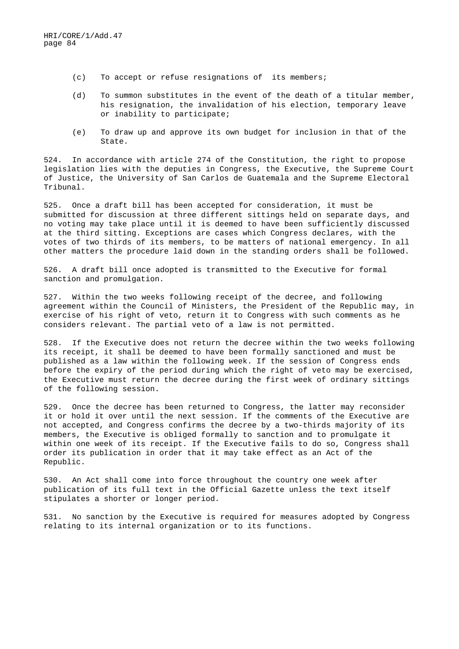- (c) To accept or refuse resignations of its members;
- (d) To summon substitutes in the event of the death of a titular member, his resignation, the invalidation of his election, temporary leave or inability to participate;
- (e) To draw up and approve its own budget for inclusion in that of the State.

524. In accordance with article 274 of the Constitution, the right to propose legislation lies with the deputies in Congress, the Executive, the Supreme Court of Justice, the University of San Carlos de Guatemala and the Supreme Electoral Tribunal.

525. Once a draft bill has been accepted for consideration, it must be submitted for discussion at three different sittings held on separate days, and no voting may take place until it is deemed to have been sufficiently discussed at the third sitting. Exceptions are cases which Congress declares, with the votes of two thirds of its members, to be matters of national emergency. In all other matters the procedure laid down in the standing orders shall be followed.

526. A draft bill once adopted is transmitted to the Executive for formal sanction and promulgation.

527. Within the two weeks following receipt of the decree, and following agreement within the Council of Ministers, the President of the Republic may, in exercise of his right of veto, return it to Congress with such comments as he considers relevant. The partial veto of a law is not permitted.

528. If the Executive does not return the decree within the two weeks following its receipt, it shall be deemed to have been formally sanctioned and must be published as a law within the following week. If the session of Congress ends before the expiry of the period during which the right of veto may be exercised, the Executive must return the decree during the first week of ordinary sittings of the following session.

529. Once the decree has been returned to Congress, the latter may reconsider it or hold it over until the next session. If the comments of the Executive are not accepted, and Congress confirms the decree by a two-thirds majority of its members, the Executive is obliged formally to sanction and to promulgate it within one week of its receipt. If the Executive fails to do so, Congress shall order its publication in order that it may take effect as an Act of the Republic.

530. An Act shall come into force throughout the country one week after publication of its full text in the Official Gazette unless the text itself stipulates a shorter or longer period.

531. No sanction by the Executive is required for measures adopted by Congress relating to its internal organization or to its functions.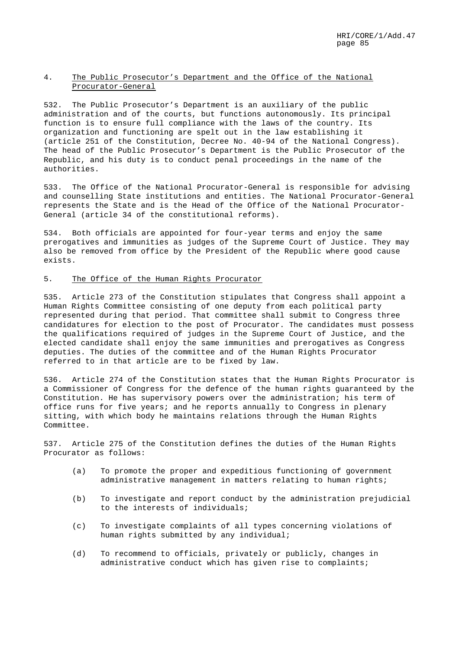# 4. The Public Prosecutor's Department and the Office of the National Procurator-General

532. The Public Prosecutor's Department is an auxiliary of the public administration and of the courts, but functions autonomously. Its principal function is to ensure full compliance with the laws of the country. Its organization and functioning are spelt out in the law establishing it (article 251 of the Constitution, Decree No. 40-94 of the National Congress). The head of the Public Prosecutor's Department is the Public Prosecutor of the Republic, and his duty is to conduct penal proceedings in the name of the authorities.

533. The Office of the National Procurator-General is responsible for advising and counselling State institutions and entities. The National Procurator-General represents the State and is the Head of the Office of the National Procurator-General (article 34 of the constitutional reforms).

534. Both officials are appointed for four-year terms and enjoy the same prerogatives and immunities as judges of the Supreme Court of Justice. They may also be removed from office by the President of the Republic where good cause exists.

### 5. The Office of the Human Rights Procurator

535. Article 273 of the Constitution stipulates that Congress shall appoint a Human Rights Committee consisting of one deputy from each political party represented during that period. That committee shall submit to Congress three candidatures for election to the post of Procurator. The candidates must possess the qualifications required of judges in the Supreme Court of Justice, and the elected candidate shall enjoy the same immunities and prerogatives as Congress deputies. The duties of the committee and of the Human Rights Procurator referred to in that article are to be fixed by law.

536. Article 274 of the Constitution states that the Human Rights Procurator is a Commissioner of Congress for the defence of the human rights guaranteed by the Constitution. He has supervisory powers over the administration; his term of office runs for five years; and he reports annually to Congress in plenary sitting, with which body he maintains relations through the Human Rights Committee.

537. Article 275 of the Constitution defines the duties of the Human Rights Procurator as follows:

- (a) To promote the proper and expeditious functioning of government administrative management in matters relating to human rights;
- (b) To investigate and report conduct by the administration prejudicial to the interests of individuals;
- (c) To investigate complaints of all types concerning violations of human rights submitted by any individual;
- (d) To recommend to officials, privately or publicly, changes in administrative conduct which has given rise to complaints;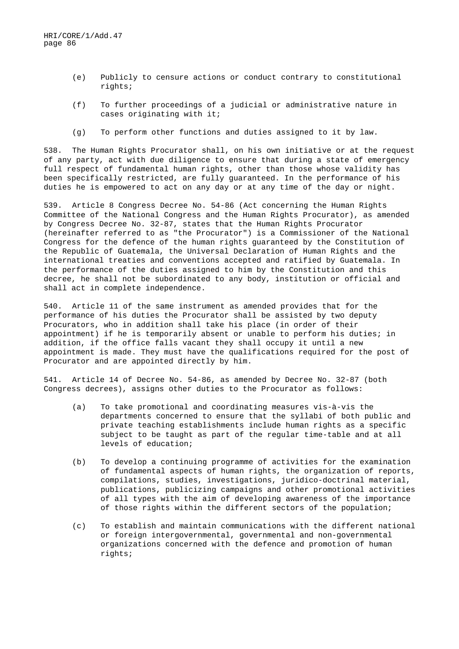- (e) Publicly to censure actions or conduct contrary to constitutional rights;
- (f) To further proceedings of a judicial or administrative nature in cases originating with it;
- (g) To perform other functions and duties assigned to it by law.

538. The Human Rights Procurator shall, on his own initiative or at the request of any party, act with due diligence to ensure that during a state of emergency full respect of fundamental human rights, other than those whose validity has been specifically restricted, are fully guaranteed. In the performance of his duties he is empowered to act on any day or at any time of the day or night.

539. Article 8 Congress Decree No. 54-86 (Act concerning the Human Rights Committee of the National Congress and the Human Rights Procurator), as amended by Congress Decree No. 32-87, states that the Human Rights Procurator (hereinafter referred to as "the Procurator") is a Commissioner of the National Congress for the defence of the human rights guaranteed by the Constitution of the Republic of Guatemala, the Universal Declaration of Human Rights and the international treaties and conventions accepted and ratified by Guatemala. In the performance of the duties assigned to him by the Constitution and this decree, he shall not be subordinated to any body, institution or official and shall act in complete independence.

540. Article 11 of the same instrument as amended provides that for the performance of his duties the Procurator shall be assisted by two deputy Procurators, who in addition shall take his place (in order of their appointment) if he is temporarily absent or unable to perform his duties; in addition, if the office falls vacant they shall occupy it until a new appointment is made. They must have the qualifications required for the post of Procurator and are appointed directly by him.

541. Article 14 of Decree No. 54-86, as amended by Decree No. 32-87 (both Congress decrees), assigns other duties to the Procurator as follows:

- (a) To take promotional and coordinating measures vis-à-vis the departments concerned to ensure that the syllabi of both public and private teaching establishments include human rights as a specific subject to be taught as part of the regular time-table and at all levels of education;
- (b) To develop a continuing programme of activities for the examination of fundamental aspects of human rights, the organization of reports, compilations, studies, investigations, juridico-doctrinal material, publications, publicizing campaigns and other promotional activities of all types with the aim of developing awareness of the importance of those rights within the different sectors of the population;
- (c) To establish and maintain communications with the different national or foreign intergovernmental, governmental and non-governmental organizations concerned with the defence and promotion of human rights;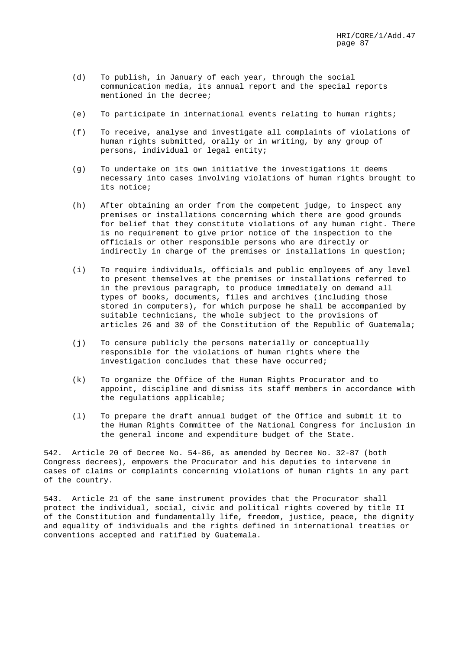- (d) To publish, in January of each year, through the social communication media, its annual report and the special reports mentioned in the decree;
- (e) To participate in international events relating to human rights;
- (f) To receive, analyse and investigate all complaints of violations of human rights submitted, orally or in writing, by any group of persons, individual or legal entity;
- (g) To undertake on its own initiative the investigations it deems necessary into cases involving violations of human rights brought to its notice;
- (h) After obtaining an order from the competent judge, to inspect any premises or installations concerning which there are good grounds for belief that they constitute violations of any human right. There is no requirement to give prior notice of the inspection to the officials or other responsible persons who are directly or indirectly in charge of the premises or installations in question;
- (i) To require individuals, officials and public employees of any level to present themselves at the premises or installations referred to in the previous paragraph, to produce immediately on demand all types of books, documents, files and archives (including those stored in computers), for which purpose he shall be accompanied by suitable technicians, the whole subject to the provisions of articles 26 and 30 of the Constitution of the Republic of Guatemala;
- (j) To censure publicly the persons materially or conceptually responsible for the violations of human rights where the investigation concludes that these have occurred;
- (k) To organize the Office of the Human Rights Procurator and to appoint, discipline and dismiss its staff members in accordance with the regulations applicable;
- (l) To prepare the draft annual budget of the Office and submit it to the Human Rights Committee of the National Congress for inclusion in the general income and expenditure budget of the State.

542. Article 20 of Decree No. 54-86, as amended by Decree No. 32-87 (both Congress decrees), empowers the Procurator and his deputies to intervene in cases of claims or complaints concerning violations of human rights in any part of the country.

543. Article 21 of the same instrument provides that the Procurator shall protect the individual, social, civic and political rights covered by title II of the Constitution and fundamentally life, freedom, justice, peace, the dignity and equality of individuals and the rights defined in international treaties or conventions accepted and ratified by Guatemala.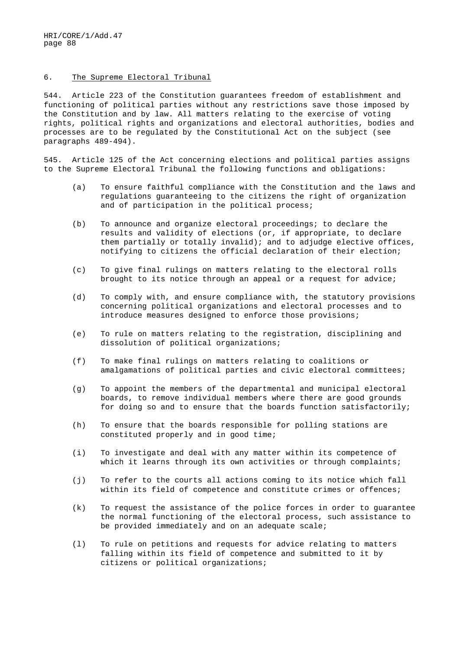### 6. The Supreme Electoral Tribunal

544. Article 223 of the Constitution guarantees freedom of establishment and functioning of political parties without any restrictions save those imposed by the Constitution and by law. All matters relating to the exercise of voting rights, political rights and organizations and electoral authorities, bodies and processes are to be regulated by the Constitutional Act on the subject (see paragraphs 489-494).

545. Article 125 of the Act concerning elections and political parties assigns to the Supreme Electoral Tribunal the following functions and obligations:

- (a) To ensure faithful compliance with the Constitution and the laws and regulations guaranteeing to the citizens the right of organization and of participation in the political process;
- (b) To announce and organize electoral proceedings; to declare the results and validity of elections (or, if appropriate, to declare them partially or totally invalid); and to adjudge elective offices, notifying to citizens the official declaration of their election;
- (c) To give final rulings on matters relating to the electoral rolls brought to its notice through an appeal or a request for advice;
- (d) To comply with, and ensure compliance with, the statutory provisions concerning political organizations and electoral processes and to introduce measures designed to enforce those provisions;
- (e) To rule on matters relating to the registration, disciplining and dissolution of political organizations;
- (f) To make final rulings on matters relating to coalitions or amalgamations of political parties and civic electoral committees;
- (g) To appoint the members of the departmental and municipal electoral boards, to remove individual members where there are good grounds for doing so and to ensure that the boards function satisfactorily;
- (h) To ensure that the boards responsible for polling stations are constituted properly and in good time;
- (i) To investigate and deal with any matter within its competence of which it learns through its own activities or through complaints;
- (j) To refer to the courts all actions coming to its notice which fall within its field of competence and constitute crimes or offences;
- (k) To request the assistance of the police forces in order to guarantee the normal functioning of the electoral process, such assistance to be provided immediately and on an adequate scale;
- (l) To rule on petitions and requests for advice relating to matters falling within its field of competence and submitted to it by citizens or political organizations;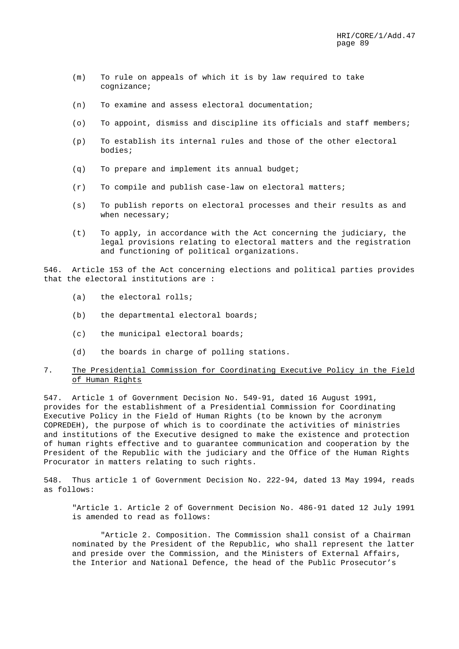- (m) To rule on appeals of which it is by law required to take cognizance;
- (n) To examine and assess electoral documentation;
- (o) To appoint, dismiss and discipline its officials and staff members;
- (p) To establish its internal rules and those of the other electoral bodies;
- (q) To prepare and implement its annual budget;
- (r) To compile and publish case-law on electoral matters;
- (s) To publish reports on electoral processes and their results as and when necessary;
- (t) To apply, in accordance with the Act concerning the judiciary, the legal provisions relating to electoral matters and the registration and functioning of political organizations.

546. Article 153 of the Act concerning elections and political parties provides that the electoral institutions are :

- (a) the electoral rolls;
- (b) the departmental electoral boards;
- (c) the municipal electoral boards;
- (d) the boards in charge of polling stations.

# 7. The Presidential Commission for Coordinating Executive Policy in the Field of Human Rights

547. Article 1 of Government Decision No. 549-91, dated 16 August 1991, provides for the establishment of a Presidential Commission for Coordinating Executive Policy in the Field of Human Rights (to be known by the acronym COPREDEH), the purpose of which is to coordinate the activities of ministries and institutions of the Executive designed to make the existence and protection of human rights effective and to guarantee communication and cooperation by the President of the Republic with the judiciary and the Office of the Human Rights Procurator in matters relating to such rights.

548. Thus article 1 of Government Decision No. 222-94, dated 13 May 1994, reads as follows:

"Article 1. Article 2 of Government Decision No. 486-91 dated 12 July 1991 is amended to read as follows:

"Article 2. Composition. The Commission shall consist of a Chairman nominated by the President of the Republic, who shall represent the latter and preside over the Commission, and the Ministers of External Affairs, the Interior and National Defence, the head of the Public Prosecutor's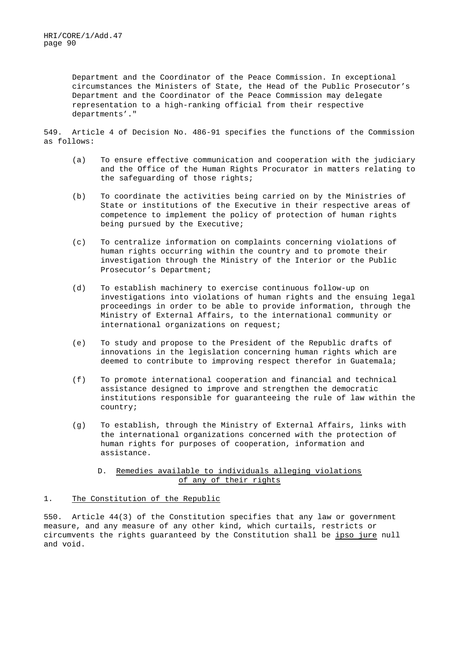Department and the Coordinator of the Peace Commission. In exceptional circumstances the Ministers of State, the Head of the Public Prosecutor's Department and the Coordinator of the Peace Commission may delegate representation to a high-ranking official from their respective departments'."

549. Article 4 of Decision No. 486-91 specifies the functions of the Commission as follows:

- (a) To ensure effective communication and cooperation with the judiciary and the Office of the Human Rights Procurator in matters relating to the safeguarding of those rights;
- (b) To coordinate the activities being carried on by the Ministries of State or institutions of the Executive in their respective areas of competence to implement the policy of protection of human rights being pursued by the Executive;
- (c) To centralize information on complaints concerning violations of human rights occurring within the country and to promote their investigation through the Ministry of the Interior or the Public Prosecutor's Department;
- (d) To establish machinery to exercise continuous follow-up on investigations into violations of human rights and the ensuing legal proceedings in order to be able to provide information, through the Ministry of External Affairs, to the international community or international organizations on request;
- (e) To study and propose to the President of the Republic drafts of innovations in the legislation concerning human rights which are deemed to contribute to improving respect therefor in Guatemala;
- (f) To promote international cooperation and financial and technical assistance designed to improve and strengthen the democratic institutions responsible for guaranteeing the rule of law within the country;
- (g) To establish, through the Ministry of External Affairs, links with the international organizations concerned with the protection of human rights for purposes of cooperation, information and assistance.
	- D. Remedies available to individuals alleging violations of any of their rights

# 1. The Constitution of the Republic

550. Article 44(3) of the Constitution specifies that any law or government measure, and any measure of any other kind, which curtails, restricts or circumvents the rights guaranteed by the Constitution shall be ipso jure null and void.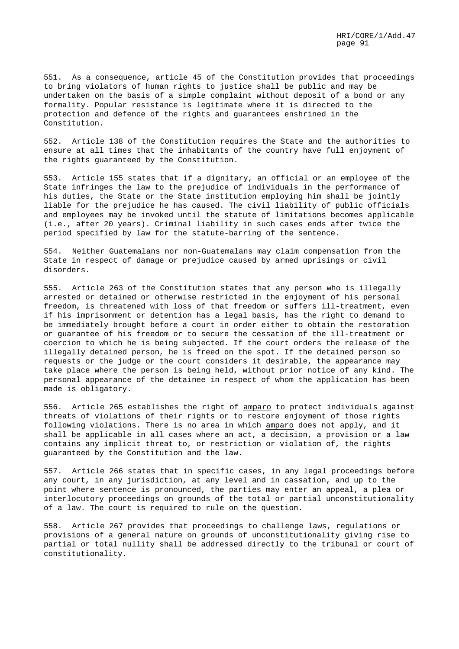551. As a consequence, article 45 of the Constitution provides that proceedings to bring violators of human rights to justice shall be public and may be undertaken on the basis of a simple complaint without deposit of a bond or any formality. Popular resistance is legitimate where it is directed to the protection and defence of the rights and guarantees enshrined in the Constitution.

552. Article 138 of the Constitution requires the State and the authorities to ensure at all times that the inhabitants of the country have full enjoyment of the rights guaranteed by the Constitution.

553. Article 155 states that if a dignitary, an official or an employee of the State infringes the law to the prejudice of individuals in the performance of his duties, the State or the State institution employing him shall be jointly liable for the prejudice he has caused. The civil liability of public officials and employees may be invoked until the statute of limitations becomes applicable (i.e., after 20 years). Criminal liability in such cases ends after twice the period specified by law for the statute-barring of the sentence.

554. Neither Guatemalans nor non-Guatemalans may claim compensation from the State in respect of damage or prejudice caused by armed uprisings or civil disorders.

555. Article 263 of the Constitution states that any person who is illegally arrested or detained or otherwise restricted in the enjoyment of his personal freedom, is threatened with loss of that freedom or suffers ill-treatment, even if his imprisonment or detention has a legal basis, has the right to demand to be immediately brought before a court in order either to obtain the restoration or guarantee of his freedom or to secure the cessation of the ill-treatment or coercion to which he is being subjected. If the court orders the release of the illegally detained person, he is freed on the spot. If the detained person so requests or the judge or the court considers it desirable, the appearance may take place where the person is being held, without prior notice of any kind. The personal appearance of the detainee in respect of whom the application has been made is obligatory.

556. Article 265 establishes the right of amparo to protect individuals against threats of violations of their rights or to restore enjoyment of those rights following violations. There is no area in which amparo does not apply, and it shall be applicable in all cases where an act, a decision, a provision or a law contains any implicit threat to, or restriction or violation of, the rights guaranteed by the Constitution and the law.

557. Article 266 states that in specific cases, in any legal proceedings before any court, in any jurisdiction, at any level and in cassation, and up to the point where sentence is pronounced, the parties may enter an appeal, a plea or interlocutory proceedings on grounds of the total or partial unconstitutionality of a law. The court is required to rule on the question.

558. Article 267 provides that proceedings to challenge laws, regulations or provisions of a general nature on grounds of unconstitutionality giving rise to partial or total nullity shall be addressed directly to the tribunal or court of constitutionality.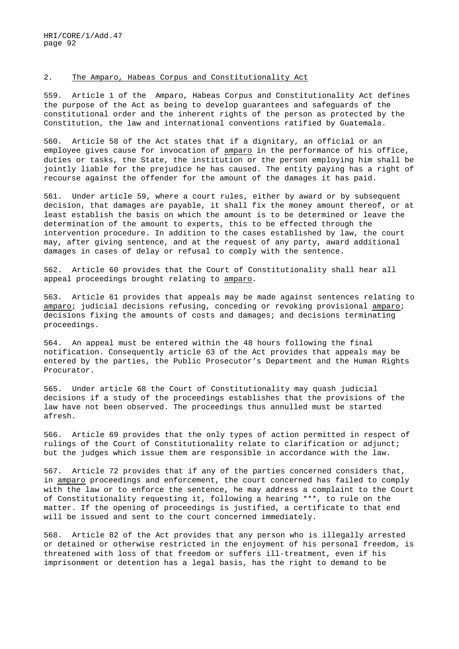### 2. The Amparo, Habeas Corpus and Constitutionality Act

559. Article 1 of the Amparo, Habeas Corpus and Constitutionality Act defines the purpose of the Act as being to develop guarantees and safeguards of the constitutional order and the inherent rights of the person as protected by the Constitution, the law and international conventions ratified by Guatemala.

560. Article 58 of the Act states that if a dignitary, an official or an employee gives cause for invocation of amparo in the performance of his office, duties or tasks, the State, the institution or the person employing him shall be jointly liable for the prejudice he has caused. The entity paying has a right of recourse against the offender for the amount of the damages it has paid.

561. Under article 59, where a court rules, either by award or by subsequent decision, that damages are payable, it shall fix the money amount thereof, or at least establish the basis on which the amount is to be determined or leave the determination of the amount to experts, this to be effected through the intervention procedure. In addition to the cases established by law, the court may, after giving sentence, and at the request of any party, award additional damages in cases of delay or refusal to comply with the sentence.

562. Article 60 provides that the Court of Constitutionality shall hear all appeal proceedings brought relating to amparo.

563. Article 61 provides that appeals may be made against sentences relating to amparo; judicial decisions refusing, conceding or revoking provisional amparo; decisions fixing the amounts of costs and damages; and decisions terminating proceedings.

564. An appeal must be entered within the 48 hours following the final notification. Consequently article 63 of the Act provides that appeals may be entered by the parties, the Public Prosecutor's Department and the Human Rights Procurator.

565. Under article 68 the Court of Constitutionality may quash judicial decisions if a study of the proceedings establishes that the provisions of the law have not been observed. The proceedings thus annulled must be started afresh.

566. Article 69 provides that the only types of action permitted in respect of rulings of the Court of Constitutionality relate to clarification or adjunct; but the judges which issue them are responsible in accordance with the law.

567. Article 72 provides that if any of the parties concerned considers that, in amparo proceedings and enforcement, the court concerned has failed to comply with the law or to enforce the sentence, he may address a complaint to the Court of Constitutionality requesting it, following a hearing \*\*\*, to rule on the matter. If the opening of proceedings is justified, a certificate to that end will be issued and sent to the court concerned immediately.

568. Article 82 of the Act provides that any person who is illegally arrested or detained or otherwise restricted in the enjoyment of his personal freedom, is threatened with loss of that freedom or suffers ill-treatment, even if his imprisonment or detention has a legal basis, has the right to demand to be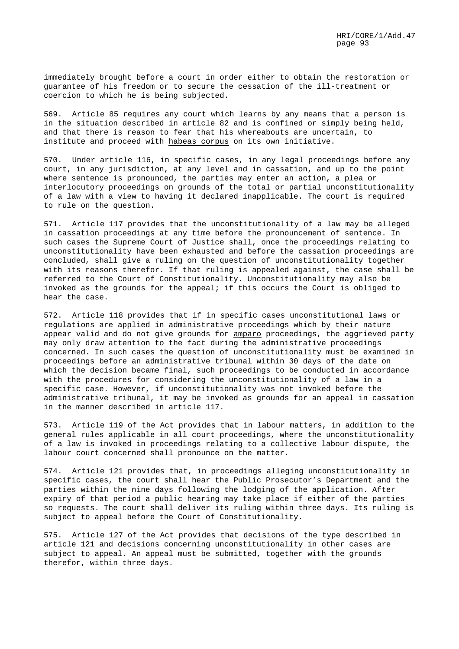immediately brought before a court in order either to obtain the restoration or guarantee of his freedom or to secure the cessation of the ill-treatment or coercion to which he is being subjected.

569. Article 85 requires any court which learns by any means that a person is in the situation described in article 82 and is confined or simply being held, and that there is reason to fear that his whereabouts are uncertain, to institute and proceed with habeas corpus on its own initiative.

570. Under article 116, in specific cases, in any legal proceedings before any court, in any jurisdiction, at any level and in cassation, and up to the point where sentence is pronounced, the parties may enter an action, a plea or interlocutory proceedings on grounds of the total or partial unconstitutionality of a law with a view to having it declared inapplicable. The court is required to rule on the question.

571. Article 117 provides that the unconstitutionality of a law may be alleged in cassation proceedings at any time before the pronouncement of sentence. In such cases the Supreme Court of Justice shall, once the proceedings relating to unconstitutionality have been exhausted and before the cassation proceedings are concluded, shall give a ruling on the question of unconstitutionality together with its reasons therefor. If that ruling is appealed against, the case shall be referred to the Court of Constitutionality. Unconstitutionality may also be invoked as the grounds for the appeal; if this occurs the Court is obliged to hear the case.

572. Article 118 provides that if in specific cases unconstitutional laws or regulations are applied in administrative proceedings which by their nature appear valid and do not give grounds for amparo proceedings, the aggrieved party may only draw attention to the fact during the administrative proceedings concerned. In such cases the question of unconstitutionality must be examined in proceedings before an administrative tribunal within 30 days of the date on which the decision became final, such proceedings to be conducted in accordance with the procedures for considering the unconstitutionality of a law in a specific case. However, if unconstitutionality was not invoked before the administrative tribunal, it may be invoked as grounds for an appeal in cassation in the manner described in article 117.

573. Article 119 of the Act provides that in labour matters, in addition to the general rules applicable in all court proceedings, where the unconstitutionality of a law is invoked in proceedings relating to a collective labour dispute, the labour court concerned shall pronounce on the matter.

574. Article 121 provides that, in proceedings alleging unconstitutionality in specific cases, the court shall hear the Public Prosecutor's Department and the parties within the nine days following the lodging of the application. After expiry of that period a public hearing may take place if either of the parties so requests. The court shall deliver its ruling within three days. Its ruling is subject to appeal before the Court of Constitutionality.

575. Article 127 of the Act provides that decisions of the type described in article 121 and decisions concerning unconstitutionality in other cases are subject to appeal. An appeal must be submitted, together with the grounds therefor, within three days.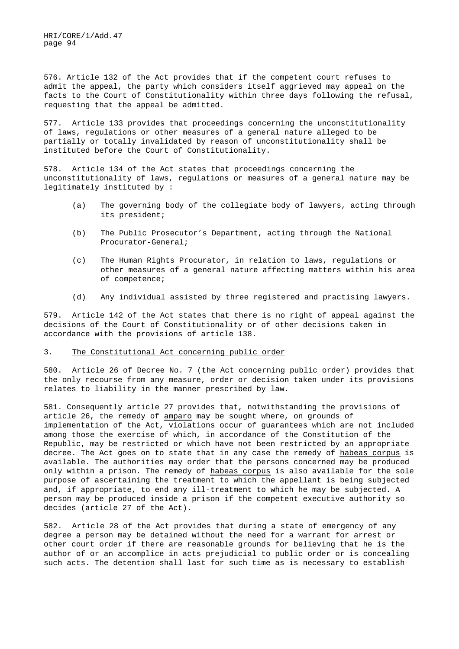576. Article 132 of the Act provides that if the competent court refuses to admit the appeal, the party which considers itself aggrieved may appeal on the facts to the Court of Constitutionality within three days following the refusal, requesting that the appeal be admitted.

577. Article 133 provides that proceedings concerning the unconstitutionality of laws, regulations or other measures of a general nature alleged to be partially or totally invalidated by reason of unconstitutionality shall be instituted before the Court of Constitutionality.

578. Article 134 of the Act states that proceedings concerning the unconstitutionality of laws, regulations or measures of a general nature may be legitimately instituted by :

- (a) The governing body of the collegiate body of lawyers, acting through its president;
- (b) The Public Prosecutor's Department, acting through the National Procurator-General;
- (c) The Human Rights Procurator, in relation to laws, regulations or other measures of a general nature affecting matters within his area of competence;
- (d) Any individual assisted by three registered and practising lawyers.

579. Article 142 of the Act states that there is no right of appeal against the decisions of the Court of Constitutionality or of other decisions taken in accordance with the provisions of article 138.

### 3. The Constitutional Act concerning public order

580. Article 26 of Decree No. 7 (the Act concerning public order) provides that the only recourse from any measure, order or decision taken under its provisions relates to liability in the manner prescribed by law.

581. Consequently article 27 provides that, notwithstanding the provisions of article 26, the remedy of amparo may be sought where, on grounds of implementation of the Act, violations occur of guarantees which are not included among those the exercise of which, in accordance of the Constitution of the Republic, may be restricted or which have not been restricted by an appropriate decree. The Act goes on to state that in any case the remedy of habeas corpus is available. The authorities may order that the persons concerned may be produced only within a prison. The remedy of habeas corpus is also available for the sole purpose of ascertaining the treatment to which the appellant is being subjected and, if appropriate, to end any ill-treatment to which he may be subjected. A person may be produced inside a prison if the competent executive authority so decides (article 27 of the Act).

582. Article 28 of the Act provides that during a state of emergency of any degree a person may be detained without the need for a warrant for arrest or other court order if there are reasonable grounds for believing that he is the author of or an accomplice in acts prejudicial to public order or is concealing such acts. The detention shall last for such time as is necessary to establish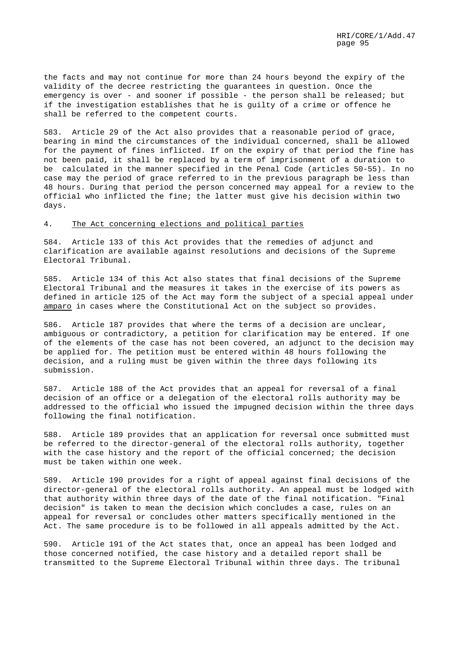the facts and may not continue for more than 24 hours beyond the expiry of the validity of the decree restricting the guarantees in question. Once the emergency is over - and sooner if possible - the person shall be released; but if the investigation establishes that he is guilty of a crime or offence he shall be referred to the competent courts.

583. Article 29 of the Act also provides that a reasonable period of grace, bearing in mind the circumstances of the individual concerned, shall be allowed for the payment of fines inflicted. If on the expiry of that period the fine has not been paid, it shall be replaced by a term of imprisonment of a duration to be calculated in the manner specified in the Penal Code (articles 50-55). In no case may the period of grace referred to in the previous paragraph be less than 48 hours. During that period the person concerned may appeal for a review to the official who inflicted the fine; the latter must give his decision within two days.

#### 4. The Act concerning elections and political parties

584. Article 133 of this Act provides that the remedies of adjunct and clarification are available against resolutions and decisions of the Supreme Electoral Tribunal.

585. Article 134 of this Act also states that final decisions of the Supreme Electoral Tribunal and the measures it takes in the exercise of its powers as defined in article 125 of the Act may form the subject of a special appeal under amparo in cases where the Constitutional Act on the subject so provides.

586. Article 187 provides that where the terms of a decision are unclear, ambiguous or contradictory, a petition for clarification may be entered. If one of the elements of the case has not been covered, an adjunct to the decision may be applied for. The petition must be entered within 48 hours following the decision, and a ruling must be given within the three days following its submission.

587. Article 188 of the Act provides that an appeal for reversal of a final decision of an office or a delegation of the electoral rolls authority may be addressed to the official who issued the impugned decision within the three days following the final notification.

588. Article 189 provides that an application for reversal once submitted must be referred to the director-general of the electoral rolls authority, together with the case history and the report of the official concerned; the decision must be taken within one week.

589. Article 190 provides for a right of appeal against final decisions of the director-general of the electoral rolls authority. An appeal must be lodged with that authority within three days of the date of the final notification. "Final decision" is taken to mean the decision which concludes a case, rules on an appeal for reversal or concludes other matters specifically mentioned in the Act. The same procedure is to be followed in all appeals admitted by the Act.

590. Article 191 of the Act states that, once an appeal has been lodged and those concerned notified, the case history and a detailed report shall be transmitted to the Supreme Electoral Tribunal within three days. The tribunal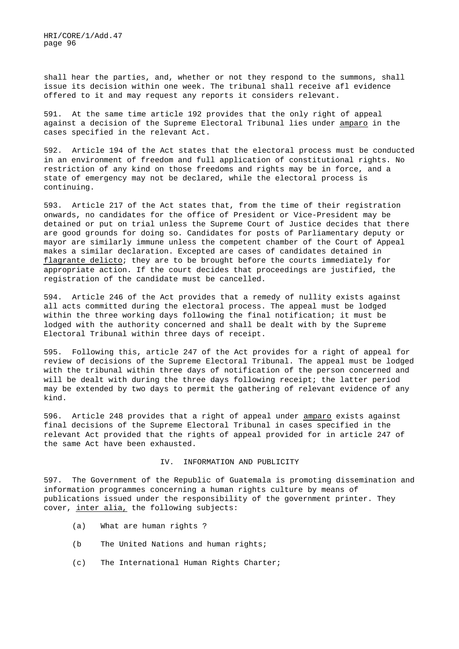shall hear the parties, and, whether or not they respond to the summons, shall issue its decision within one week. The tribunal shall receive afl evidence offered to it and may request any reports it considers relevant.

591. At the same time article 192 provides that the only right of appeal against a decision of the Supreme Electoral Tribunal lies under amparo in the cases specified in the relevant Act.

592. Article 194 of the Act states that the electoral process must be conducted in an environment of freedom and full application of constitutional rights. No restriction of any kind on those freedoms and rights may be in force, and a state of emergency may not be declared, while the electoral process is continuing.

593. Article 217 of the Act states that, from the time of their registration onwards, no candidates for the office of President or Vice-President may be detained or put on trial unless the Supreme Court of Justice decides that there are good grounds for doing so. Candidates for posts of Parliamentary deputy or mayor are similarly immune unless the competent chamber of the Court of Appeal makes a similar declaration. Excepted are cases of candidates detained in flagrante delicto; they are to be brought before the courts immediately for appropriate action. If the court decides that proceedings are justified, the registration of the candidate must be cancelled.

594. Article 246 of the Act provides that a remedy of nullity exists against all acts committed during the electoral process. The appeal must be lodged within the three working days following the final notification; it must be lodged with the authority concerned and shall be dealt with by the Supreme Electoral Tribunal within three days of receipt.

595. Following this, article 247 of the Act provides for a right of appeal for review of decisions of the Supreme Electoral Tribunal. The appeal must be lodged with the tribunal within three days of notification of the person concerned and will be dealt with during the three days following receipt; the latter period may be extended by two days to permit the gathering of relevant evidence of any kind.

596. Article 248 provides that a right of appeal under amparo exists against final decisions of the Supreme Electoral Tribunal in cases specified in the relevant Act provided that the rights of appeal provided for in article 247 of the same Act have been exhausted.

#### IV. INFORMATION AND PUBLICITY

597. The Government of the Republic of Guatemala is promoting dissemination and information programmes concerning a human rights culture by means of publications issued under the responsibility of the government printer. They cover, inter alia, the following subjects:

- (a) What are human rights ?
- (b The United Nations and human rights;
- (c) The International Human Rights Charter;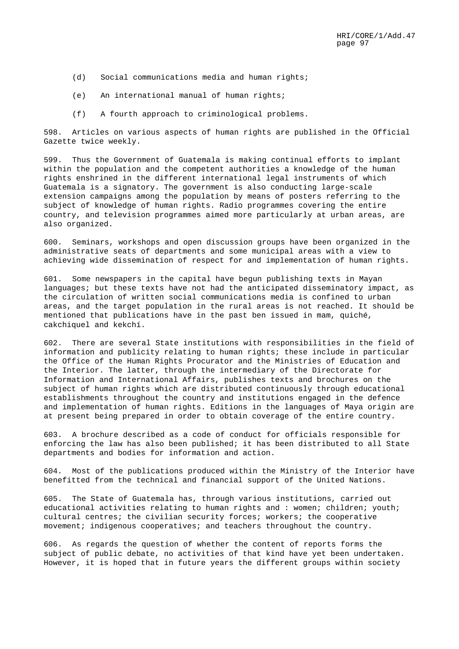- (d) Social communications media and human rights;
- (e) An international manual of human rights;
- (f) A fourth approach to criminological problems.

598. Articles on various aspects of human rights are published in the Official Gazette twice weekly.

599. Thus the Government of Guatemala is making continual efforts to implant within the population and the competent authorities a knowledge of the human rights enshrined in the different international legal instruments of which Guatemala is a signatory. The government is also conducting large-scale extension campaigns among the population by means of posters referring to the subject of knowledge of human rights. Radio programmes covering the entire country, and television programmes aimed more particularly at urban areas, are also organized.

600. Seminars, workshops and open discussion groups have been organized in the administrative seats of departments and some municipal areas with a view to achieving wide dissemination of respect for and implementation of human rights.

601. Some newspapers in the capital have begun publishing texts in Mayan languages; but these texts have not had the anticipated disseminatory impact, as the circulation of written social communications media is confined to urban areas, and the target population in the rural areas is not reached. It should be mentioned that publications have in the past ben issued in mam, quiché, cakchiquel and kekchí.

602. There are several State institutions with responsibilities in the field of information and publicity relating to human rights; these include in particular the Office of the Human Rights Procurator and the Ministries of Education and the Interior. The latter, through the intermediary of the Directorate for Information and International Affairs, publishes texts and brochures on the subject of human rights which are distributed continuously through educational establishments throughout the country and institutions engaged in the defence and implementation of human rights. Editions in the languages of Maya origin are at present being prepared in order to obtain coverage of the entire country.

603. A brochure described as a code of conduct for officials responsible for enforcing the law has also been published; it has been distributed to all State departments and bodies for information and action.

604. Most of the publications produced within the Ministry of the Interior have benefitted from the technical and financial support of the United Nations.

605. The State of Guatemala has, through various institutions, carried out educational activities relating to human rights and : women; children; youth; cultural centres; the civilian security forces; workers; the cooperative movement; indigenous cooperatives; and teachers throughout the country.

606. As regards the question of whether the content of reports forms the subject of public debate, no activities of that kind have yet been undertaken. However, it is hoped that in future years the different groups within society